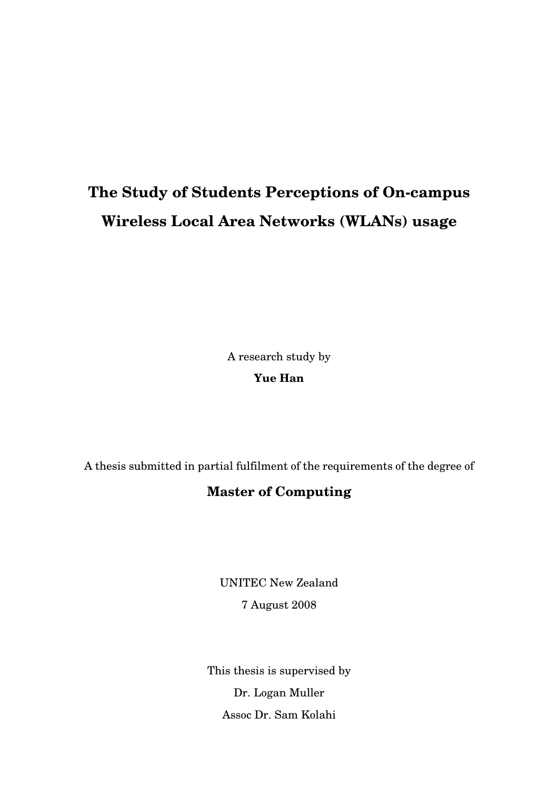# **The Study of Students Perceptions of On-campus Wireless Local Area Networks (WLANs) usage**

A research study by

**Yue Han** 

A thesis submitted in partial fulfilment of the requirements of the degree of

### **Master of Computing**

UNITEC New Zealand 7 August 2008

This thesis is supervised by Dr. Logan Muller Assoc Dr. Sam Kolahi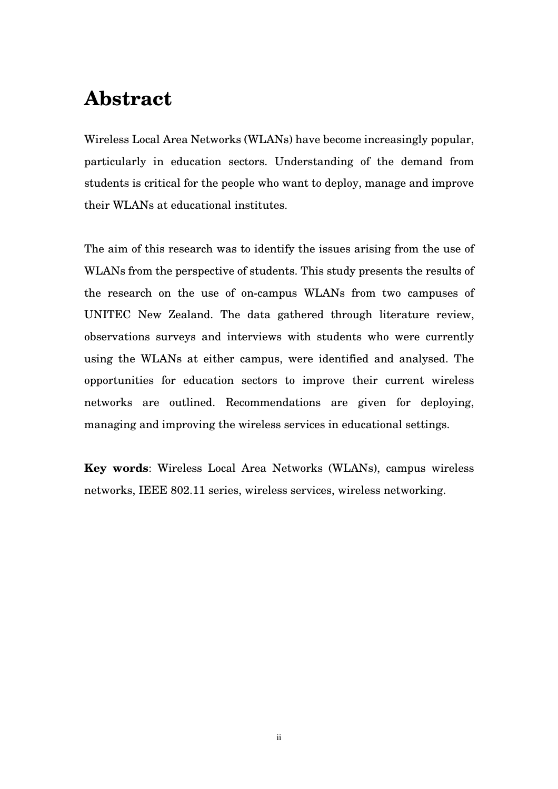### **Abstract**

Wireless Local Area Networks (WLANs) have become increasingly popular, particularly in education sectors. Understanding of the demand from students is critical for the people who want to deploy, manage and improve their WLANs at educational institutes.

The aim of this research was to identify the issues arising from the use of WLANs from the perspective of students. This study presents the results of the research on the use of on-campus WLANs from two campuses of UNITEC New Zealand. The data gathered through literature review, observations surveys and interviews with students who were currently using the WLANs at either campus, were identified and analysed. The opportunities for education sectors to improve their current wireless networks are outlined. Recommendations are given for deploying, managing and improving the wireless services in educational settings.

**Key words**: Wireless Local Area Networks (WLANs), campus wireless networks, IEEE 802.11 series, wireless services, wireless networking.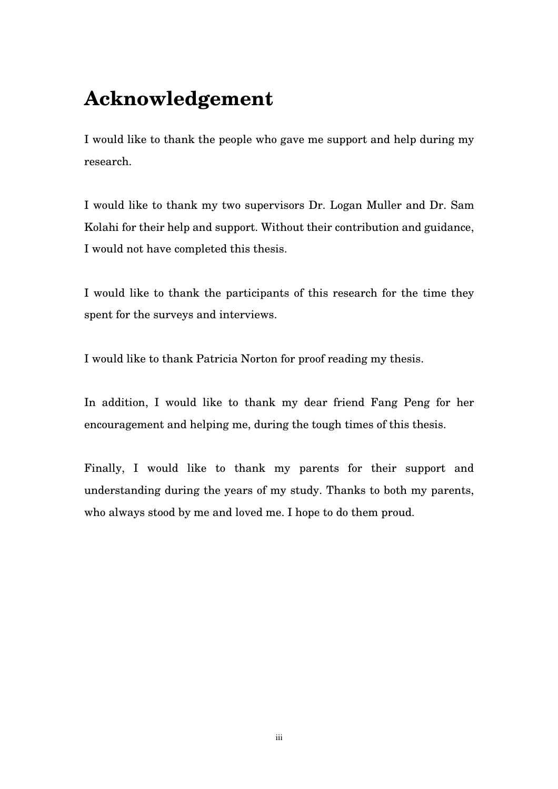## **Acknowledgement**

I would like to thank the people who gave me support and help during my research.

I would like to thank my two supervisors Dr. Logan Muller and Dr. Sam Kolahi for their help and support. Without their contribution and guidance, I would not have completed this thesis.

I would like to thank the participants of this research for the time they spent for the surveys and interviews.

I would like to thank Patricia Norton for proof reading my thesis.

In addition, I would like to thank my dear friend Fang Peng for her encouragement and helping me, during the tough times of this thesis.

Finally, I would like to thank my parents for their support and understanding during the years of my study. Thanks to both my parents, who always stood by me and loved me. I hope to do them proud.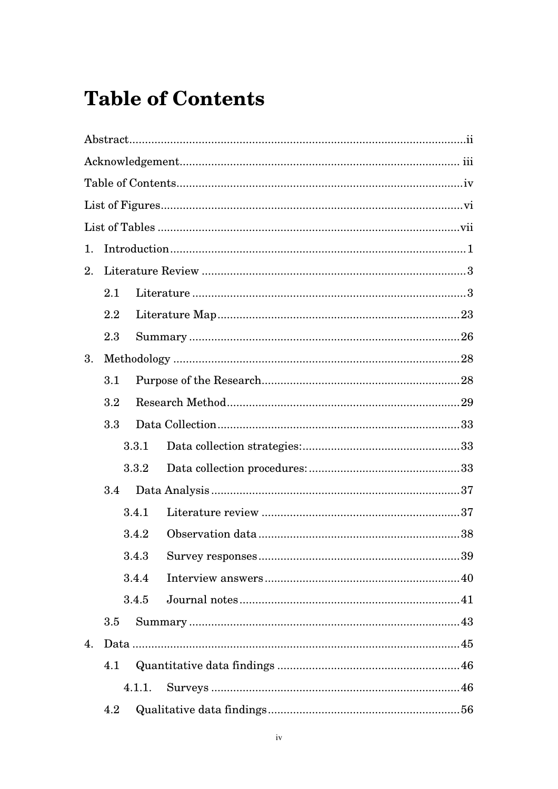# **Table of Contents**

| 1. |     |        |  |  |
|----|-----|--------|--|--|
| 2. |     |        |  |  |
|    | 2.1 |        |  |  |
|    | 2.2 |        |  |  |
|    | 2.3 |        |  |  |
| 3. |     |        |  |  |
|    | 3.1 |        |  |  |
|    | 3.2 |        |  |  |
|    | 3.3 |        |  |  |
|    |     | 3.3.1  |  |  |
|    |     | 3.3.2  |  |  |
|    | 3.4 |        |  |  |
|    |     | 3.4.1  |  |  |
|    |     | 3.4.2  |  |  |
|    |     |        |  |  |
|    |     | 3.4.4  |  |  |
|    |     | 3.4.5  |  |  |
|    | 3.5 |        |  |  |
| 4. |     |        |  |  |
|    | 4.1 |        |  |  |
|    |     | 4.1.1. |  |  |
|    | 4.2 |        |  |  |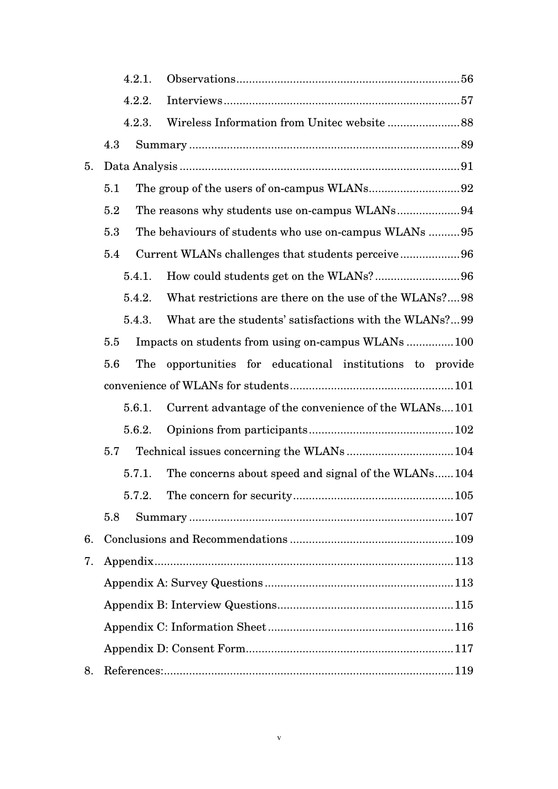|    | 4.2.1.     |                                                        |  |
|----|------------|--------------------------------------------------------|--|
|    | 4.2.2.     |                                                        |  |
|    | 4.2.3.     |                                                        |  |
|    | 4.3        |                                                        |  |
| 5. |            |                                                        |  |
|    | 5.1        |                                                        |  |
|    | 5.2        | The reasons why students use on-campus WLANs94         |  |
|    | 5.3        | The behaviours of students who use on-campus WLANs 95  |  |
|    | 5.4        | Current WLANs challenges that students perceive96      |  |
|    | 5.4.1.     |                                                        |  |
|    | 5.4.2.     | What restrictions are there on the use of the WLANs?98 |  |
|    | 5.4.3.     | What are the students' satisfactions with the WLANs?99 |  |
|    | 5.5        | Impacts on students from using on-campus WLANs  100    |  |
|    | The<br>5.6 | opportunities for educational institutions to provide  |  |
|    |            |                                                        |  |
|    | 5.6.1.     | Current advantage of the convenience of the WLANs101   |  |
|    | 5.6.2.     |                                                        |  |
|    | 5.7        |                                                        |  |
|    | 5.7.1.     | The concerns about speed and signal of the WLANs104    |  |
|    | 5.7.2.     |                                                        |  |
|    | 5.8        |                                                        |  |
| 6. |            |                                                        |  |
| 7. |            |                                                        |  |
|    |            |                                                        |  |
|    |            |                                                        |  |
|    |            |                                                        |  |
|    |            |                                                        |  |
| 8. |            |                                                        |  |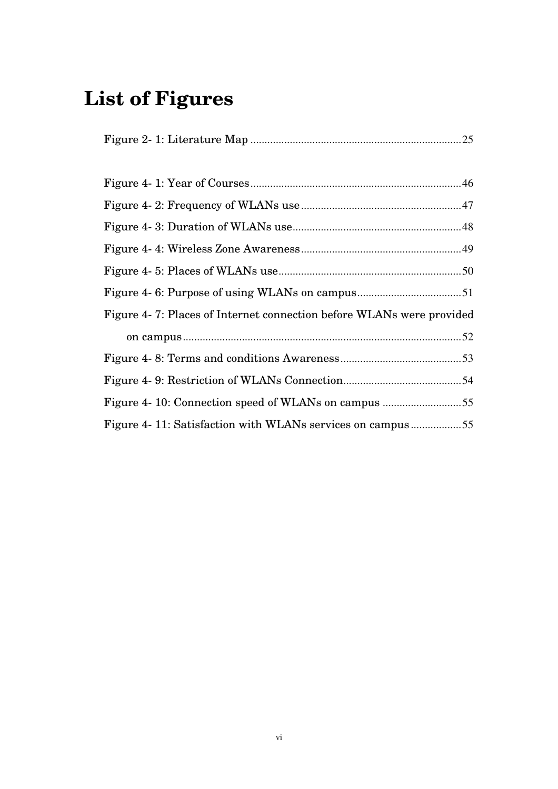# **List of Figures**

|--|--|

| Figure 4-7: Places of Internet connection before WLANs were provided |  |  |  |
|----------------------------------------------------------------------|--|--|--|
|                                                                      |  |  |  |
|                                                                      |  |  |  |
|                                                                      |  |  |  |
|                                                                      |  |  |  |
| Figure 4-11: Satisfaction with WLANs services on campus55            |  |  |  |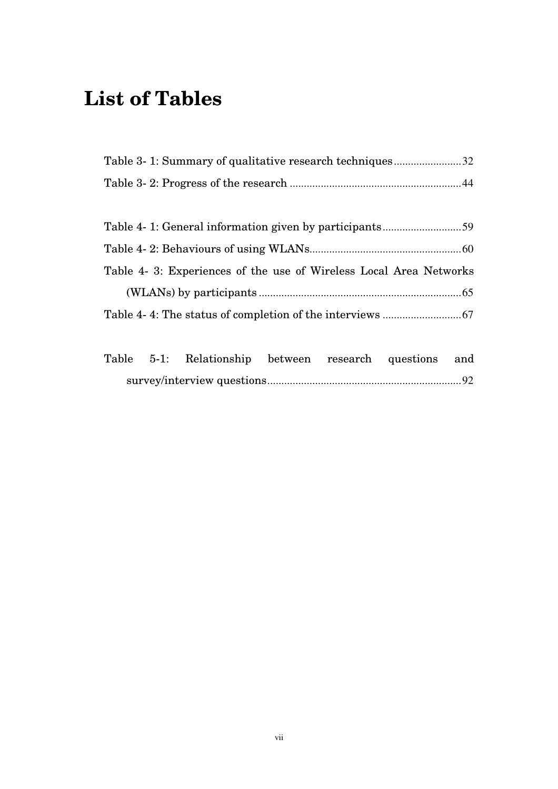# **List of Tables**

| Table 3- 1: Summary of qualitative research techniques32 |  |
|----------------------------------------------------------|--|
|                                                          |  |

| Table 4- 3: Experiences of the use of Wireless Local Area Networks |  |
|--------------------------------------------------------------------|--|
|                                                                    |  |
|                                                                    |  |

|  |  | Table 5-1: Relationship between research questions and |  |  |  |
|--|--|--------------------------------------------------------|--|--|--|
|  |  |                                                        |  |  |  |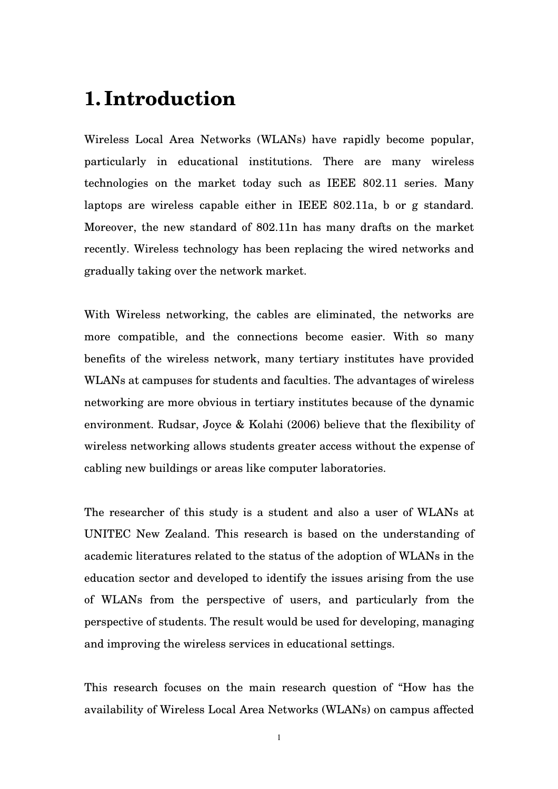### **1. Introduction**

Wireless Local Area Networks (WLANs) have rapidly become popular, particularly in educational institutions. There are many wireless technologies on the market today such as IEEE 802.11 series. Many laptops are wireless capable either in IEEE 802.11a, b or g standard. Moreover, the new standard of 802.11n has many drafts on the market recently. Wireless technology has been replacing the wired networks and gradually taking over the network market.

With Wireless networking, the cables are eliminated, the networks are more compatible, and the connections become easier. With so many benefits of the wireless network, many tertiary institutes have provided WLANs at campuses for students and faculties. The advantages of wireless networking are more obvious in tertiary institutes because of the dynamic environment. Rudsar, Joyce & Kolahi (2006) believe that the flexibility of wireless networking allows students greater access without the expense of cabling new buildings or areas like computer laboratories.

The researcher of this study is a student and also a user of WLANs at UNITEC New Zealand. This research is based on the understanding of academic literatures related to the status of the adoption of WLANs in the education sector and developed to identify the issues arising from the use of WLANs from the perspective of users, and particularly from the perspective of students. The result would be used for developing, managing and improving the wireless services in educational settings.

This research focuses on the main research question of "How has the availability of Wireless Local Area Networks (WLANs) on campus affected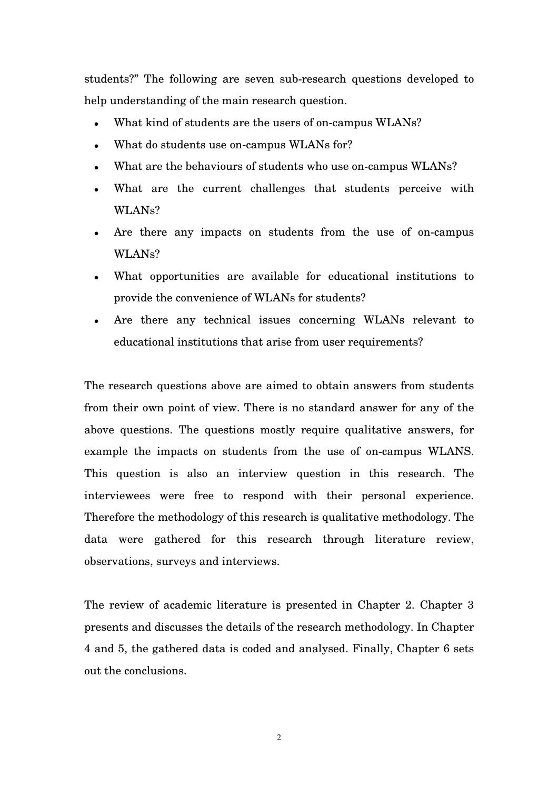students?" The following are seven sub-research questions developed to help understanding of the main research question.

- What kind of students are the users of on-campus WLANs?
- What do students use on-campus WLANs for?
- What are the behaviours of students who use on-campus WLANs?
- What are the current challenges that students perceive with WLANs?
- Are there any impacts on students from the use of on-campus WLANs?
- What opportunities are available for educational institutions to provide the convenience of WLANs for students?
- Are there any technical issues concerning WLANs relevant to educational institutions that arise from user requirements?

The research questions above are aimed to obtain answers from students from their own point of view. There is no standard answer for any of the above questions. The questions mostly require qualitative answers, for example the impacts on students from the use of on-campus WLANS. This question is also an interview question in this research. The interviewees were free to respond with their personal experience. Therefore the methodology of this research is qualitative methodology. The data were gathered for this research through literature review, observations, surveys and interviews.

The review of academic literature is presented in Chapter 2. Chapter 3 presents and discusses the details of the research methodology. In Chapter 4 and 5, the gathered data is coded and analysed. Finally, Chapter 6 sets out the conclusions.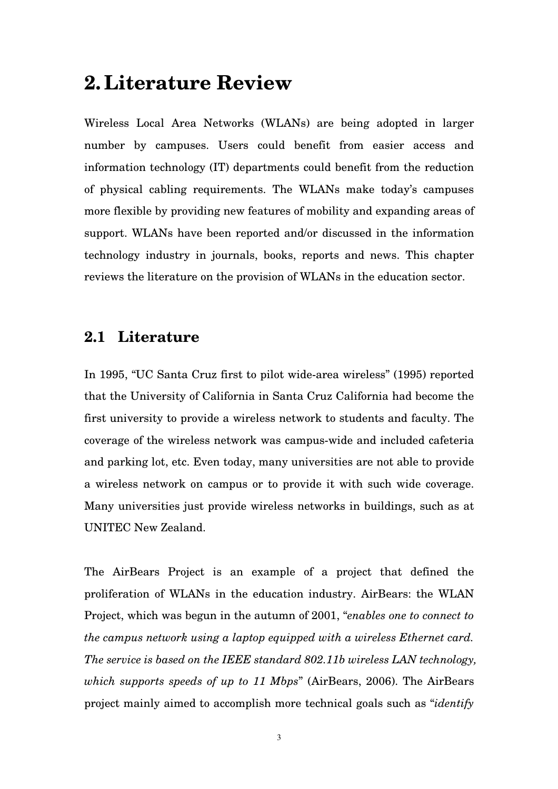### **2. Literature Review**

Wireless Local Area Networks (WLANs) are being adopted in larger number by campuses. Users could benefit from easier access and information technology (IT) departments could benefit from the reduction of physical cabling requirements. The WLANs make today's campuses more flexible by providing new features of mobility and expanding areas of support. WLANs have been reported and/or discussed in the information technology industry in journals, books, reports and news. This chapter reviews the literature on the provision of WLANs in the education sector.

#### **2.1 Literature**

In 1995, "UC Santa Cruz first to pilot wide-area wireless" (1995) reported that the University of California in Santa Cruz California had become the first university to provide a wireless network to students and faculty. The coverage of the wireless network was campus-wide and included cafeteria and parking lot, etc. Even today, many universities are not able to provide a wireless network on campus or to provide it with such wide coverage. Many universities just provide wireless networks in buildings, such as at UNITEC New Zealand.

The AirBears Project is an example of a project that defined the proliferation of WLANs in the education industry. AirBears: the WLAN Project, which was begun in the autumn of 2001, "*enables one to connect to the campus network using a laptop equipped with a wireless Ethernet card. The service is based on the IEEE standard 802.11b wireless LAN technology, which supports speeds of up to 11 Mbps*" (AirBears, 2006). The AirBears project mainly aimed to accomplish more technical goals such as "*identify*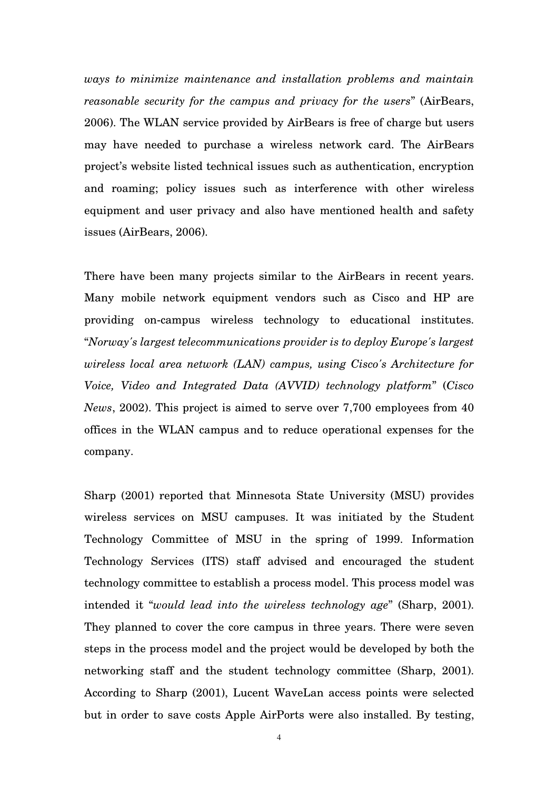*ways to minimize maintenance and installation problems and maintain reasonable security for the campus and privacy for the users*" (AirBears, 2006). The WLAN service provided by AirBears is free of charge but users may have needed to purchase a wireless network card. The AirBears project's website listed technical issues such as authentication, encryption and roaming; policy issues such as interference with other wireless equipment and user privacy and also have mentioned health and safety issues (AirBears, 2006).

There have been many projects similar to the AirBears in recent years. Many mobile network equipment vendors such as Cisco and HP are providing on-campus wireless technology to educational institutes. "*Norway's largest telecommunications provider is to deploy Europe's largest wireless local area network (LAN) campus, using Cisco's Architecture for Voice, Video and Integrated Data (AVVID) technology platform*" (*Cisco News*, 2002). This project is aimed to serve over 7,700 employees from 40 offices in the WLAN campus and to reduce operational expenses for the company.

Sharp (2001) reported that Minnesota State University (MSU) provides wireless services on MSU campuses. It was initiated by the Student Technology Committee of MSU in the spring of 1999. Information Technology Services (ITS) staff advised and encouraged the student technology committee to establish a process model. This process model was intended it "*would lead into the wireless technology age*" (Sharp, 2001). They planned to cover the core campus in three years. There were seven steps in the process model and the project would be developed by both the networking staff and the student technology committee (Sharp, 2001). According to Sharp (2001), Lucent WaveLan access points were selected but in order to save costs Apple AirPorts were also installed. By testing,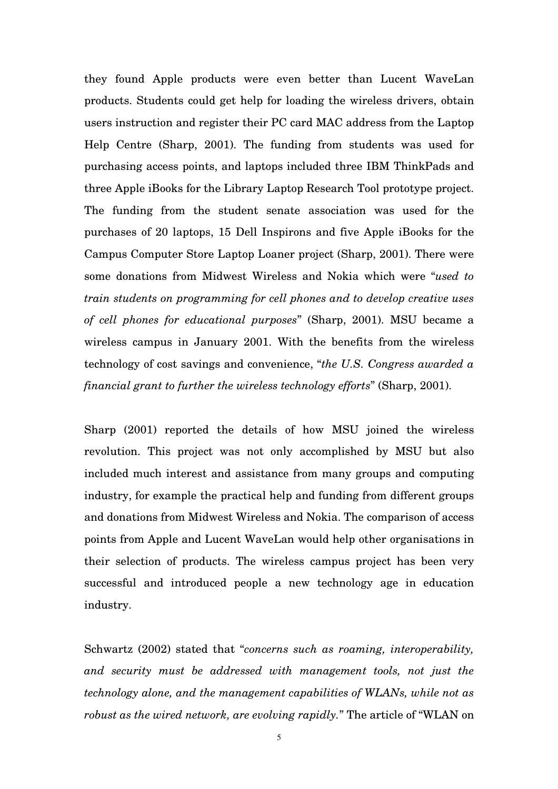they found Apple products were even better than Lucent WaveLan products. Students could get help for loading the wireless drivers, obtain users instruction and register their PC card MAC address from the Laptop Help Centre (Sharp, 2001). The funding from students was used for purchasing access points, and laptops included three IBM ThinkPads and three Apple iBooks for the Library Laptop Research Tool prototype project. The funding from the student senate association was used for the purchases of 20 laptops, 15 Dell Inspirons and five Apple iBooks for the Campus Computer Store Laptop Loaner project (Sharp, 2001). There were some donations from Midwest Wireless and Nokia which were "*used to train students on programming for cell phones and to develop creative uses of cell phones for educational purposes*" (Sharp, 2001). MSU became a wireless campus in January 2001. With the benefits from the wireless technology of cost savings and convenience, "*the U.S. Congress awarded a financial grant to further the wireless technology efforts*" (Sharp, 2001).

Sharp (2001) reported the details of how MSU joined the wireless revolution. This project was not only accomplished by MSU but also included much interest and assistance from many groups and computing industry, for example the practical help and funding from different groups and donations from Midwest Wireless and Nokia. The comparison of access points from Apple and Lucent WaveLan would help other organisations in their selection of products. The wireless campus project has been very successful and introduced people a new technology age in education industry.

Schwartz (2002) stated that "*concerns such as roaming, interoperability, and security must be addressed with management tools, not just the technology alone, and the management capabilities of WLANs, while not as robust as the wired network, are evolving rapidly.*" The article of "WLAN on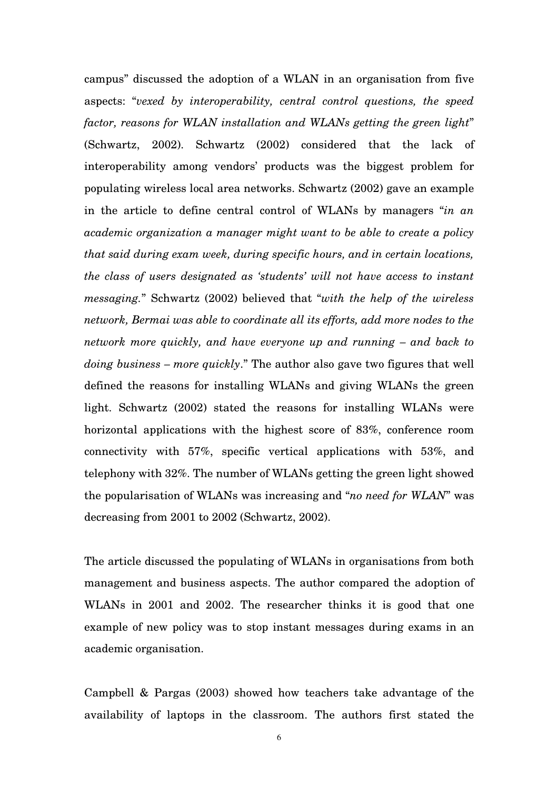campus" discussed the adoption of a WLAN in an organisation from five aspects: "*vexed by interoperability, central control questions, the speed factor, reasons for WLAN installation and WLANs getting the green light*" (Schwartz, 2002). Schwartz (2002) considered that the lack of interoperability among vendors' products was the biggest problem for populating wireless local area networks. Schwartz (2002) gave an example in the article to define central control of WLANs by managers "*in an academic organization a manager might want to be able to create a policy that said during exam week, during specific hours, and in certain locations, the class of users designated as 'students' will not have access to instant messaging.*" Schwartz (2002) believed that "*with the help of the wireless network, Bermai was able to coordinate all its efforts, add more nodes to the network more quickly, and have everyone up and running – and back to doing business – more quickly*." The author also gave two figures that well defined the reasons for installing WLANs and giving WLANs the green light. Schwartz (2002) stated the reasons for installing WLANs were horizontal applications with the highest score of 83%, conference room connectivity with 57%, specific vertical applications with 53%, and telephony with 32%. The number of WLANs getting the green light showed the popularisation of WLANs was increasing and "*no need for WLAN*" was decreasing from 2001 to 2002 (Schwartz, 2002).

The article discussed the populating of WLANs in organisations from both management and business aspects. The author compared the adoption of WLANs in 2001 and 2002. The researcher thinks it is good that one example of new policy was to stop instant messages during exams in an academic organisation.

Campbell & Pargas (2003) showed how teachers take advantage of the availability of laptops in the classroom. The authors first stated the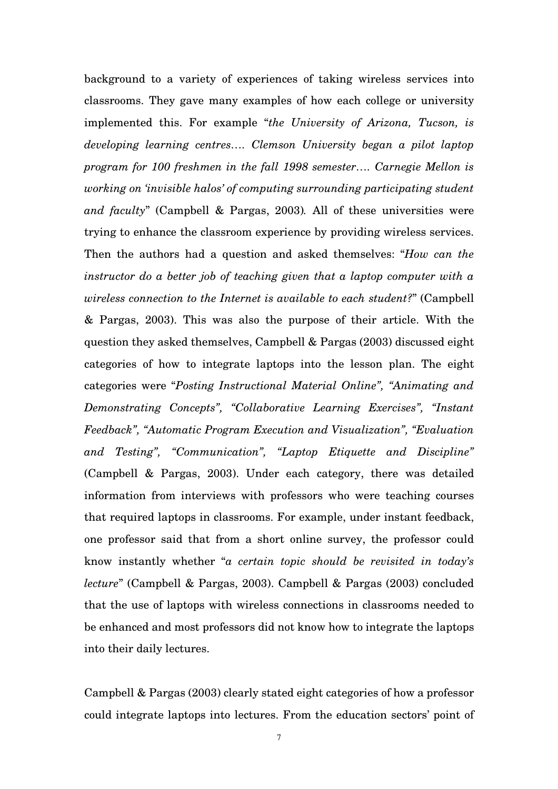background to a variety of experiences of taking wireless services into classrooms. They gave many examples of how each college or university implemented this. For example "*the University of Arizona, Tucson, is developing learning centres…. Clemson University began a pilot laptop program for 100 freshmen in the fall 1998 semester…. Carnegie Mellon is working on 'invisible halos' of computing surrounding participating student and faculty*" (Campbell & Pargas, 2003)*.* All of these universities were trying to enhance the classroom experience by providing wireless services. Then the authors had a question and asked themselves: "*How can the instructor do a better job of teaching given that a laptop computer with a wireless connection to the Internet is available to each student?*" (Campbell & Pargas, 2003). This was also the purpose of their article. With the question they asked themselves, Campbell & Pargas (2003) discussed eight categories of how to integrate laptops into the lesson plan. The eight categories were "*Posting Instructional Material Online", "Animating and Demonstrating Concepts", "Collaborative Learning Exercises", "Instant Feedback", "Automatic Program Execution and Visualization", "Evaluation and Testing", "Communication", "Laptop Etiquette and Discipline"* (Campbell & Pargas, 2003). Under each category, there was detailed information from interviews with professors who were teaching courses that required laptops in classrooms. For example, under instant feedback, one professor said that from a short online survey, the professor could know instantly whether "*a certain topic should be revisited in today's lecture*" (Campbell & Pargas, 2003). Campbell & Pargas (2003) concluded that the use of laptops with wireless connections in classrooms needed to be enhanced and most professors did not know how to integrate the laptops into their daily lectures.

Campbell & Pargas (2003) clearly stated eight categories of how a professor could integrate laptops into lectures. From the education sectors' point of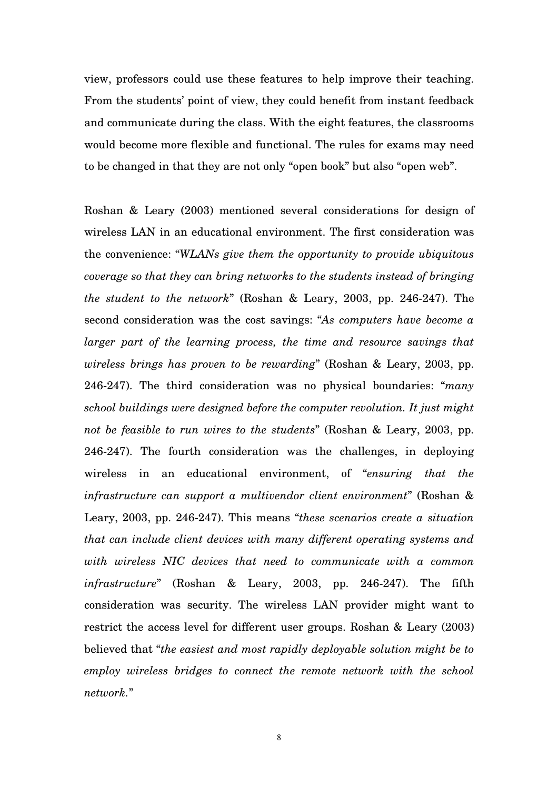view, professors could use these features to help improve their teaching. From the students' point of view, they could benefit from instant feedback and communicate during the class. With the eight features, the classrooms would become more flexible and functional. The rules for exams may need to be changed in that they are not only "open book" but also "open web".

Roshan & Leary (2003) mentioned several considerations for design of wireless LAN in an educational environment. The first consideration was the convenience: "*WLANs give them the opportunity to provide ubiquitous coverage so that they can bring networks to the students instead of bringing the student to the network*" (Roshan & Leary, 2003, pp. 246-247). The second consideration was the cost savings: "*As computers have become a larger part of the learning process, the time and resource savings that wireless brings has proven to be rewarding*" (Roshan & Leary, 2003, pp. 246-247). The third consideration was no physical boundaries: "*many school buildings were designed before the computer revolution. It just might not be feasible to run wires to the students*" (Roshan & Leary, 2003, pp. 246-247). The fourth consideration was the challenges, in deploying wireless in an educational environment, of "*ensuring that the infrastructure can support a multivendor client environment*" (Roshan & Leary, 2003, pp. 246-247). This means "*these scenarios create a situation that can include client devices with many different operating systems and with wireless NIC devices that need to communicate with a common infrastructure*" (Roshan & Leary, 2003, pp. 246-247). The fifth consideration was security. The wireless LAN provider might want to restrict the access level for different user groups. Roshan & Leary (2003) believed that "*the easiest and most rapidly deployable solution might be to employ wireless bridges to connect the remote network with the school network.*"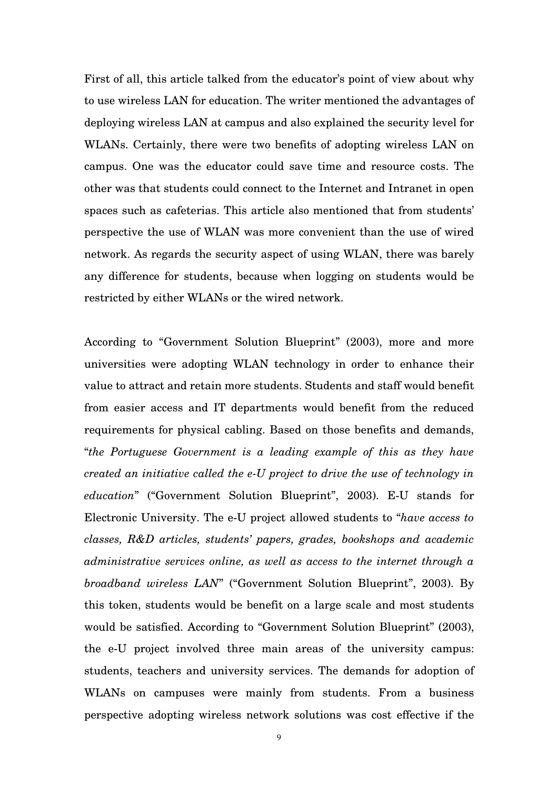First of all, this article talked from the educator's point of view about why to use wireless LAN for education. The writer mentioned the advantages of deploying wireless LAN at campus and also explained the security level for WLANs. Certainly, there were two benefits of adopting wireless LAN on campus. One was the educator could save time and resource costs. The other was that students could connect to the Internet and Intranet in open spaces such as cafeterias. This article also mentioned that from students' perspective the use of WLAN was more convenient than the use of wired network. As regards the security aspect of using WLAN, there was barely any difference for students, because when logging on students would be restricted by either WLANs or the wired network.

According to "Government Solution Blueprint" (2003), more and more universities were adopting WLAN technology in order to enhance their value to attract and retain more students. Students and staff would benefit from easier access and IT departments would benefit from the reduced requirements for physical cabling. Based on those benefits and demands, "*the Portuguese Government is a leading example of this as they have created an initiative called the e-U project to drive the use of technology in education*" ("Government Solution Blueprint", 2003). E-U stands for Electronic University. The e-U project allowed students to "*have access to classes, R&D articles, students' papers, grades, bookshops and academic administrative services online, as well as access to the internet through a broadband wireless LAN*" ("Government Solution Blueprint", 2003). By this token, students would be benefit on a large scale and most students would be satisfied. According to "Government Solution Blueprint" (2003), the e-U project involved three main areas of the university campus: students, teachers and university services. The demands for adoption of WLANs on campuses were mainly from students. From a business perspective adopting wireless network solutions was cost effective if the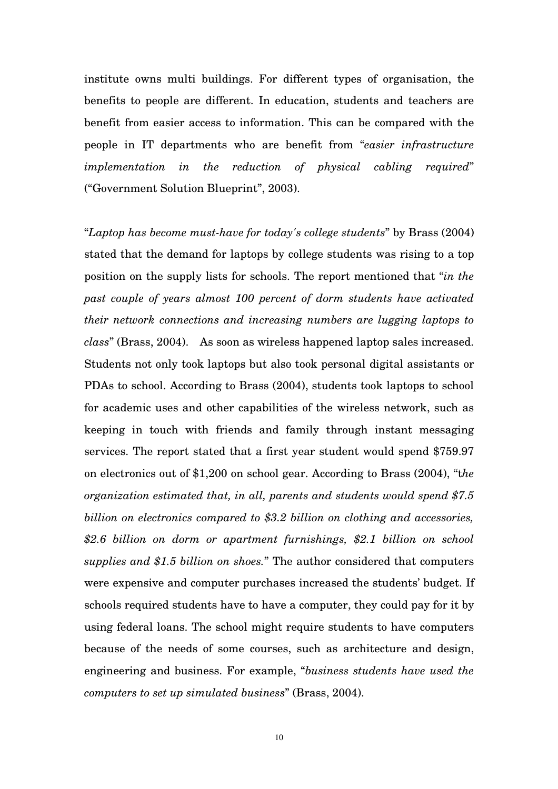institute owns multi buildings. For different types of organisation, the benefits to people are different. In education, students and teachers are benefit from easier access to information. This can be compared with the people in IT departments who are benefit from "*easier infrastructure implementation in the reduction of physical cabling required*" ("Government Solution Blueprint", 2003).

"*Laptop has become must-have for today's college students*" by Brass (2004) stated that the demand for laptops by college students was rising to a top position on the supply lists for schools. The report mentioned that "*in the past couple of years almost 100 percent of dorm students have activated their network connections and increasing numbers are lugging laptops to class*" (Brass, 2004). As soon as wireless happened laptop sales increased. Students not only took laptops but also took personal digital assistants or PDAs to school. According to Brass (2004), students took laptops to school for academic uses and other capabilities of the wireless network, such as keeping in touch with friends and family through instant messaging services. The report stated that a first year student would spend \$759.97 on electronics out of \$1,200 on school gear. According to Brass (2004), "t*he organization estimated that, in all, parents and students would spend \$7.5 billion on electronics compared to \$3.2 billion on clothing and accessories, \$2.6 billion on dorm or apartment furnishings, \$2.1 billion on school supplies and \$1.5 billion on shoes.*" The author considered that computers were expensive and computer purchases increased the students' budget. If schools required students have to have a computer, they could pay for it by using federal loans. The school might require students to have computers because of the needs of some courses, such as architecture and design, engineering and business. For example, "*business students have used the computers to set up simulated business*" (Brass, 2004).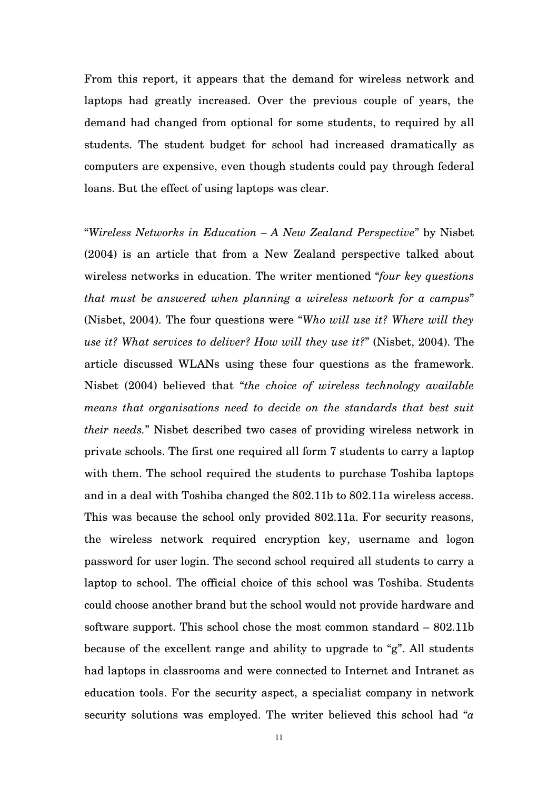From this report, it appears that the demand for wireless network and laptops had greatly increased. Over the previous couple of years, the demand had changed from optional for some students, to required by all students. The student budget for school had increased dramatically as computers are expensive, even though students could pay through federal loans. But the effect of using laptops was clear.

"*Wireless Networks in Education – A New Zealand Perspective*" by Nisbet (2004) is an article that from a New Zealand perspective talked about wireless networks in education. The writer mentioned "*four key questions that must be answered when planning a wireless network for a campus*" (Nisbet, 2004). The four questions were "*Who will use it? Where will they use it? What services to deliver? How will they use it?*" (Nisbet, 2004). The article discussed WLANs using these four questions as the framework. Nisbet (2004) believed that "*the choice of wireless technology available means that organisations need to decide on the standards that best suit their needs.*" Nisbet described two cases of providing wireless network in private schools. The first one required all form 7 students to carry a laptop with them. The school required the students to purchase Toshiba laptops and in a deal with Toshiba changed the 802.11b to 802.11a wireless access. This was because the school only provided 802.11a. For security reasons, the wireless network required encryption key, username and logon password for user login. The second school required all students to carry a laptop to school. The official choice of this school was Toshiba. Students could choose another brand but the school would not provide hardware and software support. This school chose the most common standard – 802.11b because of the excellent range and ability to upgrade to "g". All students had laptops in classrooms and were connected to Internet and Intranet as education tools. For the security aspect, a specialist company in network security solutions was employed. The writer believed this school had "*a*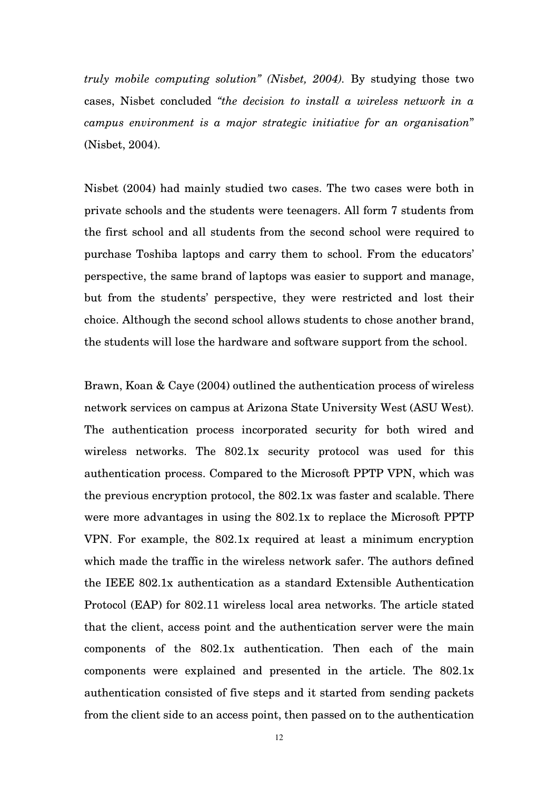*truly mobile computing solution" (Nisbet, 2004).* By studying those two cases, Nisbet concluded *"the decision to install a wireless network in a campus environment is a major strategic initiative for an organisation*" (Nisbet, 2004).

Nisbet (2004) had mainly studied two cases. The two cases were both in private schools and the students were teenagers. All form 7 students from the first school and all students from the second school were required to purchase Toshiba laptops and carry them to school. From the educators' perspective, the same brand of laptops was easier to support and manage, but from the students' perspective, they were restricted and lost their choice. Although the second school allows students to chose another brand, the students will lose the hardware and software support from the school.

Brawn, Koan & Caye (2004) outlined the authentication process of wireless network services on campus at Arizona State University West (ASU West). The authentication process incorporated security for both wired and wireless networks. The 802.1x security protocol was used for this authentication process. Compared to the Microsoft PPTP VPN, which was the previous encryption protocol, the 802.1x was faster and scalable. There were more advantages in using the 802.1x to replace the Microsoft PPTP VPN. For example, the 802.1x required at least a minimum encryption which made the traffic in the wireless network safer. The authors defined the IEEE 802.1x authentication as a standard Extensible Authentication Protocol (EAP) for 802.11 wireless local area networks. The article stated that the client, access point and the authentication server were the main components of the 802.1x authentication. Then each of the main components were explained and presented in the article. The 802.1x authentication consisted of five steps and it started from sending packets from the client side to an access point, then passed on to the authentication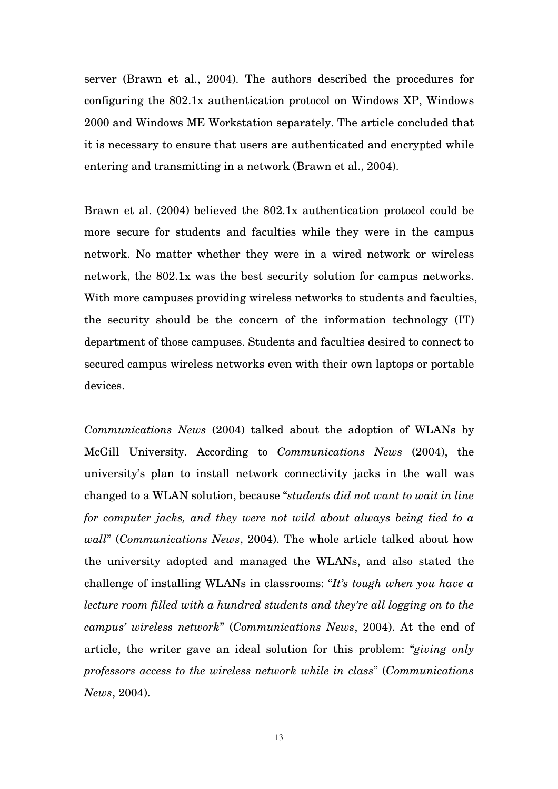server (Brawn et al., 2004). The authors described the procedures for configuring the 802.1x authentication protocol on Windows XP, Windows 2000 and Windows ME Workstation separately. The article concluded that it is necessary to ensure that users are authenticated and encrypted while entering and transmitting in a network (Brawn et al., 2004).

Brawn et al. (2004) believed the 802.1x authentication protocol could be more secure for students and faculties while they were in the campus network. No matter whether they were in a wired network or wireless network, the 802.1x was the best security solution for campus networks. With more campuses providing wireless networks to students and faculties, the security should be the concern of the information technology (IT) department of those campuses. Students and faculties desired to connect to secured campus wireless networks even with their own laptops or portable devices.

*Communications News* (2004) talked about the adoption of WLANs by McGill University. According to *Communications News* (2004), the university's plan to install network connectivity jacks in the wall was changed to a WLAN solution, because "*students did not want to wait in line for computer jacks, and they were not wild about always being tied to a wall*" (*Communications News*, 2004). The whole article talked about how the university adopted and managed the WLANs, and also stated the challenge of installing WLANs in classrooms: "*It's tough when you have a lecture room filled with a hundred students and they're all logging on to the campus' wireless network*" (*Communications News*, 2004). At the end of article, the writer gave an ideal solution for this problem: "*giving only professors access to the wireless network while in class*" (*Communications News*, 2004).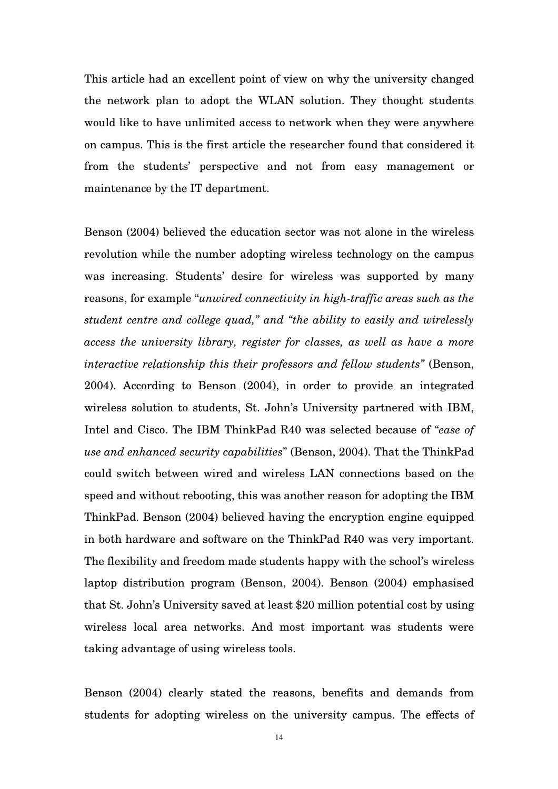This article had an excellent point of view on why the university changed the network plan to adopt the WLAN solution. They thought students would like to have unlimited access to network when they were anywhere on campus. This is the first article the researcher found that considered it from the students' perspective and not from easy management or maintenance by the IT department.

Benson (2004) believed the education sector was not alone in the wireless revolution while the number adopting wireless technology on the campus was increasing. Students' desire for wireless was supported by many reasons, for example "*unwired connectivity in high-traffic areas such as the student centre and college quad," and "the ability to easily and wirelessly access the university library, register for classes, as well as have a more interactive relationship this their professors and fellow students"* (Benson, 2004). According to Benson (2004), in order to provide an integrated wireless solution to students, St. John's University partnered with IBM, Intel and Cisco. The IBM ThinkPad R40 was selected because of "*ease of use and enhanced security capabilities*" (Benson, 2004). That the ThinkPad could switch between wired and wireless LAN connections based on the speed and without rebooting, this was another reason for adopting the IBM ThinkPad. Benson (2004) believed having the encryption engine equipped in both hardware and software on the ThinkPad R40 was very important. The flexibility and freedom made students happy with the school's wireless laptop distribution program (Benson, 2004). Benson (2004) emphasised that St. John's University saved at least \$20 million potential cost by using wireless local area networks. And most important was students were taking advantage of using wireless tools.

Benson (2004) clearly stated the reasons, benefits and demands from students for adopting wireless on the university campus. The effects of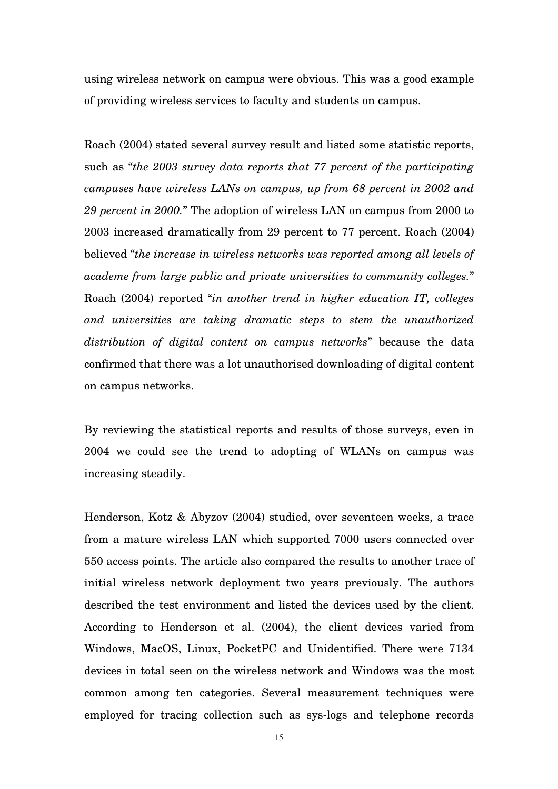using wireless network on campus were obvious. This was a good example of providing wireless services to faculty and students on campus.

Roach (2004) stated several survey result and listed some statistic reports, such as "*the 2003 survey data reports that 77 percent of the participating campuses have wireless LANs on campus, up from 68 percent in 2002 and 29 percent in 2000.*" The adoption of wireless LAN on campus from 2000 to 2003 increased dramatically from 29 percent to 77 percent. Roach (2004) believed "*the increase in wireless networks was reported among all levels of academe from large public and private universities to community colleges.*" Roach (2004) reported "*in another trend in higher education IT, colleges and universities are taking dramatic steps to stem the unauthorized distribution of digital content on campus networks*" because the data confirmed that there was a lot unauthorised downloading of digital content on campus networks.

By reviewing the statistical reports and results of those surveys, even in 2004 we could see the trend to adopting of WLANs on campus was increasing steadily.

Henderson, Kotz & Abyzov (2004) studied, over seventeen weeks, a trace from a mature wireless LAN which supported 7000 users connected over 550 access points. The article also compared the results to another trace of initial wireless network deployment two years previously. The authors described the test environment and listed the devices used by the client. According to Henderson et al. (2004), the client devices varied from Windows, MacOS, Linux, PocketPC and Unidentified. There were 7134 devices in total seen on the wireless network and Windows was the most common among ten categories. Several measurement techniques were employed for tracing collection such as sys-logs and telephone records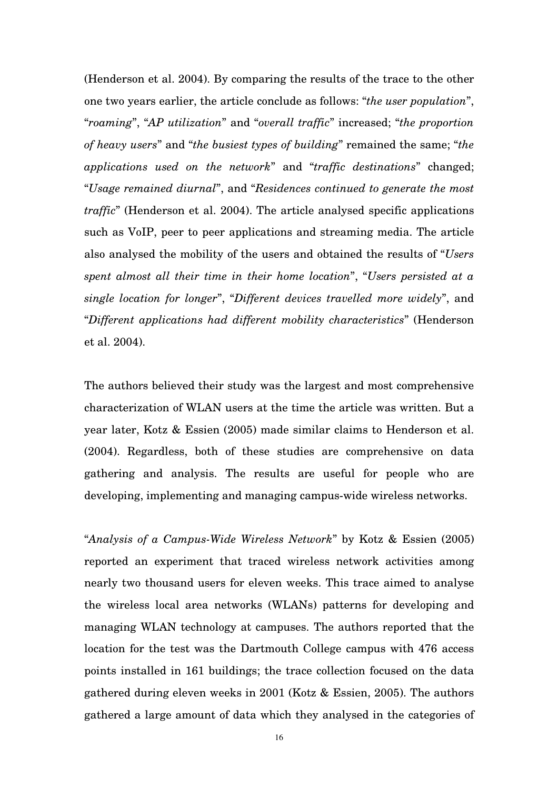(Henderson et al. 2004). By comparing the results of the trace to the other one two years earlier, the article conclude as follows: "*the user population*", "*roaming*", "*AP utilization*" and "*overall traffic*" increased; "*the proportion of heavy users*" and "*the busiest types of building*" remained the same; "*the applications used on the network*" and "*traffic destinations*" changed; "*Usage remained diurnal*", and "*Residences continued to generate the most traffic*" (Henderson et al. 2004). The article analysed specific applications such as VoIP, peer to peer applications and streaming media. The article also analysed the mobility of the users and obtained the results of "*Users spent almost all their time in their home location*", "*Users persisted at a single location for longer*", "*Different devices travelled more widely*", and "*Different applications had different mobility characteristics*" (Henderson et al. 2004).

The authors believed their study was the largest and most comprehensive characterization of WLAN users at the time the article was written. But a year later, Kotz & Essien (2005) made similar claims to Henderson et al. (2004). Regardless, both of these studies are comprehensive on data gathering and analysis. The results are useful for people who are developing, implementing and managing campus-wide wireless networks.

"*Analysis of a Campus-Wide Wireless Network*" by Kotz & Essien (2005) reported an experiment that traced wireless network activities among nearly two thousand users for eleven weeks. This trace aimed to analyse the wireless local area networks (WLANs) patterns for developing and managing WLAN technology at campuses. The authors reported that the location for the test was the Dartmouth College campus with 476 access points installed in 161 buildings; the trace collection focused on the data gathered during eleven weeks in 2001 (Kotz & Essien, 2005). The authors gathered a large amount of data which they analysed in the categories of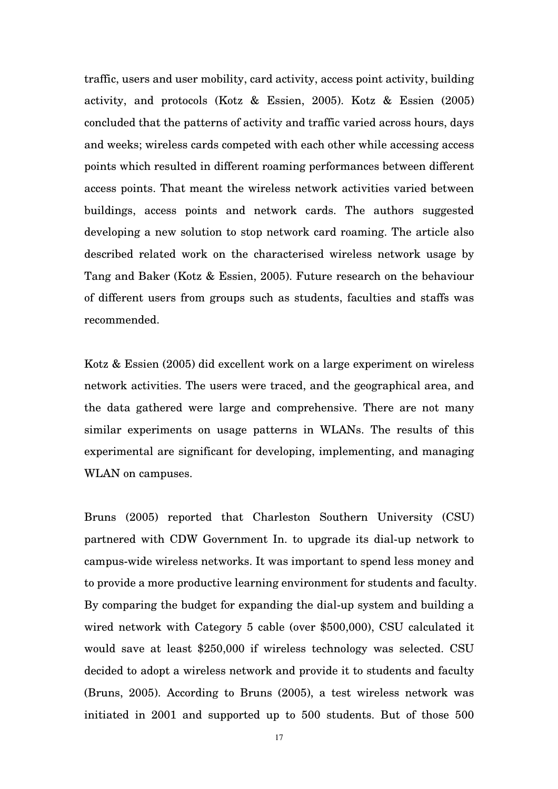traffic, users and user mobility, card activity, access point activity, building activity, and protocols (Kotz & Essien, 2005). Kotz & Essien (2005) concluded that the patterns of activity and traffic varied across hours, days and weeks; wireless cards competed with each other while accessing access points which resulted in different roaming performances between different access points. That meant the wireless network activities varied between buildings, access points and network cards. The authors suggested developing a new solution to stop network card roaming. The article also described related work on the characterised wireless network usage by Tang and Baker (Kotz & Essien, 2005). Future research on the behaviour of different users from groups such as students, faculties and staffs was recommended.

Kotz & Essien (2005) did excellent work on a large experiment on wireless network activities. The users were traced, and the geographical area, and the data gathered were large and comprehensive. There are not many similar experiments on usage patterns in WLANs. The results of this experimental are significant for developing, implementing, and managing WLAN on campuses.

Bruns (2005) reported that Charleston Southern University (CSU) partnered with CDW Government In. to upgrade its dial-up network to campus-wide wireless networks. It was important to spend less money and to provide a more productive learning environment for students and faculty. By comparing the budget for expanding the dial-up system and building a wired network with Category 5 cable (over \$500,000), CSU calculated it would save at least \$250,000 if wireless technology was selected. CSU decided to adopt a wireless network and provide it to students and faculty (Bruns, 2005). According to Bruns (2005), a test wireless network was initiated in 2001 and supported up to 500 students. But of those 500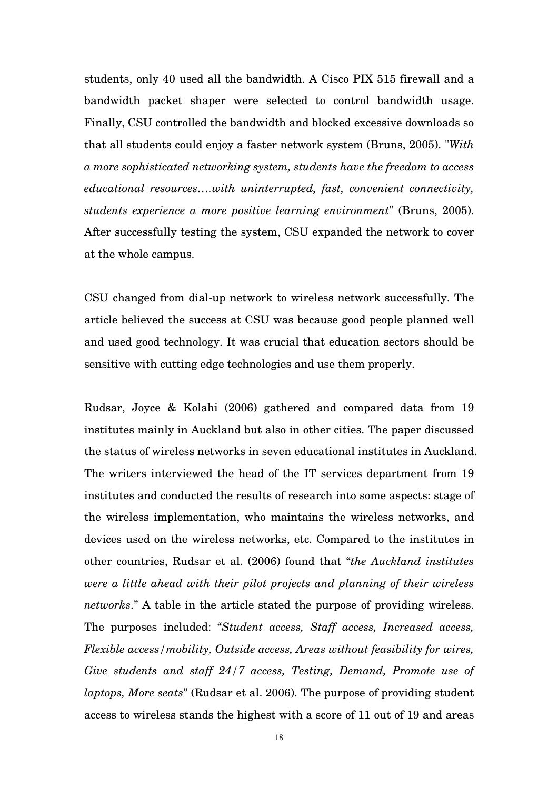students, only 40 used all the bandwidth. A Cisco PIX 515 firewall and a bandwidth packet shaper were selected to control bandwidth usage. Finally, CSU controlled the bandwidth and blocked excessive downloads so that all students could enjoy a faster network system (Bruns, 2005). "*With a more sophisticated networking system, students have the freedom to access educational resources….with uninterrupted, fast, convenient connectivity, students experience a more positive learning environment*" (Bruns, 2005). After successfully testing the system, CSU expanded the network to cover at the whole campus.

CSU changed from dial-up network to wireless network successfully. The article believed the success at CSU was because good people planned well and used good technology. It was crucial that education sectors should be sensitive with cutting edge technologies and use them properly.

Rudsar, Joyce & Kolahi (2006) gathered and compared data from 19 institutes mainly in Auckland but also in other cities. The paper discussed the status of wireless networks in seven educational institutes in Auckland. The writers interviewed the head of the IT services department from 19 institutes and conducted the results of research into some aspects: stage of the wireless implementation, who maintains the wireless networks, and devices used on the wireless networks, etc. Compared to the institutes in other countries, Rudsar et al. (2006) found that "*the Auckland institutes were a little ahead with their pilot projects and planning of their wireless networks*." A table in the article stated the purpose of providing wireless. The purposes included: "*Student access, Staff access, Increased access, Flexible access/mobility, Outside access, Areas without feasibility for wires, Give students and staff 24/7 access, Testing, Demand, Promote use of laptops, More seats*" (Rudsar et al. 2006). The purpose of providing student access to wireless stands the highest with a score of 11 out of 19 and areas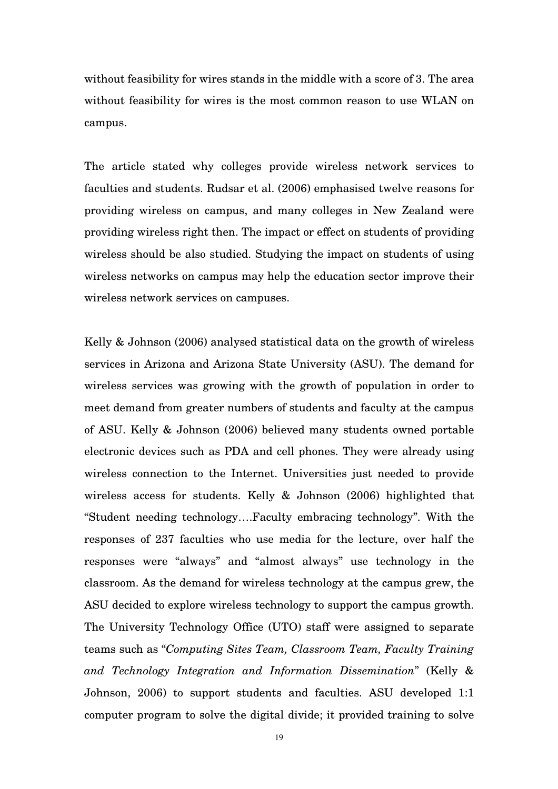without feasibility for wires stands in the middle with a score of 3. The area without feasibility for wires is the most common reason to use WLAN on campus.

The article stated why colleges provide wireless network services to faculties and students. Rudsar et al. (2006) emphasised twelve reasons for providing wireless on campus, and many colleges in New Zealand were providing wireless right then. The impact or effect on students of providing wireless should be also studied. Studying the impact on students of using wireless networks on campus may help the education sector improve their wireless network services on campuses.

Kelly & Johnson (2006) analysed statistical data on the growth of wireless services in Arizona and Arizona State University (ASU). The demand for wireless services was growing with the growth of population in order to meet demand from greater numbers of students and faculty at the campus of ASU. Kelly & Johnson (2006) believed many students owned portable electronic devices such as PDA and cell phones. They were already using wireless connection to the Internet. Universities just needed to provide wireless access for students. Kelly & Johnson (2006) highlighted that "Student needing technology….Faculty embracing technology". With the responses of 237 faculties who use media for the lecture, over half the responses were "always" and "almost always" use technology in the classroom. As the demand for wireless technology at the campus grew, the ASU decided to explore wireless technology to support the campus growth. The University Technology Office (UTO) staff were assigned to separate teams such as "*Computing Sites Team, Classroom Team, Faculty Training and Technology Integration and Information Dissemination*" (Kelly & Johnson, 2006) to support students and faculties. ASU developed 1:1 computer program to solve the digital divide; it provided training to solve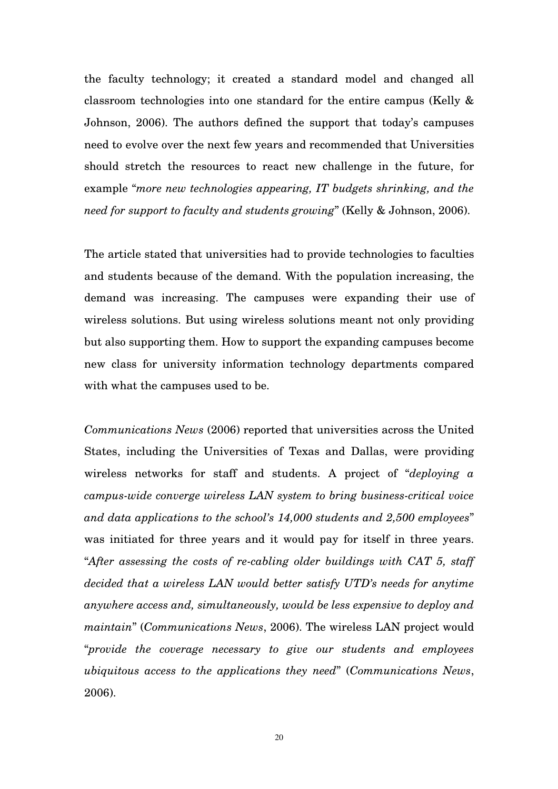the faculty technology; it created a standard model and changed all classroom technologies into one standard for the entire campus (Kelly & Johnson, 2006). The authors defined the support that today's campuses need to evolve over the next few years and recommended that Universities should stretch the resources to react new challenge in the future, for example "*more new technologies appearing, IT budgets shrinking, and the need for support to faculty and students growing*" (Kelly & Johnson, 2006).

The article stated that universities had to provide technologies to faculties and students because of the demand. With the population increasing, the demand was increasing. The campuses were expanding their use of wireless solutions. But using wireless solutions meant not only providing but also supporting them. How to support the expanding campuses become new class for university information technology departments compared with what the campuses used to be.

*Communications News* (2006) reported that universities across the United States, including the Universities of Texas and Dallas, were providing wireless networks for staff and students. A project of "*deploying a campus-wide converge wireless LAN system to bring business-critical voice and data applications to the school's 14,000 students and 2,500 employees*" was initiated for three years and it would pay for itself in three years. "*After assessing the costs of re-cabling older buildings with CAT 5, staff decided that a wireless LAN would better satisfy UTD's needs for anytime anywhere access and, simultaneously, would be less expensive to deploy and maintain*" (*Communications News*, 2006). The wireless LAN project would "*provide the coverage necessary to give our students and employees ubiquitous access to the applications they need*" (*Communications News*, 2006).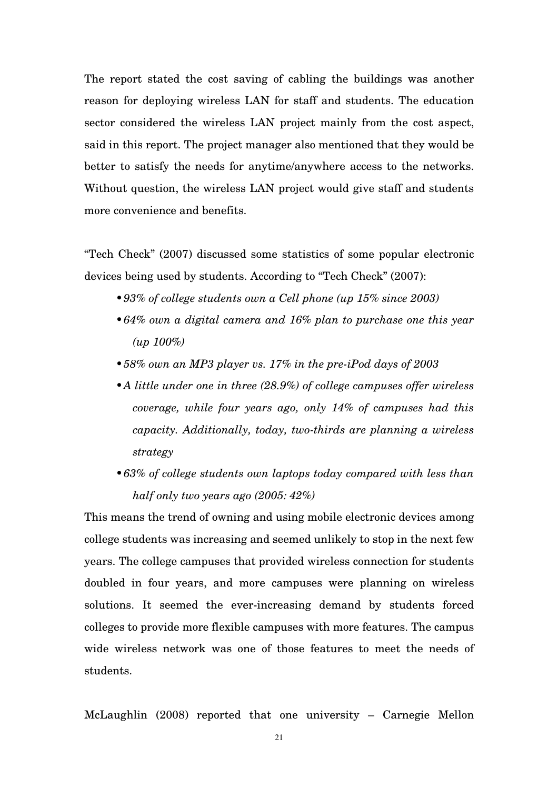The report stated the cost saving of cabling the buildings was another reason for deploying wireless LAN for staff and students. The education sector considered the wireless LAN project mainly from the cost aspect, said in this report. The project manager also mentioned that they would be better to satisfy the needs for anytime/anywhere access to the networks. Without question, the wireless LAN project would give staff and students more convenience and benefits.

"Tech Check" (2007) discussed some statistics of some popular electronic devices being used by students. According to "Tech Check" (2007):

- •*93% of college students own a Cell phone (up 15% since 2003)*
- •*64% own a digital camera and 16% plan to purchase one this year (up 100%)*
- •*58% own an MP3 player vs. 17% in the pre-iPod days of 2003*
- •*A little under one in three (28.9%) of college campuses offer wireless coverage, while four years ago, only 14% of campuses had this capacity. Additionally, today, two-thirds are planning a wireless strategy*
- •*63% of college students own laptops today compared with less than half only two years ago (2005: 42%)*

This means the trend of owning and using mobile electronic devices among college students was increasing and seemed unlikely to stop in the next few years. The college campuses that provided wireless connection for students doubled in four years, and more campuses were planning on wireless solutions. It seemed the ever-increasing demand by students forced colleges to provide more flexible campuses with more features. The campus wide wireless network was one of those features to meet the needs of students.

McLaughlin (2008) reported that one university – Carnegie Mellon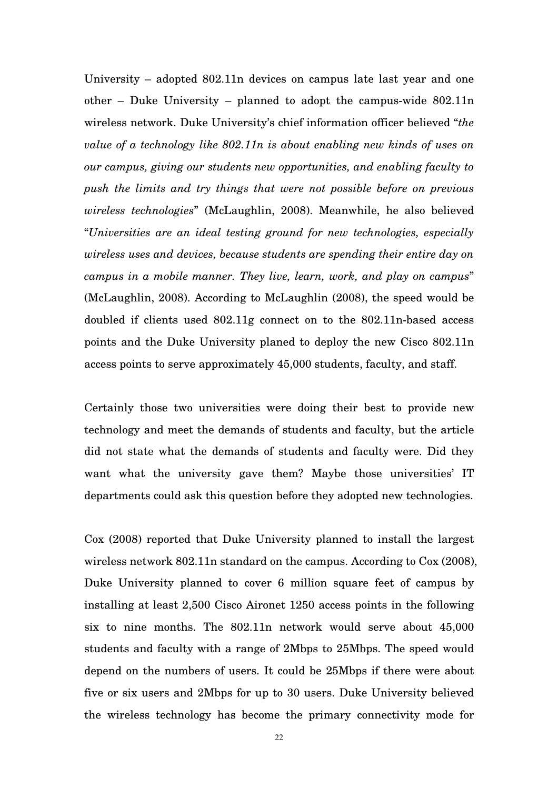University – adopted 802.11n devices on campus late last year and one other – Duke University – planned to adopt the campus-wide 802.11n wireless network. Duke University's chief information officer believed "*the value of a technology like 802.11n is about enabling new kinds of uses on our campus, giving our students new opportunities, and enabling faculty to push the limits and try things that were not possible before on previous wireless technologies*" (McLaughlin, 2008). Meanwhile, he also believed "*Universities are an ideal testing ground for new technologies, especially wireless uses and devices, because students are spending their entire day on campus in a mobile manner. They live, learn, work, and play on campus*" (McLaughlin, 2008). According to McLaughlin (2008), the speed would be doubled if clients used 802.11g connect on to the 802.11n-based access points and the Duke University planed to deploy the new Cisco 802.11n access points to serve approximately 45,000 students, faculty, and staff.

Certainly those two universities were doing their best to provide new technology and meet the demands of students and faculty, but the article did not state what the demands of students and faculty were. Did they want what the university gave them? Maybe those universities' IT departments could ask this question before they adopted new technologies.

Cox (2008) reported that Duke University planned to install the largest wireless network 802.11n standard on the campus. According to Cox (2008), Duke University planned to cover 6 million square feet of campus by installing at least 2,500 Cisco Aironet 1250 access points in the following six to nine months. The 802.11n network would serve about 45,000 students and faculty with a range of 2Mbps to 25Mbps. The speed would depend on the numbers of users. It could be 25Mbps if there were about five or six users and 2Mbps for up to 30 users. Duke University believed the wireless technology has become the primary connectivity mode for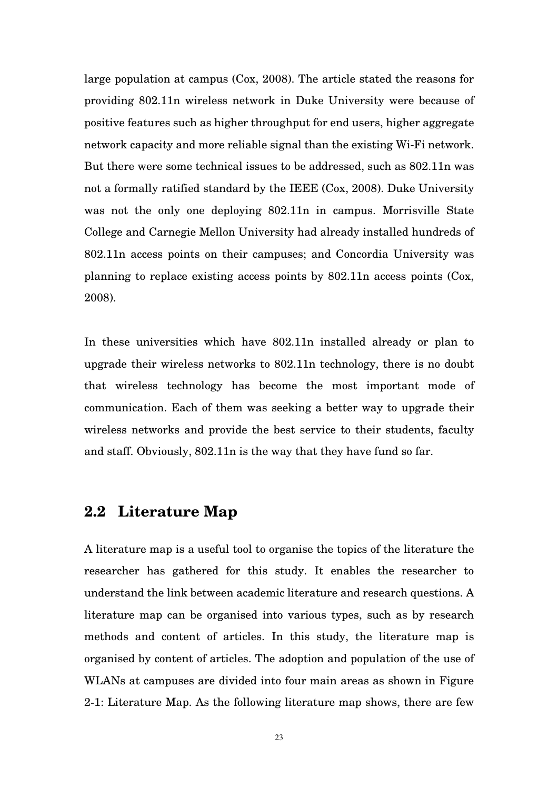large population at campus (Cox, 2008). The article stated the reasons for providing 802.11n wireless network in Duke University were because of positive features such as higher throughput for end users, higher aggregate network capacity and more reliable signal than the existing Wi-Fi network. But there were some technical issues to be addressed, such as 802.11n was not a formally ratified standard by the IEEE (Cox, 2008). Duke University was not the only one deploying 802.11n in campus. Morrisville State College and Carnegie Mellon University had already installed hundreds of 802.11n access points on their campuses; and Concordia University was planning to replace existing access points by 802.11n access points (Cox, 2008).

In these universities which have 802.11n installed already or plan to upgrade their wireless networks to 802.11n technology, there is no doubt that wireless technology has become the most important mode of communication. Each of them was seeking a better way to upgrade their wireless networks and provide the best service to their students, faculty and staff. Obviously, 802.11n is the way that they have fund so far.

#### **2.2 Literature Map**

A literature map is a useful tool to organise the topics of the literature the researcher has gathered for this study. It enables the researcher to understand the link between academic literature and research questions. A literature map can be organised into various types, such as by research methods and content of articles. In this study, the literature map is organised by content of articles. The adoption and population of the use of WLANs at campuses are divided into four main areas as shown in Figure 2-1: Literature Map. As the following literature map shows, there are few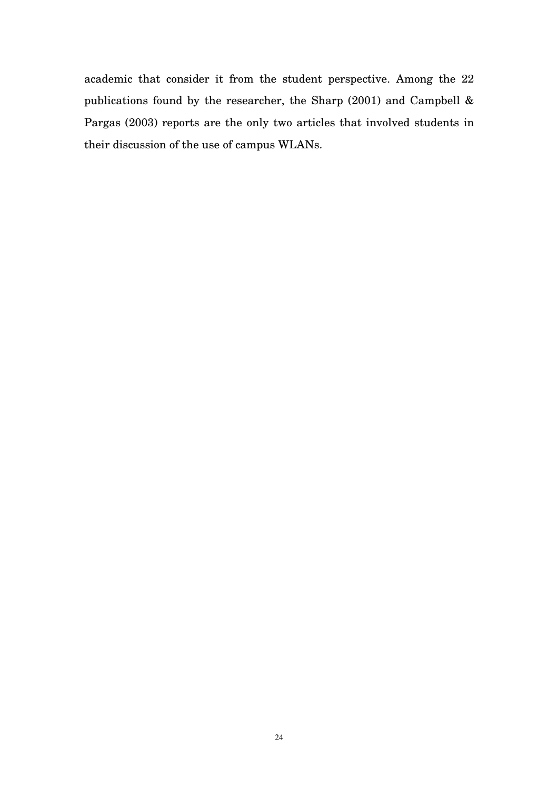academic that consider it from the student perspective. Among the 22 publications found by the researcher, the Sharp (2001) and Campbell & Pargas (2003) reports are the only two articles that involved students in their discussion of the use of campus WLANs.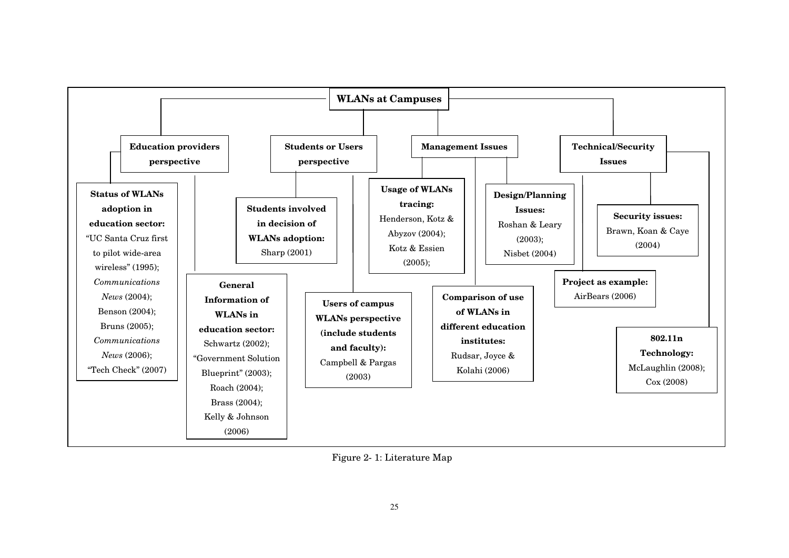

Figure 2- 1: Literature Map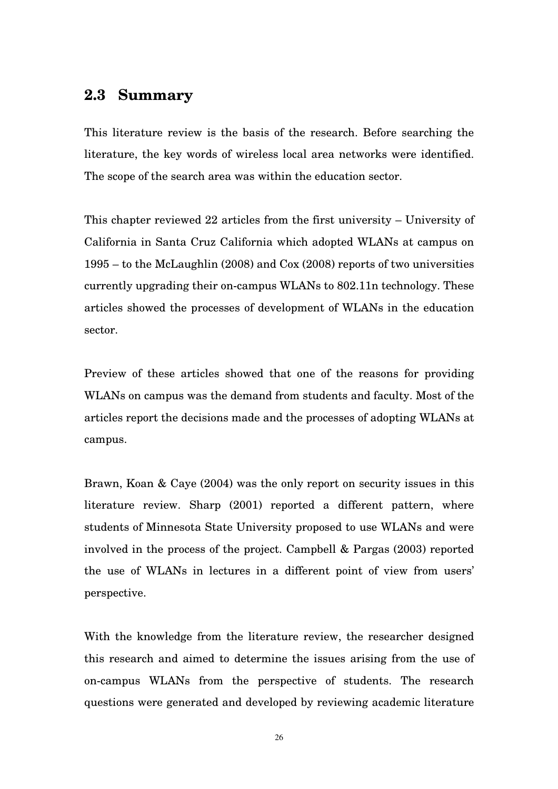#### **2.3 Summary**

This literature review is the basis of the research. Before searching the literature, the key words of wireless local area networks were identified. The scope of the search area was within the education sector.

This chapter reviewed 22 articles from the first university – University of California in Santa Cruz California which adopted WLANs at campus on 1995 – to the McLaughlin (2008) and Cox (2008) reports of two universities currently upgrading their on-campus WLANs to 802.11n technology. These articles showed the processes of development of WLANs in the education sector.

Preview of these articles showed that one of the reasons for providing WLANs on campus was the demand from students and faculty. Most of the articles report the decisions made and the processes of adopting WLANs at campus.

Brawn, Koan & Caye (2004) was the only report on security issues in this literature review. Sharp (2001) reported a different pattern, where students of Minnesota State University proposed to use WLANs and were involved in the process of the project. Campbell & Pargas (2003) reported the use of WLANs in lectures in a different point of view from users' perspective.

With the knowledge from the literature review, the researcher designed this research and aimed to determine the issues arising from the use of on-campus WLANs from the perspective of students. The research questions were generated and developed by reviewing academic literature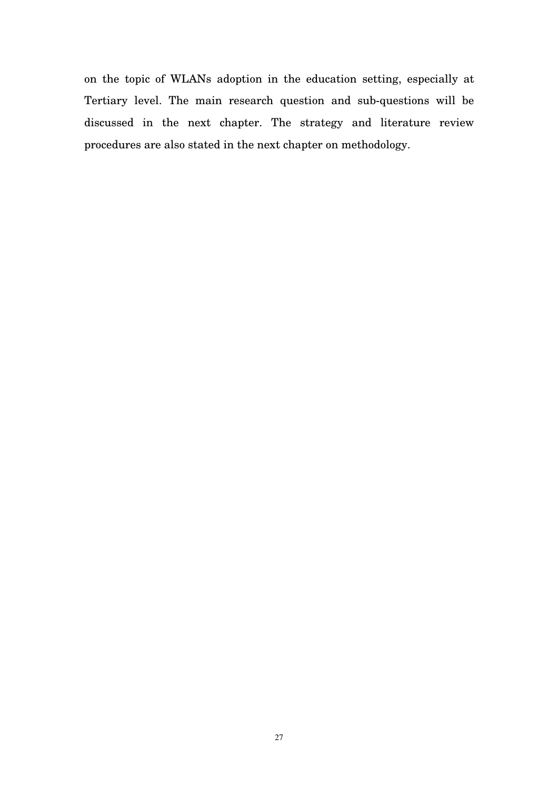on the topic of WLANs adoption in the education setting, especially at Tertiary level. The main research question and sub-questions will be discussed in the next chapter. The strategy and literature review procedures are also stated in the next chapter on methodology.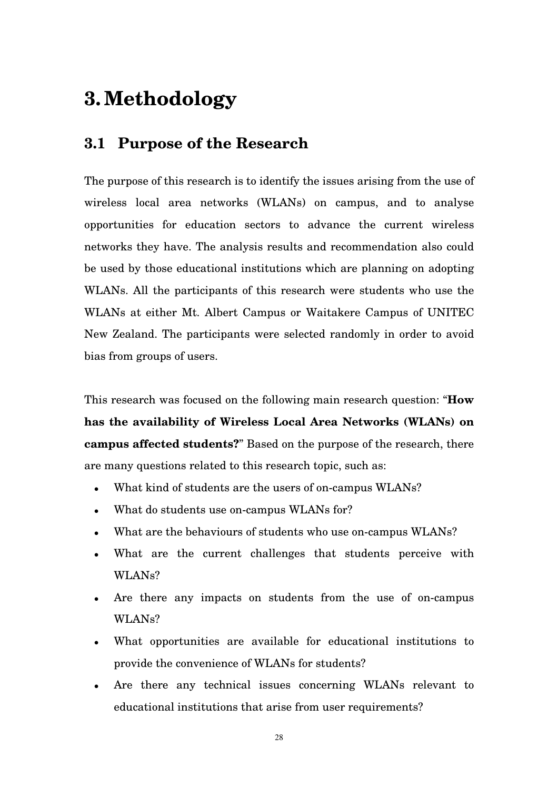### **3.Methodology**

### **3.1 Purpose of the Research**

The purpose of this research is to identify the issues arising from the use of wireless local area networks (WLANs) on campus, and to analyse opportunities for education sectors to advance the current wireless networks they have. The analysis results and recommendation also could be used by those educational institutions which are planning on adopting WLANs. All the participants of this research were students who use the WLANs at either Mt. Albert Campus or Waitakere Campus of UNITEC New Zealand. The participants were selected randomly in order to avoid bias from groups of users.

This research was focused on the following main research question: "**How has the availability of Wireless Local Area Networks (WLANs) on campus affected students?**" Based on the purpose of the research, there are many questions related to this research topic, such as:

- What kind of students are the users of on-campus WLANs?
- What do students use on-campus WLANs for?
- What are the behaviours of students who use on-campus WLANs?
- What are the current challenges that students perceive with WLANs?
- Are there any impacts on students from the use of on-campus WLANs?
- What opportunities are available for educational institutions to provide the convenience of WLANs for students?
- Are there any technical issues concerning WLANs relevant to educational institutions that arise from user requirements?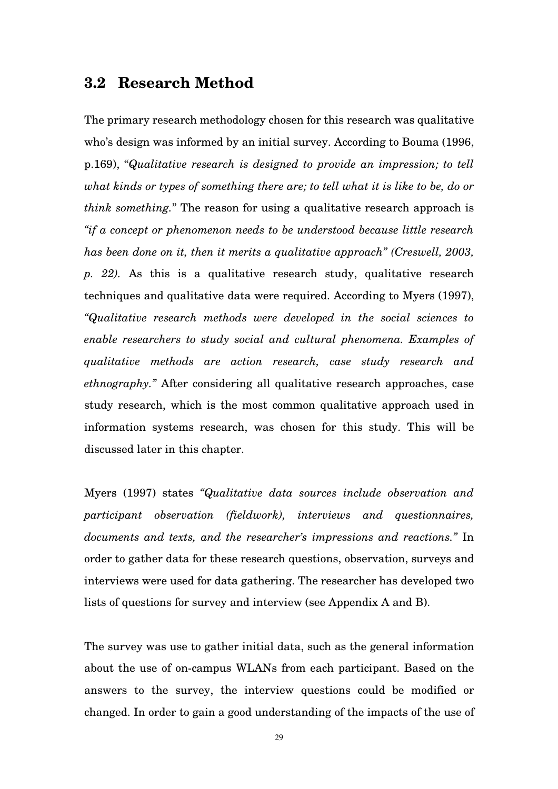#### **3.2 Research Method**

The primary research methodology chosen for this research was qualitative who's design was informed by an initial survey. According to Bouma (1996, p.169), "*Qualitative research is designed to provide an impression; to tell what kinds or types of something there are; to tell what it is like to be, do or think something.*" The reason for using a qualitative research approach is *"if a concept or phenomenon needs to be understood because little research has been done on it, then it merits a qualitative approach" (Creswell, 2003, p. 22).* As this is a qualitative research study, qualitative research techniques and qualitative data were required. According to Myers (1997), *"Qualitative research methods were developed in the social sciences to enable researchers to study social and cultural phenomena. Examples of qualitative methods are action research, case study research and ethnography."* After considering all qualitative research approaches, case study research, which is the most common qualitative approach used in information systems research, was chosen for this study. This will be discussed later in this chapter.

Myers (1997) states *"Qualitative data sources include observation and participant observation (fieldwork), interviews and questionnaires, documents and texts, and the researcher's impressions and reactions."* In order to gather data for these research questions, observation, surveys and interviews were used for data gathering. The researcher has developed two lists of questions for survey and interview (see Appendix A and B).

The survey was use to gather initial data, such as the general information about the use of on-campus WLANs from each participant. Based on the answers to the survey, the interview questions could be modified or changed. In order to gain a good understanding of the impacts of the use of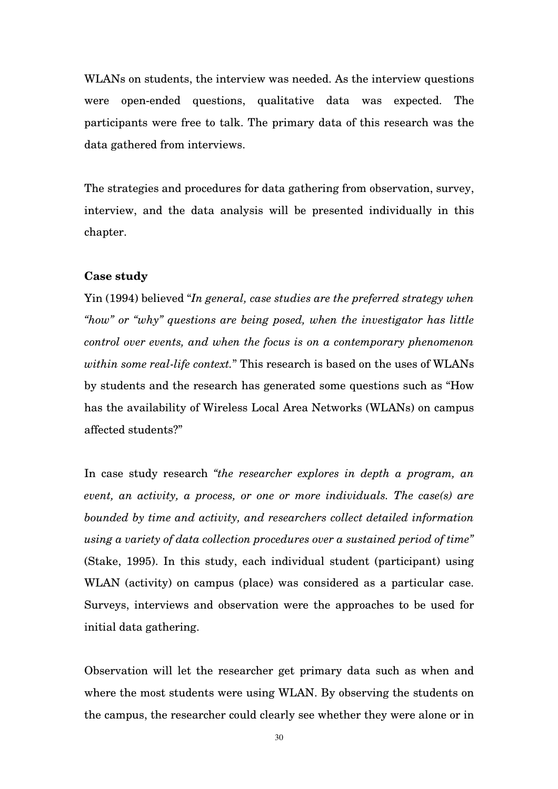WLANs on students, the interview was needed. As the interview questions were open-ended questions, qualitative data was expected. The participants were free to talk. The primary data of this research was the data gathered from interviews.

The strategies and procedures for data gathering from observation, survey, interview, and the data analysis will be presented individually in this chapter.

#### **Case study**

Yin (1994) believed "*In general, case studies are the preferred strategy when "how" or "why" questions are being posed, when the investigator has little control over events, and when the focus is on a contemporary phenomenon within some real-life context.*" This research is based on the uses of WLANs by students and the research has generated some questions such as "How has the availability of Wireless Local Area Networks (WLANs) on campus affected students?"

In case study research *"the researcher explores in depth a program, an event, an activity, a process, or one or more individuals. The case(s) are bounded by time and activity, and researchers collect detailed information using a variety of data collection procedures over a sustained period of time"* (Stake, 1995). In this study, each individual student (participant) using WLAN (activity) on campus (place) was considered as a particular case. Surveys, interviews and observation were the approaches to be used for initial data gathering.

Observation will let the researcher get primary data such as when and where the most students were using WLAN. By observing the students on the campus, the researcher could clearly see whether they were alone or in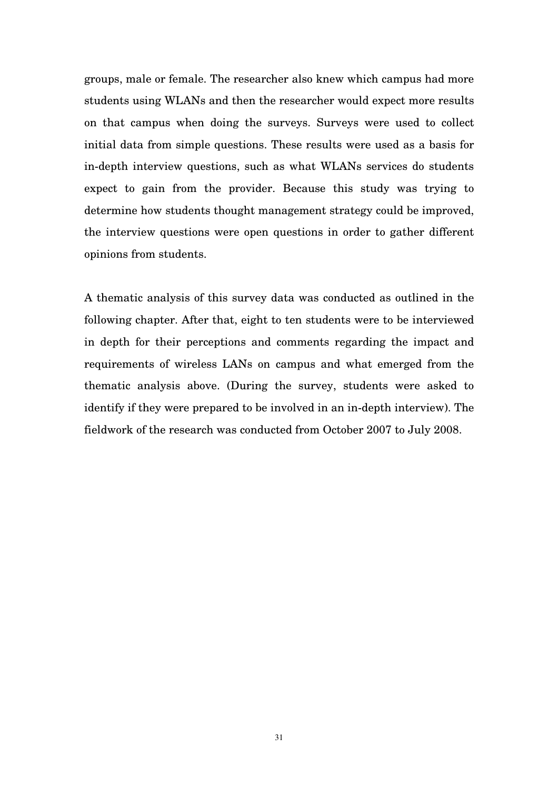groups, male or female. The researcher also knew which campus had more students using WLANs and then the researcher would expect more results on that campus when doing the surveys. Surveys were used to collect initial data from simple questions. These results were used as a basis for in-depth interview questions, such as what WLANs services do students expect to gain from the provider. Because this study was trying to determine how students thought management strategy could be improved, the interview questions were open questions in order to gather different opinions from students.

A thematic analysis of this survey data was conducted as outlined in the following chapter. After that, eight to ten students were to be interviewed in depth for their perceptions and comments regarding the impact and requirements of wireless LANs on campus and what emerged from the thematic analysis above. (During the survey, students were asked to identify if they were prepared to be involved in an in-depth interview). The fieldwork of the research was conducted from October 2007 to July 2008.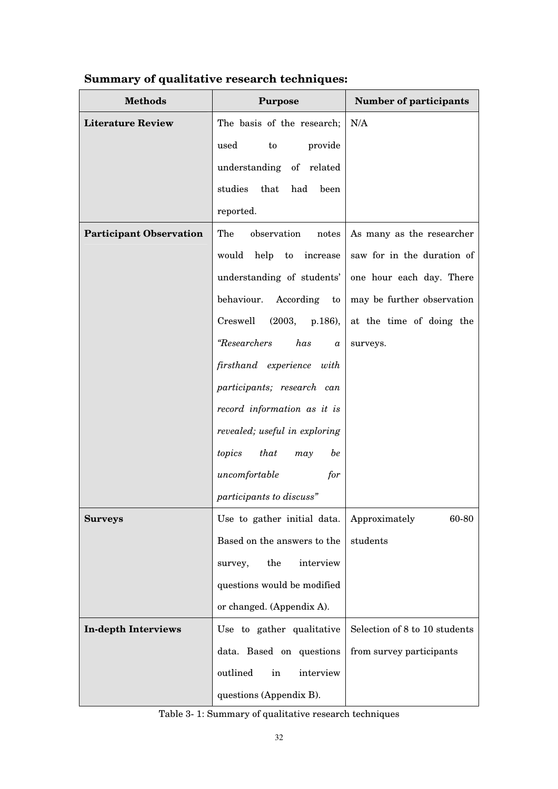| <b>Methods</b>                 | <b>Purpose</b>                         | <b>Number of participants</b> |  |  |  |
|--------------------------------|----------------------------------------|-------------------------------|--|--|--|
| <b>Literature Review</b>       | The basis of the research;             | N/A                           |  |  |  |
|                                | used<br>provide<br>to                  |                               |  |  |  |
|                                | understanding of related               |                               |  |  |  |
|                                | studies that<br>had<br>been            |                               |  |  |  |
|                                | reported.                              |                               |  |  |  |
| <b>Participant Observation</b> | The<br>observation<br>notes            | As many as the researcher     |  |  |  |
|                                | would<br>help<br>to<br>increase        | saw for in the duration of    |  |  |  |
|                                | understanding of students'             | one hour each day. There      |  |  |  |
|                                | behaviour. According to                | may be further observation    |  |  |  |
|                                | Creswell<br>(2003, p.186),             | at the time of doing the      |  |  |  |
|                                | <i>"Researchers</i><br>has<br>$\alpha$ | surveys.                      |  |  |  |
|                                | firsthand experience with              |                               |  |  |  |
|                                | participants; research can             |                               |  |  |  |
|                                | record information as it is            |                               |  |  |  |
|                                | revealed; useful in exploring          |                               |  |  |  |
|                                | topics<br>that<br>be<br>may            |                               |  |  |  |
|                                | uncomfortable<br>for                   |                               |  |  |  |
|                                | participants to discuss"               |                               |  |  |  |
| <b>Surveys</b>                 | Use to gather initial data.            | Approximately<br>60-80        |  |  |  |
|                                | Based on the answers to the            | students                      |  |  |  |
|                                | $_{\rm the}$<br>interview<br>survey,   |                               |  |  |  |
|                                | questions would be modified            |                               |  |  |  |
|                                | or changed. (Appendix A).              |                               |  |  |  |
| <b>In-depth Interviews</b>     | Use to gather qualitative              | Selection of 8 to 10 students |  |  |  |
|                                | data. Based on questions               | from survey participants      |  |  |  |
|                                | outlined<br>interview<br>in            |                               |  |  |  |
|                                | questions (Appendix B).                |                               |  |  |  |

# **Summary of qualitative research techniques:**

Table 3- 1: Summary of qualitative research techniques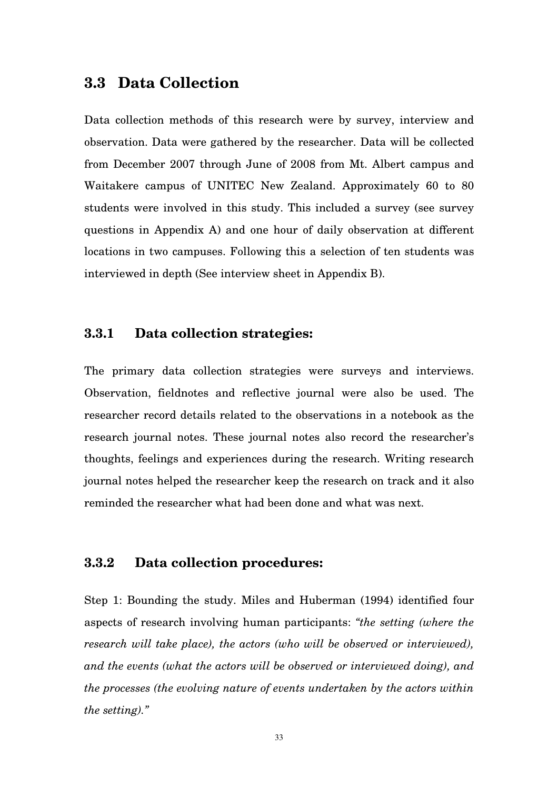# **3.3 Data Collection**

Data collection methods of this research were by survey, interview and observation. Data were gathered by the researcher. Data will be collected from December 2007 through June of 2008 from Mt. Albert campus and Waitakere campus of UNITEC New Zealand. Approximately 60 to 80 students were involved in this study. This included a survey (see survey questions in Appendix A) and one hour of daily observation at different locations in two campuses. Following this a selection of ten students was interviewed in depth (See interview sheet in Appendix B).

# **3.3.1 Data collection strategies:**

The primary data collection strategies were surveys and interviews. Observation, fieldnotes and reflective journal were also be used. The researcher record details related to the observations in a notebook as the research journal notes. These journal notes also record the researcher's thoughts, feelings and experiences during the research. Writing research journal notes helped the researcher keep the research on track and it also reminded the researcher what had been done and what was next.

# **3.3.2 Data collection procedures:**

Step 1: Bounding the study. Miles and Huberman (1994) identified four aspects of research involving human participants: *"the setting (where the research will take place), the actors (who will be observed or interviewed), and the events (what the actors will be observed or interviewed doing), and the processes (the evolving nature of events undertaken by the actors within the setting)."*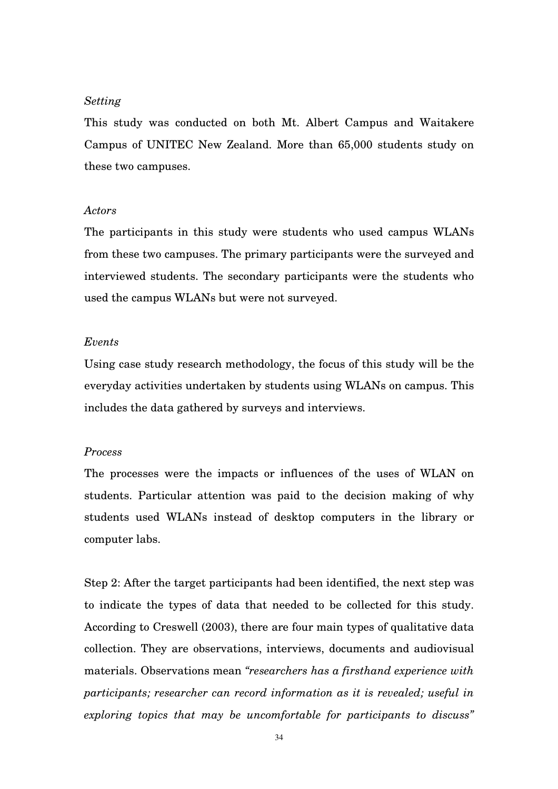#### *Setting*

This study was conducted on both Mt. Albert Campus and Waitakere Campus of UNITEC New Zealand. More than 65,000 students study on these two campuses.

#### *Actors*

The participants in this study were students who used campus WLANs from these two campuses. The primary participants were the surveyed and interviewed students. The secondary participants were the students who used the campus WLANs but were not surveyed.

#### *Events*

Using case study research methodology, the focus of this study will be the everyday activities undertaken by students using WLANs on campus. This includes the data gathered by surveys and interviews.

### *Process*

The processes were the impacts or influences of the uses of WLAN on students. Particular attention was paid to the decision making of why students used WLANs instead of desktop computers in the library or computer labs.

Step 2: After the target participants had been identified, the next step was to indicate the types of data that needed to be collected for this study. According to Creswell (2003), there are four main types of qualitative data collection. They are observations, interviews, documents and audiovisual materials. Observations mean *"researchers has a firsthand experience with participants; researcher can record information as it is revealed; useful in exploring topics that may be uncomfortable for participants to discuss"*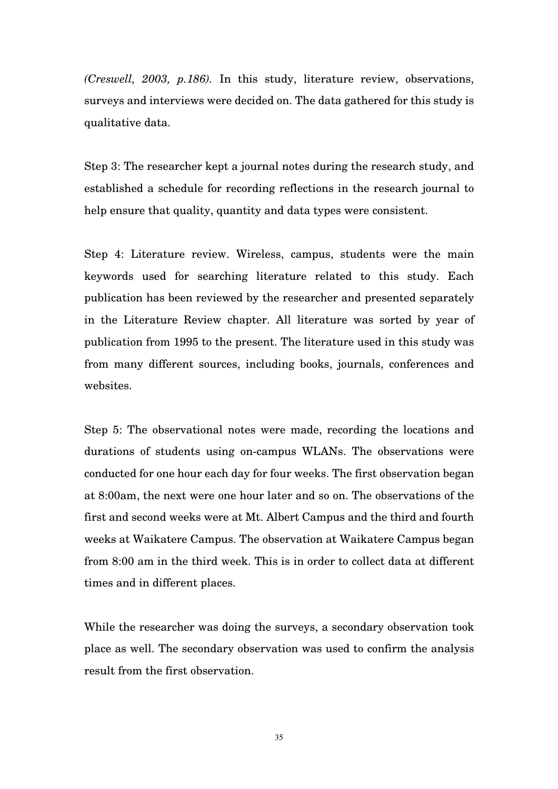*(Creswell, 2003, p.186).* In this study, literature review, observations, surveys and interviews were decided on. The data gathered for this study is qualitative data.

Step 3: The researcher kept a journal notes during the research study, and established a schedule for recording reflections in the research journal to help ensure that quality, quantity and data types were consistent.

Step 4: Literature review. Wireless, campus, students were the main keywords used for searching literature related to this study. Each publication has been reviewed by the researcher and presented separately in the Literature Review chapter. All literature was sorted by year of publication from 1995 to the present. The literature used in this study was from many different sources, including books, journals, conferences and websites.

Step 5: The observational notes were made, recording the locations and durations of students using on-campus WLANs. The observations were conducted for one hour each day for four weeks. The first observation began at 8:00am, the next were one hour later and so on. The observations of the first and second weeks were at Mt. Albert Campus and the third and fourth weeks at Waikatere Campus. The observation at Waikatere Campus began from 8:00 am in the third week. This is in order to collect data at different times and in different places.

While the researcher was doing the surveys, a secondary observation took place as well. The secondary observation was used to confirm the analysis result from the first observation.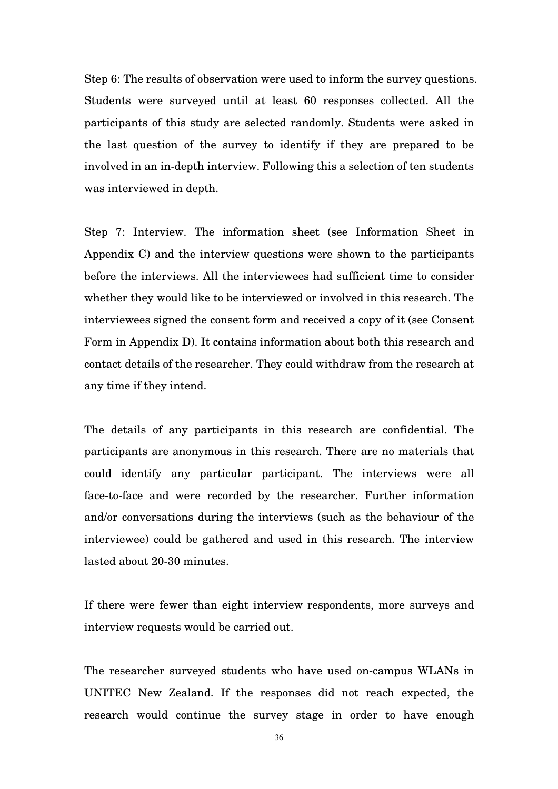Step 6: The results of observation were used to inform the survey questions. Students were surveyed until at least 60 responses collected. All the participants of this study are selected randomly. Students were asked in the last question of the survey to identify if they are prepared to be involved in an in-depth interview. Following this a selection of ten students was interviewed in depth.

Step 7: Interview. The information sheet (see Information Sheet in Appendix C) and the interview questions were shown to the participants before the interviews. All the interviewees had sufficient time to consider whether they would like to be interviewed or involved in this research. The interviewees signed the consent form and received a copy of it (see Consent Form in Appendix D). It contains information about both this research and contact details of the researcher. They could withdraw from the research at any time if they intend.

The details of any participants in this research are confidential. The participants are anonymous in this research. There are no materials that could identify any particular participant. The interviews were all face-to-face and were recorded by the researcher. Further information and/or conversations during the interviews (such as the behaviour of the interviewee) could be gathered and used in this research. The interview lasted about 20-30 minutes.

If there were fewer than eight interview respondents, more surveys and interview requests would be carried out.

The researcher surveyed students who have used on-campus WLANs in UNITEC New Zealand. If the responses did not reach expected, the research would continue the survey stage in order to have enough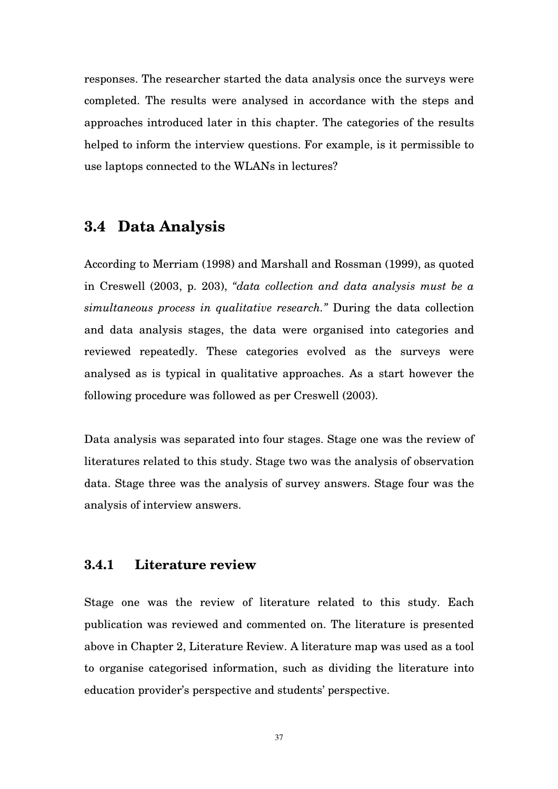responses. The researcher started the data analysis once the surveys were completed. The results were analysed in accordance with the steps and approaches introduced later in this chapter. The categories of the results helped to inform the interview questions. For example, is it permissible to use laptops connected to the WLANs in lectures?

# **3.4 Data Analysis**

According to Merriam (1998) and Marshall and Rossman (1999), as quoted in Creswell (2003, p. 203), *"data collection and data analysis must be a simultaneous process in qualitative research."* During the data collection and data analysis stages, the data were organised into categories and reviewed repeatedly. These categories evolved as the surveys were analysed as is typical in qualitative approaches. As a start however the following procedure was followed as per Creswell (2003).

Data analysis was separated into four stages. Stage one was the review of literatures related to this study. Stage two was the analysis of observation data. Stage three was the analysis of survey answers. Stage four was the analysis of interview answers.

# **3.4.1 Literature review**

Stage one was the review of literature related to this study. Each publication was reviewed and commented on. The literature is presented above in Chapter 2, Literature Review. A literature map was used as a tool to organise categorised information, such as dividing the literature into education provider's perspective and students' perspective.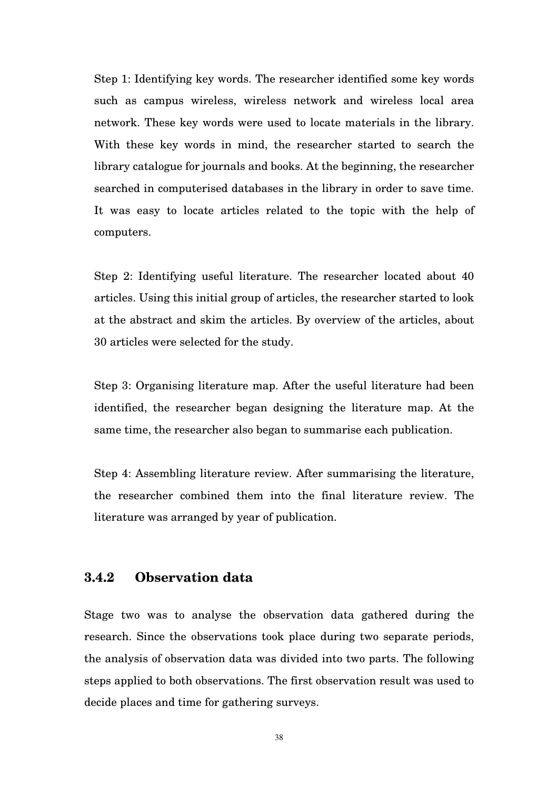Step 1: Identifying key words. The researcher identified some key words such as campus wireless, wireless network and wireless local area network. These key words were used to locate materials in the library. With these key words in mind, the researcher started to search the library catalogue for journals and books. At the beginning, the researcher searched in computerised databases in the library in order to save time. It was easy to locate articles related to the topic with the help of computers.

Step 2: Identifying useful literature. The researcher located about 40 articles. Using this initial group of articles, the researcher started to look at the abstract and skim the articles. By overview of the articles, about 30 articles were selected for the study.

Step 3: Organising literature map. After the useful literature had been identified, the researcher began designing the literature map. At the same time, the researcher also began to summarise each publication.

Step 4: Assembling literature review. After summarising the literature, the researcher combined them into the final literature review. The literature was arranged by year of publication.

# **3.4.2 Observation data**

Stage two was to analyse the observation data gathered during the research. Since the observations took place during two separate periods, the analysis of observation data was divided into two parts. The following steps applied to both observations. The first observation result was used to decide places and time for gathering surveys.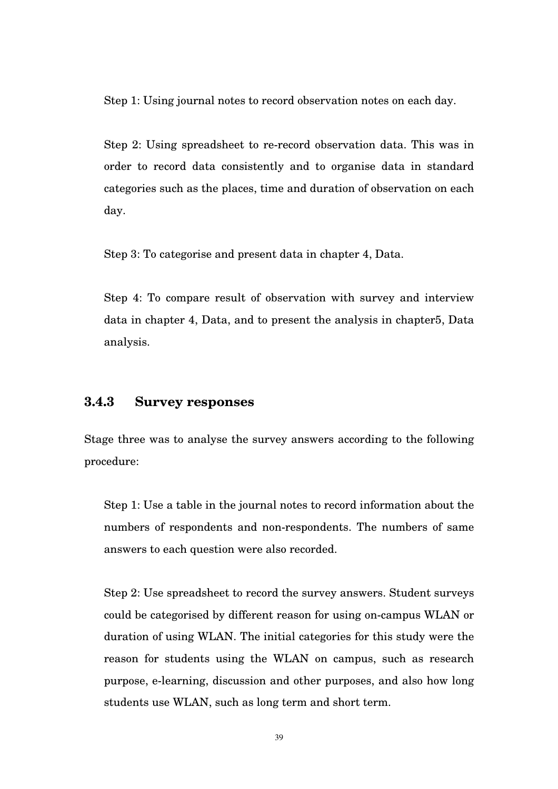Step 1: Using journal notes to record observation notes on each day.

Step 2: Using spreadsheet to re-record observation data. This was in order to record data consistently and to organise data in standard categories such as the places, time and duration of observation on each day.

Step 3: To categorise and present data in chapter 4, Data.

Step 4: To compare result of observation with survey and interview data in chapter 4, Data, and to present the analysis in chapter5, Data analysis.

## **3.4.3 Survey responses**

Stage three was to analyse the survey answers according to the following procedure:

Step 1: Use a table in the journal notes to record information about the numbers of respondents and non-respondents. The numbers of same answers to each question were also recorded.

Step 2: Use spreadsheet to record the survey answers. Student surveys could be categorised by different reason for using on-campus WLAN or duration of using WLAN. The initial categories for this study were the reason for students using the WLAN on campus, such as research purpose, e-learning, discussion and other purposes, and also how long students use WLAN, such as long term and short term.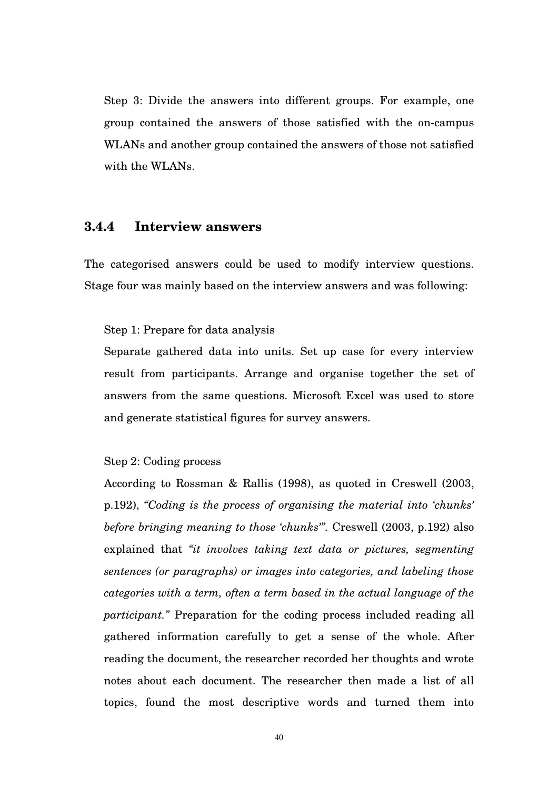Step 3: Divide the answers into different groups. For example, one group contained the answers of those satisfied with the on-campus WLANs and another group contained the answers of those not satisfied with the WLANs.

# **3.4.4 Interview answers**

The categorised answers could be used to modify interview questions. Stage four was mainly based on the interview answers and was following:

#### Step 1: Prepare for data analysis

Separate gathered data into units. Set up case for every interview result from participants. Arrange and organise together the set of answers from the same questions. Microsoft Excel was used to store and generate statistical figures for survey answers.

#### Step 2: Coding process

According to Rossman & Rallis (1998), as quoted in Creswell (2003, p.192), *"Coding is the process of organising the material into 'chunks' before bringing meaning to those 'chunks'".* Creswell (2003, p.192) also explained that *"it involves taking text data or pictures, segmenting sentences (or paragraphs) or images into categories, and labeling those categories with a term, often a term based in the actual language of the participant."* Preparation for the coding process included reading all gathered information carefully to get a sense of the whole. After reading the document, the researcher recorded her thoughts and wrote notes about each document. The researcher then made a list of all topics, found the most descriptive words and turned them into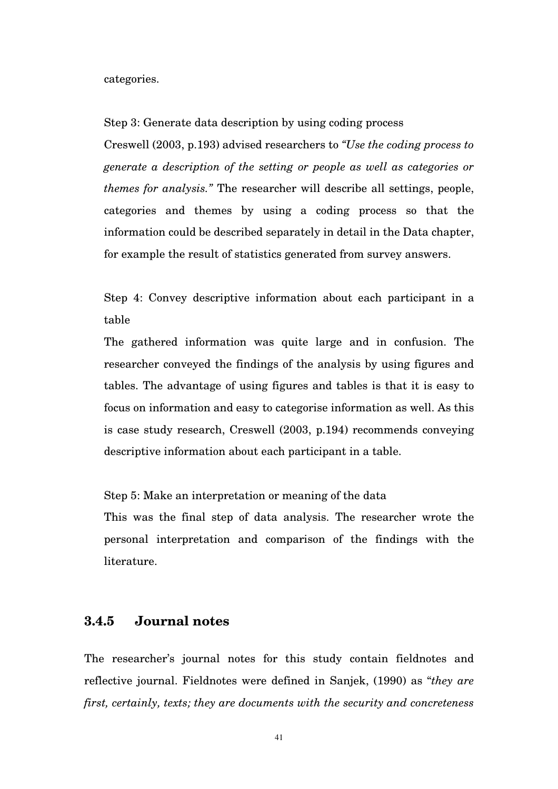categories.

Step 3: Generate data description by using coding process

Creswell (2003, p.193) advised researchers to *"Use the coding process to generate a description of the setting or people as well as categories or themes for analysis."* The researcher will describe all settings, people, categories and themes by using a coding process so that the information could be described separately in detail in the Data chapter, for example the result of statistics generated from survey answers.

Step 4: Convey descriptive information about each participant in a table

The gathered information was quite large and in confusion. The researcher conveyed the findings of the analysis by using figures and tables. The advantage of using figures and tables is that it is easy to focus on information and easy to categorise information as well. As this is case study research, Creswell (2003, p.194) recommends conveying descriptive information about each participant in a table.

Step 5: Make an interpretation or meaning of the data

This was the final step of data analysis. The researcher wrote the personal interpretation and comparison of the findings with the literature.

# **3.4.5 Journal notes**

The researcher's journal notes for this study contain fieldnotes and reflective journal. Fieldnotes were defined in Sanjek, (1990) as "*they are first, certainly, texts; they are documents with the security and concreteness* 

41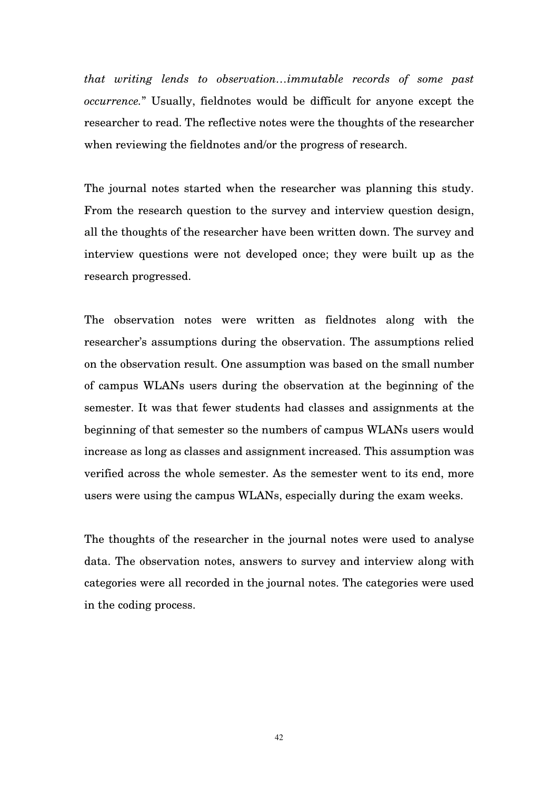*that writing lends to observation…immutable records of some past occurrence.*" Usually, fieldnotes would be difficult for anyone except the researcher to read. The reflective notes were the thoughts of the researcher when reviewing the fieldnotes and/or the progress of research.

The journal notes started when the researcher was planning this study. From the research question to the survey and interview question design, all the thoughts of the researcher have been written down. The survey and interview questions were not developed once; they were built up as the research progressed.

The observation notes were written as fieldnotes along with the researcher's assumptions during the observation. The assumptions relied on the observation result. One assumption was based on the small number of campus WLANs users during the observation at the beginning of the semester. It was that fewer students had classes and assignments at the beginning of that semester so the numbers of campus WLANs users would increase as long as classes and assignment increased. This assumption was verified across the whole semester. As the semester went to its end, more users were using the campus WLANs, especially during the exam weeks.

The thoughts of the researcher in the journal notes were used to analyse data. The observation notes, answers to survey and interview along with categories were all recorded in the journal notes. The categories were used in the coding process.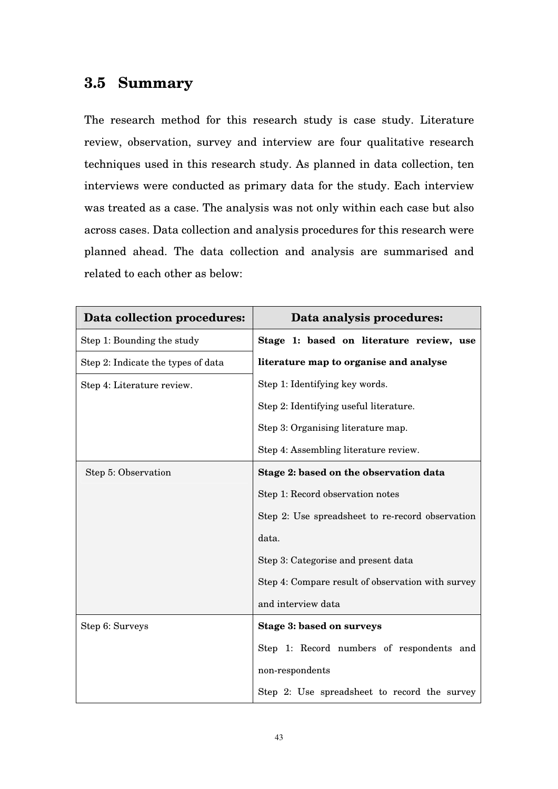# **3.5 Summary**

The research method for this research study is case study. Literature review, observation, survey and interview are four qualitative research techniques used in this research study. As planned in data collection, ten interviews were conducted as primary data for the study. Each interview was treated as a case. The analysis was not only within each case but also across cases. Data collection and analysis procedures for this research were planned ahead. The data collection and analysis are summarised and related to each other as below:

| Data collection procedures:        | Data analysis procedures:                         |
|------------------------------------|---------------------------------------------------|
| Step 1: Bounding the study         | Stage 1: based on literature review, use          |
| Step 2: Indicate the types of data | literature map to organise and analyse            |
| Step 4: Literature review.         | Step 1: Identifying key words.                    |
|                                    | Step 2: Identifying useful literature.            |
|                                    | Step 3: Organising literature map.                |
|                                    | Step 4: Assembling literature review.             |
| Step 5: Observation                | Stage 2: based on the observation data            |
|                                    | Step 1: Record observation notes                  |
|                                    | Step 2: Use spreadsheet to re-record observation  |
|                                    | data.                                             |
|                                    | Step 3: Categorise and present data               |
|                                    | Step 4: Compare result of observation with survey |
|                                    | and interview data                                |
| Step 6: Surveys                    | <b>Stage 3: based on surveys</b>                  |
|                                    | Step 1: Record numbers of respondents and         |
|                                    | non-respondents                                   |
|                                    | Step 2: Use spreadsheet to record the survey      |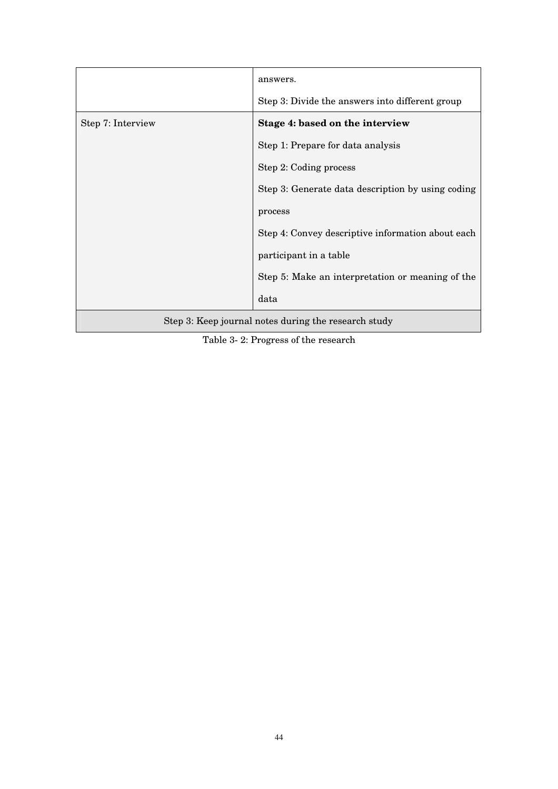|                                                      | answers.                                          |  |  |  |  |
|------------------------------------------------------|---------------------------------------------------|--|--|--|--|
|                                                      | Step 3: Divide the answers into different group   |  |  |  |  |
| Step 7: Interview                                    | Stage 4: based on the interview                   |  |  |  |  |
|                                                      | Step 1: Prepare for data analysis                 |  |  |  |  |
|                                                      | Step 2: Coding process                            |  |  |  |  |
|                                                      | Step 3: Generate data description by using coding |  |  |  |  |
|                                                      | process                                           |  |  |  |  |
|                                                      | Step 4: Convey descriptive information about each |  |  |  |  |
|                                                      | participant in a table                            |  |  |  |  |
|                                                      | Step 5: Make an interpretation or meaning of the  |  |  |  |  |
|                                                      | data                                              |  |  |  |  |
| Step 3: Keep journal notes during the research study |                                                   |  |  |  |  |

Table 3- 2: Progress of the research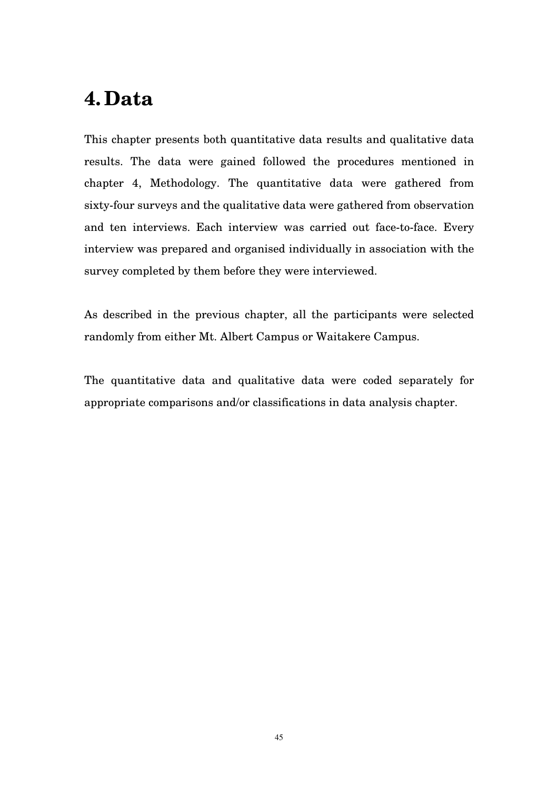# **4. Data**

This chapter presents both quantitative data results and qualitative data results. The data were gained followed the procedures mentioned in chapter 4, Methodology. The quantitative data were gathered from sixty-four surveys and the qualitative data were gathered from observation and ten interviews. Each interview was carried out face-to-face. Every interview was prepared and organised individually in association with the survey completed by them before they were interviewed.

As described in the previous chapter, all the participants were selected randomly from either Mt. Albert Campus or Waitakere Campus.

The quantitative data and qualitative data were coded separately for appropriate comparisons and/or classifications in data analysis chapter.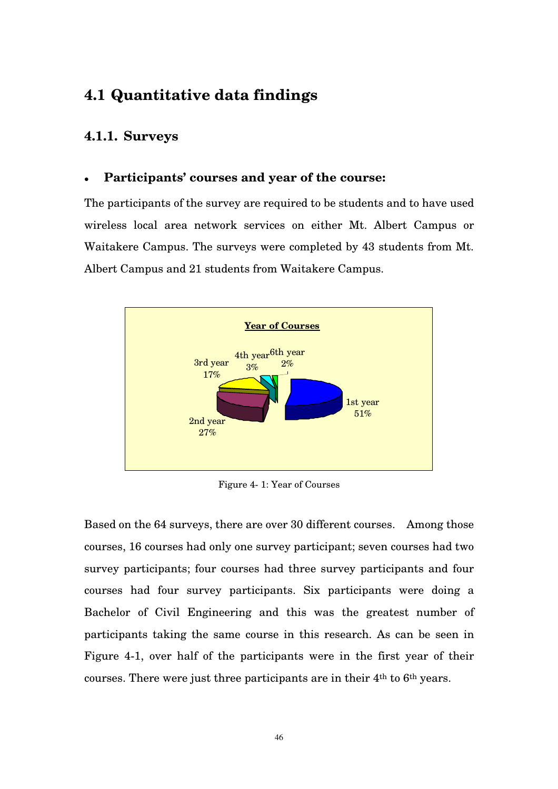# **4.1 Quantitative data findings**

# **4.1.1. Surveys**

# **Participants' courses and year of the course:**

The participants of the survey are required to be students and to have used wireless local area network services on either Mt. Albert Campus or Waitakere Campus. The surveys were completed by 43 students from Mt. Albert Campus and 21 students from Waitakere Campus.



Figure 4- 1: Year of Courses

Based on the 64 surveys, there are over 30 different courses. Among those courses, 16 courses had only one survey participant; seven courses had two survey participants; four courses had three survey participants and four courses had four survey participants. Six participants were doing a Bachelor of Civil Engineering and this was the greatest number of participants taking the same course in this research. As can be seen in Figure 4-1, over half of the participants were in the first year of their courses. There were just three participants are in their 4th to 6th years.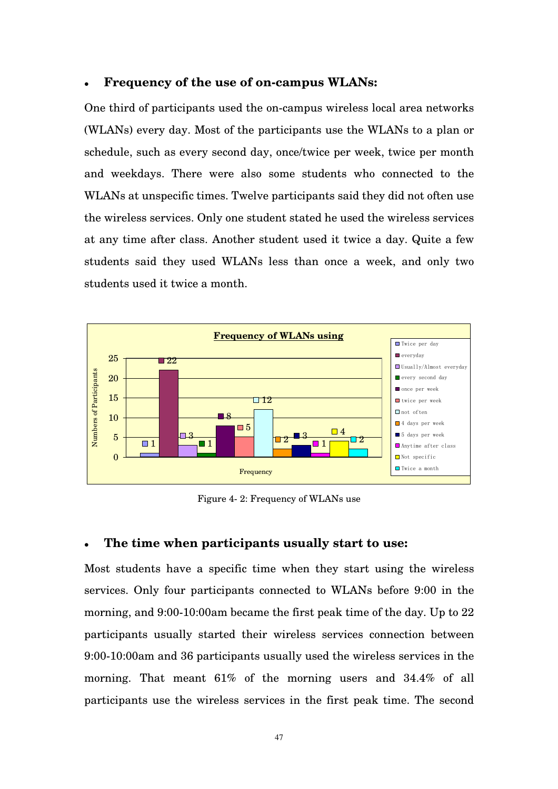#### **Frequency of the use of on-campus WLANs:**

One third of participants used the on-campus wireless local area networks (WLANs) every day. Most of the participants use the WLANs to a plan or schedule, such as every second day, once/twice per week, twice per month and weekdays. There were also some students who connected to the WLANs at unspecific times. Twelve participants said they did not often use the wireless services. Only one student stated he used the wireless services at any time after class. Another student used it twice a day. Quite a few students said they used WLANs less than once a week, and only two students used it twice a month.



Figure 4- 2: Frequency of WLANs use

### **The time when participants usually start to use:**

Most students have a specific time when they start using the wireless services. Only four participants connected to WLANs before 9:00 in the morning, and 9:00-10:00am became the first peak time of the day. Up to 22 participants usually started their wireless services connection between 9:00-10:00am and 36 participants usually used the wireless services in the morning. That meant 61% of the morning users and 34.4% of all participants use the wireless services in the first peak time. The second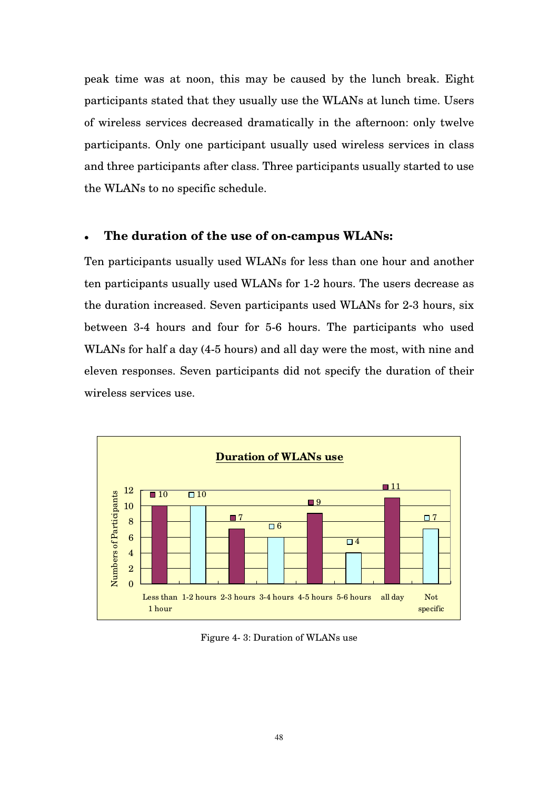peak time was at noon, this may be caused by the lunch break. Eight participants stated that they usually use the WLANs at lunch time. Users of wireless services decreased dramatically in the afternoon: only twelve participants. Only one participant usually used wireless services in class and three participants after class. Three participants usually started to use the WLANs to no specific schedule.

#### **The duration of the use of on-campus WLANs:**

Ten participants usually used WLANs for less than one hour and another ten participants usually used WLANs for 1-2 hours. The users decrease as the duration increased. Seven participants used WLANs for 2-3 hours, six between 3-4 hours and four for 5-6 hours. The participants who used WLANs for half a day (4-5 hours) and all day were the most, with nine and eleven responses. Seven participants did not specify the duration of their wireless services use.



Figure 4- 3: Duration of WLANs use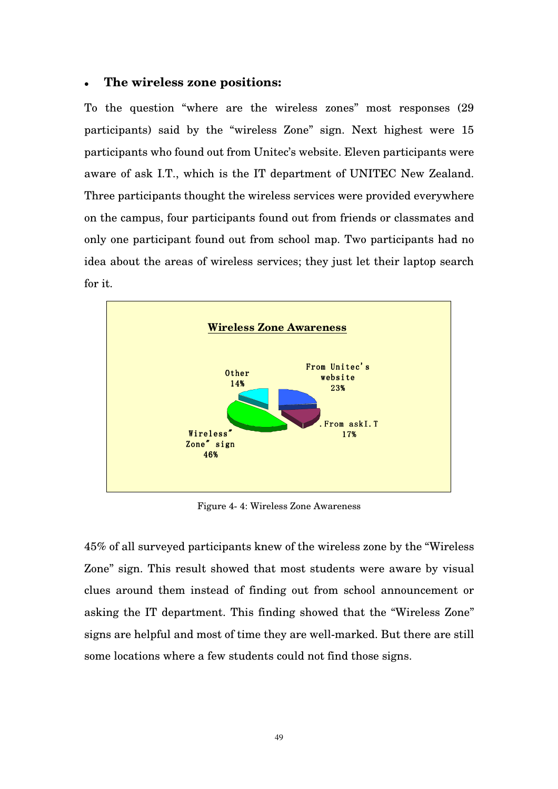#### **The wireless zone positions:**

To the question "where are the wireless zones" most responses (29 participants) said by the "wireless Zone" sign. Next highest were 15 participants who found out from Unitec's website. Eleven participants were aware of ask I.T., which is the IT department of UNITEC New Zealand. Three participants thought the wireless services were provided everywhere on the campus, four participants found out from friends or classmates and only one participant found out from school map. Two participants had no idea about the areas of wireless services; they just let their laptop search for it.



Figure 4- 4: Wireless Zone Awareness

45% of all surveyed participants knew of the wireless zone by the "Wireless Zone" sign. This result showed that most students were aware by visual clues around them instead of finding out from school announcement or asking the IT department. This finding showed that the "Wireless Zone" signs are helpful and most of time they are well-marked. But there are still some locations where a few students could not find those signs.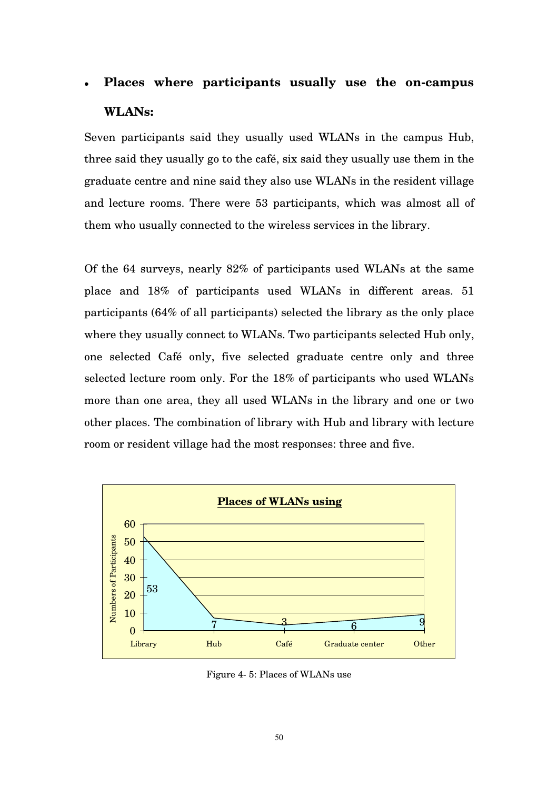# **Places where participants usually use the on-campus WLANs:**

Seven participants said they usually used WLANs in the campus Hub, three said they usually go to the café, six said they usually use them in the graduate centre and nine said they also use WLANs in the resident village and lecture rooms. There were 53 participants, which was almost all of them who usually connected to the wireless services in the library.

Of the 64 surveys, nearly 82% of participants used WLANs at the same place and 18% of participants used WLANs in different areas. 51 participants (64% of all participants) selected the library as the only place where they usually connect to WLANs. Two participants selected Hub only, one selected Café only, five selected graduate centre only and three selected lecture room only. For the 18% of participants who used WLANs more than one area, they all used WLANs in the library and one or two other places. The combination of library with Hub and library with lecture room or resident village had the most responses: three and five.



Figure 4- 5: Places of WLANs use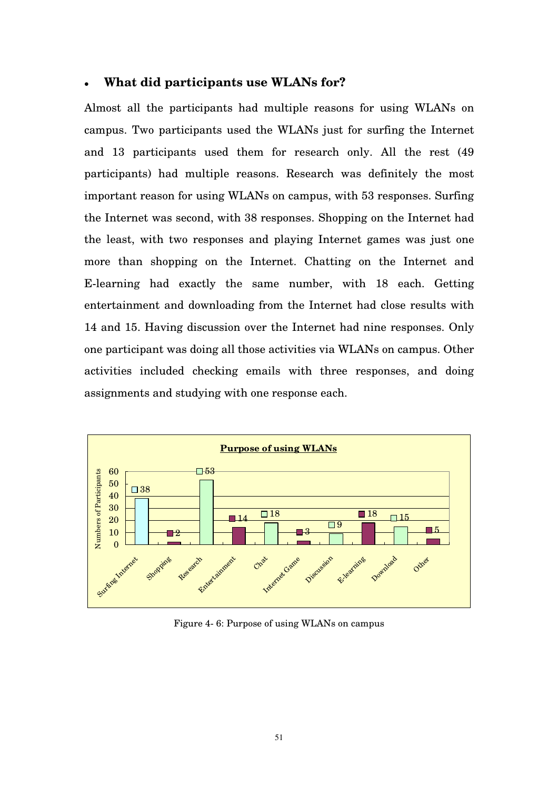#### **What did participants use WLANs for?**

Almost all the participants had multiple reasons for using WLANs on campus. Two participants used the WLANs just for surfing the Internet and 13 participants used them for research only. All the rest (49 participants) had multiple reasons. Research was definitely the most important reason for using WLANs on campus, with 53 responses. Surfing the Internet was second, with 38 responses. Shopping on the Internet had the least, with two responses and playing Internet games was just one more than shopping on the Internet. Chatting on the Internet and E-learning had exactly the same number, with 18 each. Getting entertainment and downloading from the Internet had close results with 14 and 15. Having discussion over the Internet had nine responses. Only one participant was doing all those activities via WLANs on campus. Other activities included checking emails with three responses, and doing assignments and studying with one response each.



Figure 4- 6: Purpose of using WLANs on campus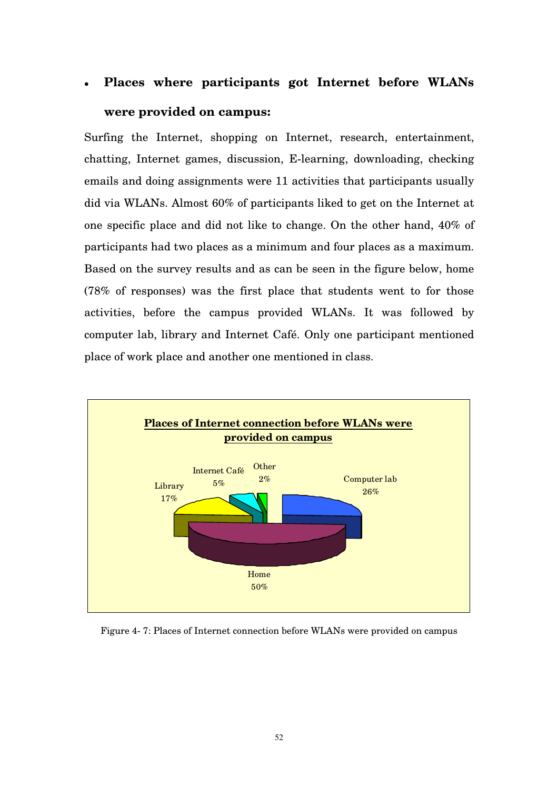# **Places where participants got Internet before WLANs were provided on campus:**

Surfing the Internet, shopping on Internet, research, entertainment, chatting, Internet games, discussion, E-learning, downloading, checking emails and doing assignments were 11 activities that participants usually did via WLANs. Almost 60% of participants liked to get on the Internet at one specific place and did not like to change. On the other hand, 40% of participants had two places as a minimum and four places as a maximum. Based on the survey results and as can be seen in the figure below, home (78% of responses) was the first place that students went to for those activities, before the campus provided WLANs. It was followed by computer lab, library and Internet Café. Only one participant mentioned place of work place and another one mentioned in class.



Figure 4- 7: Places of Internet connection before WLANs were provided on campus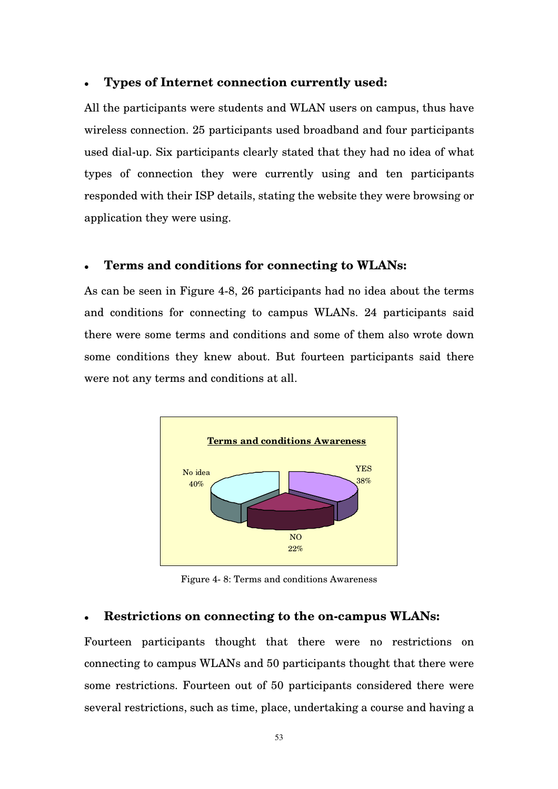#### **Types of Internet connection currently used:**

All the participants were students and WLAN users on campus, thus have wireless connection. 25 participants used broadband and four participants used dial-up. Six participants clearly stated that they had no idea of what types of connection they were currently using and ten participants responded with their ISP details, stating the website they were browsing or application they were using.

#### **Terms and conditions for connecting to WLANs:**

As can be seen in Figure 4-8, 26 participants had no idea about the terms and conditions for connecting to campus WLANs. 24 participants said there were some terms and conditions and some of them also wrote down some conditions they knew about. But fourteen participants said there were not any terms and conditions at all.



Figure 4- 8: Terms and conditions Awareness

#### **Restrictions on connecting to the on-campus WLANs:**

Fourteen participants thought that there were no restrictions on connecting to campus WLANs and 50 participants thought that there were some restrictions. Fourteen out of 50 participants considered there were several restrictions, such as time, place, undertaking a course and having a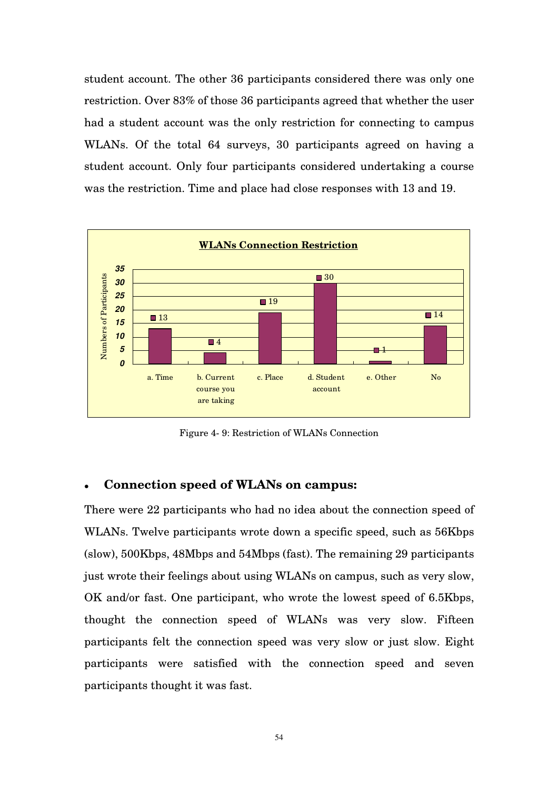student account. The other 36 participants considered there was only one restriction. Over 83% of those 36 participants agreed that whether the user had a student account was the only restriction for connecting to campus WLANs. Of the total 64 surveys, 30 participants agreed on having a student account. Only four participants considered undertaking a course was the restriction. Time and place had close responses with 13 and 19.



Figure 4- 9: Restriction of WLANs Connection

#### **Connection speed of WLANs on campus:**

There were 22 participants who had no idea about the connection speed of WLANs. Twelve participants wrote down a specific speed, such as 56Kbps (slow), 500Kbps, 48Mbps and 54Mbps (fast). The remaining 29 participants just wrote their feelings about using WLANs on campus, such as very slow, OK and/or fast. One participant, who wrote the lowest speed of 6.5Kbps, thought the connection speed of WLANs was very slow. Fifteen participants felt the connection speed was very slow or just slow. Eight participants were satisfied with the connection speed and seven participants thought it was fast.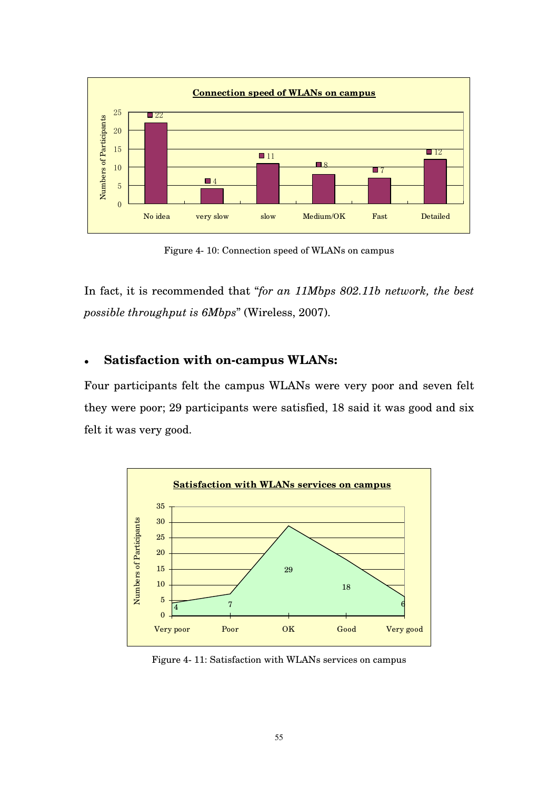

Figure 4- 10: Connection speed of WLANs on campus

In fact, it is recommended that "*for an 11Mbps 802.11b network, the best possible throughput is 6Mbps*" (Wireless, 2007).

# **Satisfaction with on-campus WLANs:**

Four participants felt the campus WLANs were very poor and seven felt they were poor; 29 participants were satisfied, 18 said it was good and six felt it was very good.



Figure 4- 11: Satisfaction with WLANs services on campus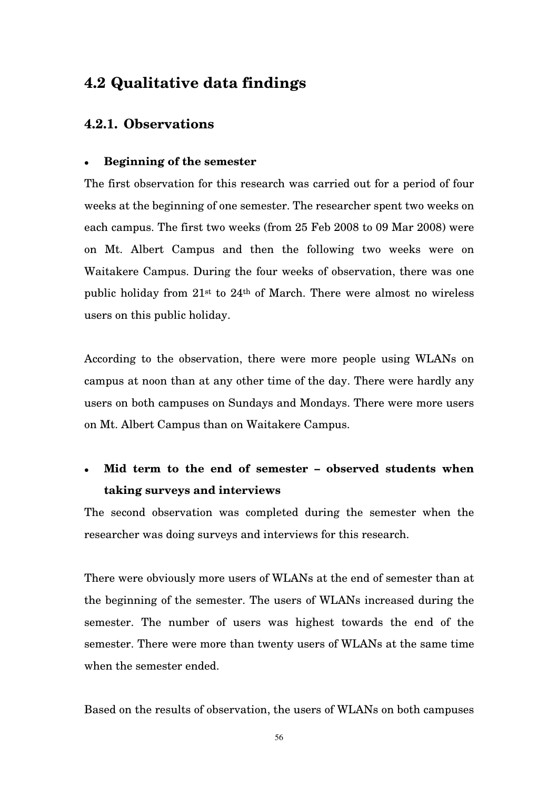# **4.2 Qualitative data findings**

# **4.2.1. Observations**

#### **Beginning of the semester**

The first observation for this research was carried out for a period of four weeks at the beginning of one semester. The researcher spent two weeks on each campus. The first two weeks (from 25 Feb 2008 to 09 Mar 2008) were on Mt. Albert Campus and then the following two weeks were on Waitakere Campus. During the four weeks of observation, there was one public holiday from 21st to 24th of March. There were almost no wireless users on this public holiday.

According to the observation, there were more people using WLANs on campus at noon than at any other time of the day. There were hardly any users on both campuses on Sundays and Mondays. There were more users on Mt. Albert Campus than on Waitakere Campus.

# **Mid term to the end of semester – observed students when taking surveys and interviews**

The second observation was completed during the semester when the researcher was doing surveys and interviews for this research.

There were obviously more users of WLANs at the end of semester than at the beginning of the semester. The users of WLANs increased during the semester. The number of users was highest towards the end of the semester. There were more than twenty users of WLANs at the same time when the semester ended.

Based on the results of observation, the users of WLANs on both campuses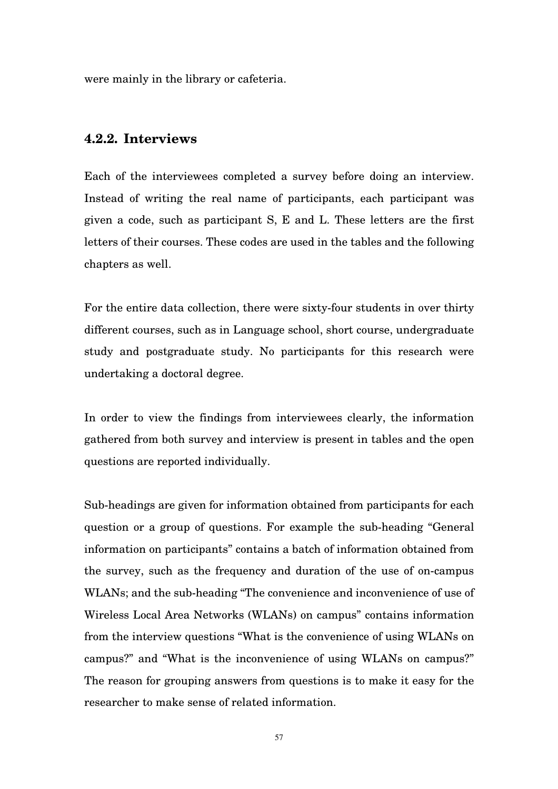were mainly in the library or cafeteria.

# **4.2.2. Interviews**

Each of the interviewees completed a survey before doing an interview. Instead of writing the real name of participants, each participant was given a code, such as participant S, E and L. These letters are the first letters of their courses. These codes are used in the tables and the following chapters as well.

For the entire data collection, there were sixty-four students in over thirty different courses, such as in Language school, short course, undergraduate study and postgraduate study. No participants for this research were undertaking a doctoral degree.

In order to view the findings from interviewees clearly, the information gathered from both survey and interview is present in tables and the open questions are reported individually.

Sub-headings are given for information obtained from participants for each question or a group of questions. For example the sub-heading "General information on participants" contains a batch of information obtained from the survey, such as the frequency and duration of the use of on-campus WLANs; and the sub-heading "The convenience and inconvenience of use of Wireless Local Area Networks (WLANs) on campus" contains information from the interview questions "What is the convenience of using WLANs on campus?" and "What is the inconvenience of using WLANs on campus?" The reason for grouping answers from questions is to make it easy for the researcher to make sense of related information.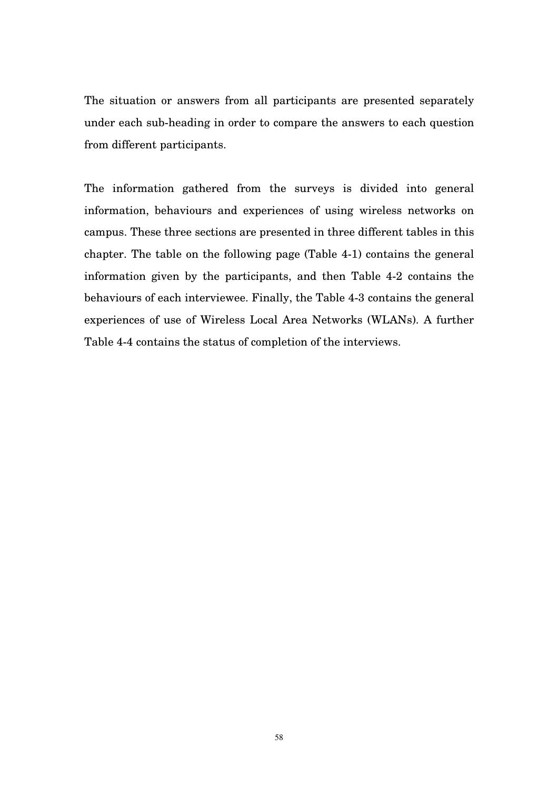The situation or answers from all participants are presented separately under each sub-heading in order to compare the answers to each question from different participants.

The information gathered from the surveys is divided into general information, behaviours and experiences of using wireless networks on campus. These three sections are presented in three different tables in this chapter. The table on the following page (Table 4-1) contains the general information given by the participants, and then Table 4-2 contains the behaviours of each interviewee. Finally, the Table 4-3 contains the general experiences of use of Wireless Local Area Networks (WLANs). A further Table 4-4 contains the status of completion of the interviews.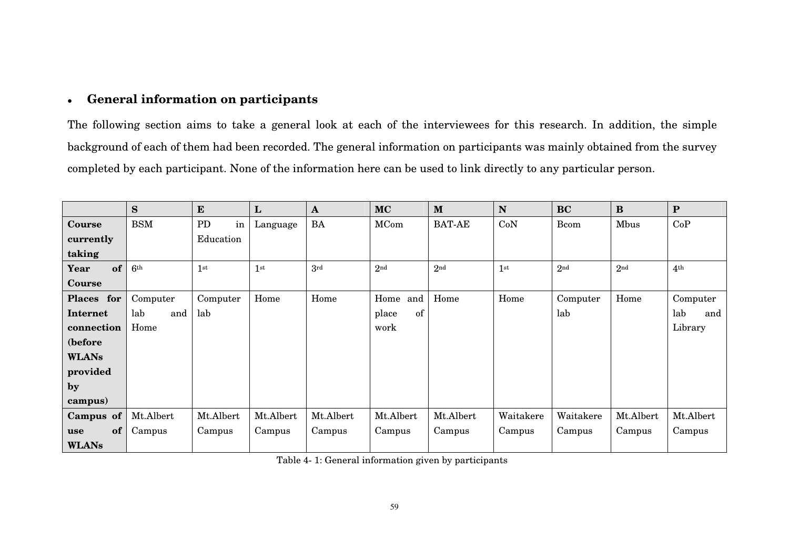#### $\bullet$ **General information on participants**

The following section aims to take a general look at each of the interviewees for this research. In addition, the simple background of each of them had been recorded. The general information on participants was mainly obtained from the surveycompleted by each participant. None of the information here can be used to link directly to any particular person.

|              | S               | ${\bf E}$       | ${\bf L}$       | $\mathbf{A}$ | <b>MC</b>       | $\mathbf{M}$    | $\mathbf N$     | <b>BC</b>       | $\bf{B}$        | ${\bf P}$       |
|--------------|-----------------|-----------------|-----------------|--------------|-----------------|-----------------|-----------------|-----------------|-----------------|-----------------|
| Course       | <b>BSM</b>      | PD<br>in        | Language        | BA           | MCom            | <b>BAT-AE</b>   | CoN             | <b>B</b> com    | Mbus            | CoP             |
| currently    |                 | Education       |                 |              |                 |                 |                 |                 |                 |                 |
| taking       |                 |                 |                 |              |                 |                 |                 |                 |                 |                 |
| of<br>Year   | 6 <sup>th</sup> | 1 <sup>st</sup> | 1 <sup>st</sup> | 3rd          | 2 <sup>nd</sup> | 2 <sub>nd</sub> | 1 <sup>st</sup> | 2 <sup>nd</sup> | 2 <sub>nd</sub> | 4 <sup>th</sup> |
| Course       |                 |                 |                 |              |                 |                 |                 |                 |                 |                 |
| Places for   | Computer        | Computer        | Home            | Home         | and<br>Home     | Home            | Home            | Computer        | Home            | Computer        |
| Internet     | lab<br>and      | lab             |                 |              | of<br>place     |                 |                 | lab             |                 | lab<br>and      |
| connection   | Home            |                 |                 |              | work            |                 |                 |                 |                 | Library         |
| (before      |                 |                 |                 |              |                 |                 |                 |                 |                 |                 |
| <b>WLANs</b> |                 |                 |                 |              |                 |                 |                 |                 |                 |                 |
| provided     |                 |                 |                 |              |                 |                 |                 |                 |                 |                 |
| by           |                 |                 |                 |              |                 |                 |                 |                 |                 |                 |
| campus)      |                 |                 |                 |              |                 |                 |                 |                 |                 |                 |
| Campus of    | Mt.Albert       | Mt.Albert       | Mt.Albert       | Mt.Albert    | Mt.Albert       | Mt.Albert       | Waitakere       | Waitakere       | Mt.Albert       | Mt.Albert       |
| of<br>use    | Campus          | Campus          | Campus          | Campus       | Campus          | Campus          | Campus          | Campus          | Campus          | Campus          |
| <b>WLANs</b> |                 |                 |                 |              |                 |                 |                 |                 |                 |                 |

Table 4- 1: General information given by participants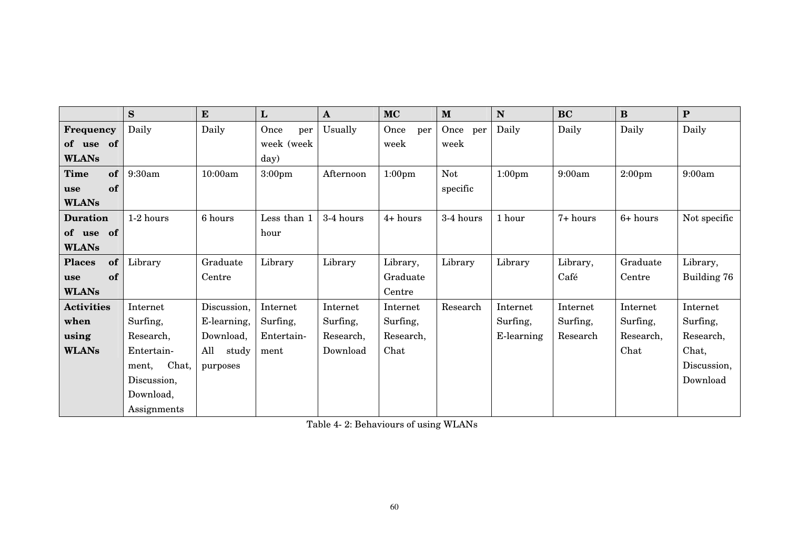|                     | S              | ${\bf E}$    | L                  | $\mathbf{A}$ | <b>MC</b>          | M           | N                  | <b>BC</b> | $\bf{B}$           | ${\bf P}$    |
|---------------------|----------------|--------------|--------------------|--------------|--------------------|-------------|--------------------|-----------|--------------------|--------------|
| <b>Frequency</b>    | Daily          | Daily        | Once<br>per        | Usually      | Once<br>per        | Once<br>per | Daily              | Daily     | Daily              | Daily        |
| of<br>of use        |                |              | week (week         |              | week               | week        |                    |           |                    |              |
| <b>WLANs</b>        |                |              | day)               |              |                    |             |                    |           |                    |              |
| <b>Time</b><br>of   | 9:30am         | 10:00am      | 3:00 <sub>pm</sub> | Afternoon    | 1:00 <sub>pm</sub> | <b>Not</b>  | 1:00 <sub>pm</sub> | 9:00am    | 2:00 <sub>pm</sub> | 9:00am       |
| of<br>use           |                |              |                    |              |                    | specific    |                    |           |                    |              |
| <b>WLANs</b>        |                |              |                    |              |                    |             |                    |           |                    |              |
| <b>Duration</b>     | 1-2 hours      | 6 hours      | Less than 1        | 3-4 hours    | 4+ hours           | 3-4 hours   | 1 hour             | 7+ hours  | 6+ hours           | Not specific |
| of use of           |                |              | hour               |              |                    |             |                    |           |                    |              |
| <b>WLANs</b>        |                |              |                    |              |                    |             |                    |           |                    |              |
| of<br><b>Places</b> | Library        | Graduate     | Library            | Library      | Library,           | Library     | Library            | Library,  | Graduate           | Library,     |
| of<br>use           |                | Centre       |                    |              | Graduate           |             |                    | Café      | Centre             | Building 76  |
| <b>WLANs</b>        |                |              |                    |              | Centre             |             |                    |           |                    |              |
| <b>Activities</b>   | Internet       | Discussion,  | Internet           | Internet     | Internet           | Research    | Internet           | Internet  | Internet           | Internet     |
| when                | Surfing,       | E-learning,  | Surfing,           | Surfing,     | Surfing,           |             | Surfing,           | Surfing,  | Surfing,           | Surfing,     |
| using               | Research,      | Download,    | Entertain-         | Research,    | Research,          |             | E-learning         | Research  | Research,          | Research,    |
| <b>WLANs</b>        | Entertain-     | All<br>study | ment               | Download     | Chat               |             |                    |           | Chat               | Chat,        |
|                     | Chat,<br>ment, | purposes     |                    |              |                    |             |                    |           |                    | Discussion,  |
|                     | Discussion,    |              |                    |              |                    |             |                    |           |                    | Download     |
|                     | Download,      |              |                    |              |                    |             |                    |           |                    |              |
|                     | Assignments    |              |                    |              |                    |             |                    |           |                    |              |

Table 4- 2: Behaviours of using WLANs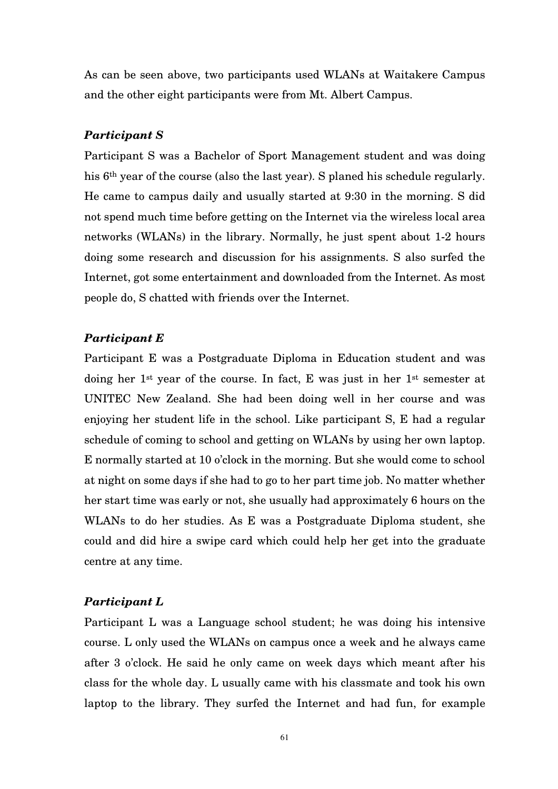As can be seen above, two participants used WLANs at Waitakere Campus and the other eight participants were from Mt. Albert Campus.

## *Participant S*

Participant S was a Bachelor of Sport Management student and was doing his 6th year of the course (also the last year). S planed his schedule regularly. He came to campus daily and usually started at 9:30 in the morning. S did not spend much time before getting on the Internet via the wireless local area networks (WLANs) in the library. Normally, he just spent about 1-2 hours doing some research and discussion for his assignments. S also surfed the Internet, got some entertainment and downloaded from the Internet. As most people do, S chatted with friends over the Internet.

#### *Participant E*

Participant E was a Postgraduate Diploma in Education student and was doing her 1st year of the course. In fact, E was just in her 1st semester at UNITEC New Zealand. She had been doing well in her course and was enjoying her student life in the school. Like participant S, E had a regular schedule of coming to school and getting on WLANs by using her own laptop. E normally started at 10 o'clock in the morning. But she would come to school at night on some days if she had to go to her part time job. No matter whether her start time was early or not, she usually had approximately 6 hours on the WLANs to do her studies. As E was a Postgraduate Diploma student, she could and did hire a swipe card which could help her get into the graduate centre at any time.

#### *Participant L*

Participant L was a Language school student; he was doing his intensive course. L only used the WLANs on campus once a week and he always came after 3 o'clock. He said he only came on week days which meant after his class for the whole day. L usually came with his classmate and took his own laptop to the library. They surfed the Internet and had fun, for example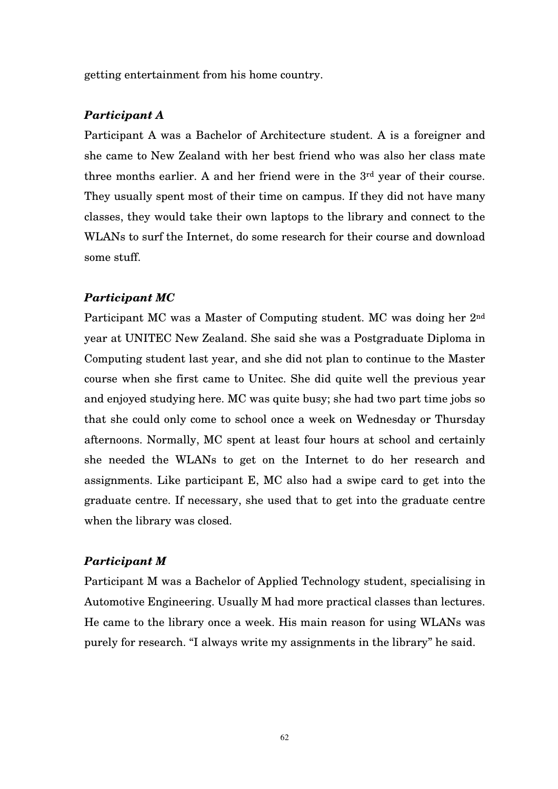getting entertainment from his home country.

#### *Participant A*

Participant A was a Bachelor of Architecture student. A is a foreigner and she came to New Zealand with her best friend who was also her class mate three months earlier. A and her friend were in the 3rd year of their course. They usually spent most of their time on campus. If they did not have many classes, they would take their own laptops to the library and connect to the WLANs to surf the Internet, do some research for their course and download some stuff.

## *Participant MC*

Participant MC was a Master of Computing student. MC was doing her 2nd year at UNITEC New Zealand. She said she was a Postgraduate Diploma in Computing student last year, and she did not plan to continue to the Master course when she first came to Unitec. She did quite well the previous year and enjoyed studying here. MC was quite busy; she had two part time jobs so that she could only come to school once a week on Wednesday or Thursday afternoons. Normally, MC spent at least four hours at school and certainly she needed the WLANs to get on the Internet to do her research and assignments. Like participant E, MC also had a swipe card to get into the graduate centre. If necessary, she used that to get into the graduate centre when the library was closed.

## *Participant M*

Participant M was a Bachelor of Applied Technology student, specialising in Automotive Engineering. Usually M had more practical classes than lectures. He came to the library once a week. His main reason for using WLANs was purely for research. "I always write my assignments in the library" he said.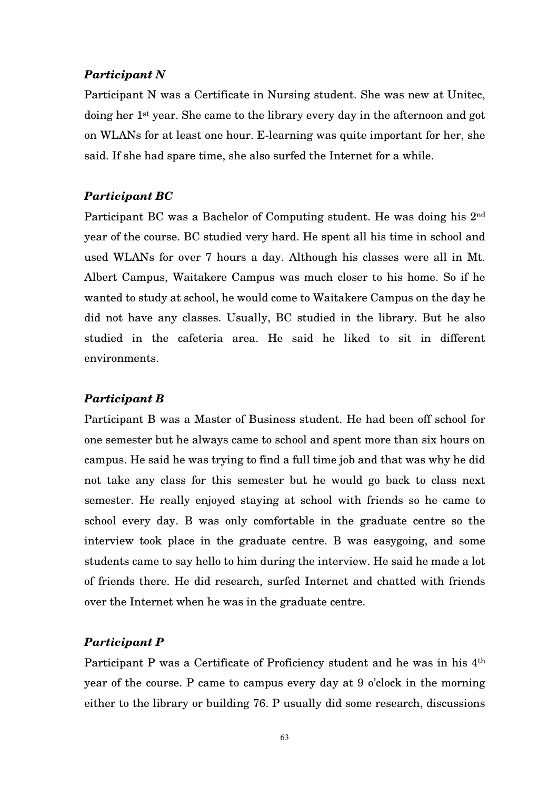# *Participant N*

Participant N was a Certificate in Nursing student. She was new at Unitec, doing her 1st year. She came to the library every day in the afternoon and got on WLANs for at least one hour. E-learning was quite important for her, she said. If she had spare time, she also surfed the Internet for a while.

## *Participant BC*

Participant BC was a Bachelor of Computing student. He was doing his 2nd year of the course. BC studied very hard. He spent all his time in school and used WLANs for over 7 hours a day. Although his classes were all in Mt. Albert Campus, Waitakere Campus was much closer to his home. So if he wanted to study at school, he would come to Waitakere Campus on the day he did not have any classes. Usually, BC studied in the library. But he also studied in the cafeteria area. He said he liked to sit in different environments.

## *Participant B*

Participant B was a Master of Business student. He had been off school for one semester but he always came to school and spent more than six hours on campus. He said he was trying to find a full time job and that was why he did not take any class for this semester but he would go back to class next semester. He really enjoyed staying at school with friends so he came to school every day. B was only comfortable in the graduate centre so the interview took place in the graduate centre. B was easygoing, and some students came to say hello to him during the interview. He said he made a lot of friends there. He did research, surfed Internet and chatted with friends over the Internet when he was in the graduate centre.

## *Participant P*

Participant P was a Certificate of Proficiency student and he was in his  $4<sup>th</sup>$ year of the course. P came to campus every day at 9 o'clock in the morning either to the library or building 76. P usually did some research, discussions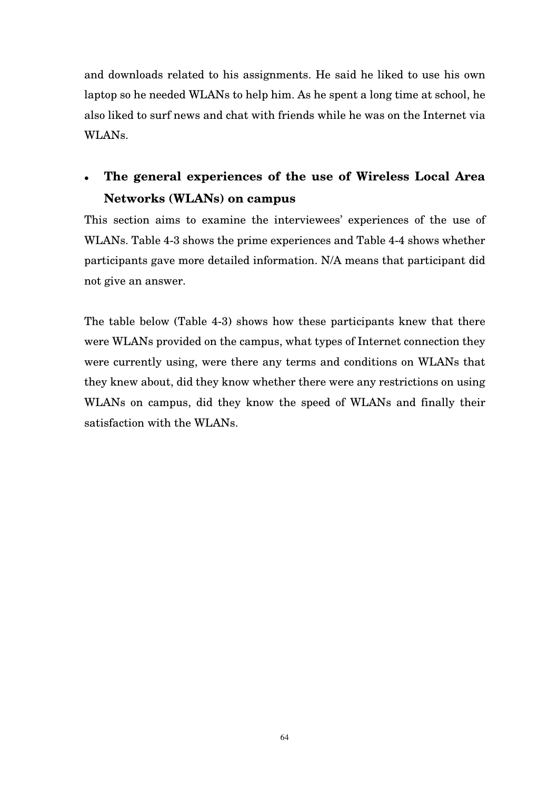and downloads related to his assignments. He said he liked to use his own laptop so he needed WLANs to help him. As he spent a long time at school, he also liked to surf news and chat with friends while he was on the Internet via WLANs.

# **The general experiences of the use of Wireless Local Area Networks (WLANs) on campus**

This section aims to examine the interviewees' experiences of the use of WLANs. Table 4-3 shows the prime experiences and Table 4-4 shows whether participants gave more detailed information. N/A means that participant did not give an answer.

The table below (Table 4-3) shows how these participants knew that there were WLANs provided on the campus, what types of Internet connection they were currently using, were there any terms and conditions on WLANs that they knew about, did they know whether there were any restrictions on using WLANs on campus, did they know the speed of WLANs and finally their satisfaction with the WLANs.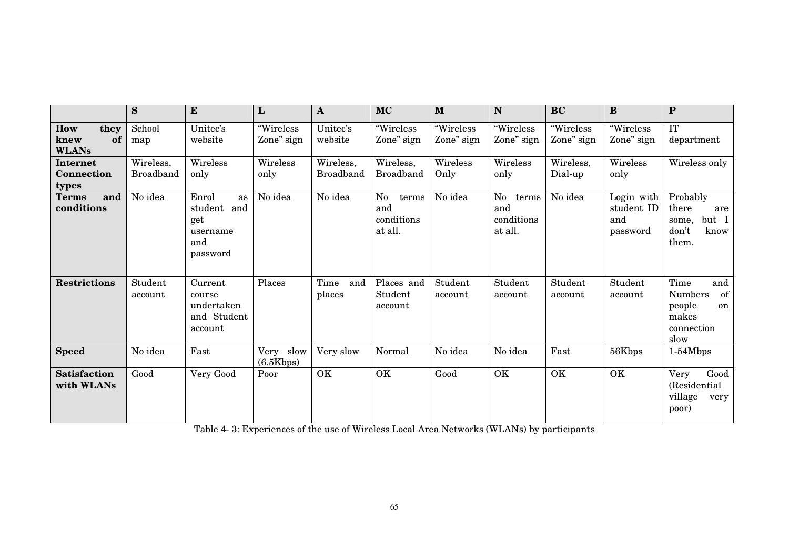|                                           | S                             | ${\bf E}$                                                        | L                         | $\mathbf A$                   | <b>MC</b>                                   | M                       | N                                           | <b>BC</b>               | B                                           | $\mathbf{P}$                                                                       |
|-------------------------------------------|-------------------------------|------------------------------------------------------------------|---------------------------|-------------------------------|---------------------------------------------|-------------------------|---------------------------------------------|-------------------------|---------------------------------------------|------------------------------------------------------------------------------------|
| How<br>they<br>of<br>knew<br><b>WLANs</b> | School<br>map                 | Unitec's<br>website                                              | "Wireless<br>Zone" sign   | Unitec's<br>website           | "Wireless<br>Zone" sign                     | "Wireless<br>Zone" sign | "Wireless<br>Zone" sign                     | "Wireless<br>Zone" sign | "Wireless<br>Zone" sign                     | <b>IT</b><br>department                                                            |
| Internet<br><b>Connection</b><br>types    | Wireless,<br><b>Broadband</b> | Wireless<br>only                                                 | Wireless<br>only          | Wireless,<br><b>Broadband</b> | Wireless,<br><b>Broadband</b>               | Wireless<br>Only        | Wireless<br>only                            | Wireless,<br>Dial-up    | Wireless<br>only                            | Wireless only                                                                      |
| and<br><b>Terms</b><br>conditions         | No idea                       | Enrol<br>as<br>student and<br>get<br>username<br>and<br>password | No idea                   | No idea                       | No<br>terms<br>and<br>conditions<br>at all. | No idea                 | No<br>terms<br>and<br>conditions<br>at all. | No idea                 | Login with<br>student ID<br>and<br>password | Probably<br>there<br>are<br>but I<br>some,<br>don't<br>know<br>them.               |
| <b>Restrictions</b>                       | Student<br>account            | Current<br>course<br>undertaken<br>and Student<br>account        | Places                    | Time<br>and<br>places         | Places and<br>Student<br>account            | Student<br>account      | Student<br>account                          | Student<br>account      | Student<br>account                          | Time<br>and<br>of<br><b>Numbers</b><br>people<br>on<br>makes<br>connection<br>slow |
| <b>Speed</b>                              | No idea                       | Fast                                                             | slow<br>Very<br>(6.5Kbps) | Very slow                     | Normal                                      | No idea                 | No idea                                     | Fast                    | 56Kbps                                      | $1-54Mbps$                                                                         |
| <b>Satisfaction</b><br>with WLANs         | Good                          | Very Good                                                        | Poor                      | OK                            | OK                                          | Good                    | OK                                          | OK                      | OK                                          | Very<br>Good<br>(Residential<br>village<br>very<br>poor)                           |

Table 4- 3: Experiences of the use of Wireless Local Area Networks (WLANs) by participants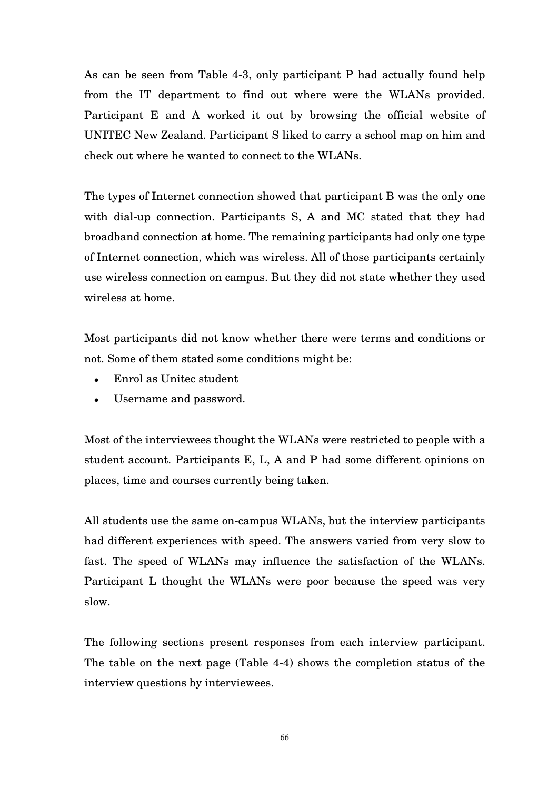As can be seen from Table 4-3, only participant P had actually found help from the IT department to find out where were the WLANs provided. Participant E and A worked it out by browsing the official website of UNITEC New Zealand. Participant S liked to carry a school map on him and check out where he wanted to connect to the WLANs.

The types of Internet connection showed that participant B was the only one with dial-up connection. Participants S, A and MC stated that they had broadband connection at home. The remaining participants had only one type of Internet connection, which was wireless. All of those participants certainly use wireless connection on campus. But they did not state whether they used wireless at home.

Most participants did not know whether there were terms and conditions or not. Some of them stated some conditions might be:

- Enrol as Unitec student
- Username and password.

Most of the interviewees thought the WLANs were restricted to people with a student account. Participants E, L, A and P had some different opinions on places, time and courses currently being taken.

All students use the same on-campus WLANs, but the interview participants had different experiences with speed. The answers varied from very slow to fast. The speed of WLANs may influence the satisfaction of the WLANs. Participant L thought the WLANs were poor because the speed was very slow.

The following sections present responses from each interview participant. The table on the next page (Table 4-4) shows the completion status of the interview questions by interviewees.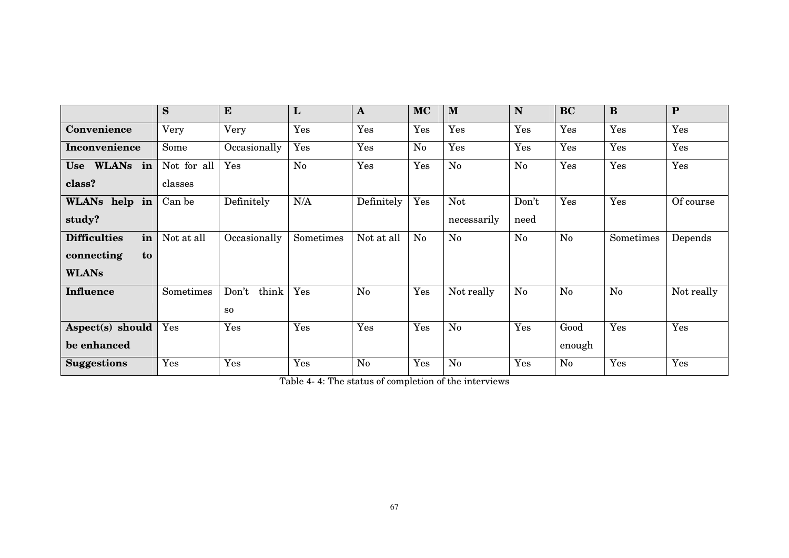|                           | S           | ${\bf E}$      | L         | $\mathbf{A}$   | <b>MC</b> | M           | N     | <b>BC</b>      | $\bf{B}$  | $\mathbf{P}$ |
|---------------------------|-------------|----------------|-----------|----------------|-----------|-------------|-------|----------------|-----------|--------------|
| Convenience               | Very        | Very           | Yes       | Yes            | Yes       | Yes         | Yes   | Yes            | Yes       | Yes          |
| Inconvenience             | Some        | Occasionally   | Yes       | Yes            | No        | Yes         | Yes   | Yes            | Yes       | Yes          |
| Use WLANs in              | Not for all | Yes            | No        | Yes            | Yes       | No          | No    | Yes            | Yes       | Yes          |
| class?                    | classes     |                |           |                |           |             |       |                |           |              |
| WLANs help in             | Can be      | Definitely     | N/A       | Definitely     | Yes       | <b>Not</b>  | Don't | Yes            | Yes       | Of course    |
| study?                    |             |                |           |                |           | necessarily | need  |                |           |              |
| in<br><b>Difficulties</b> | Not at all  | Occasionally   | Sometimes | Not at all     | No        | No          | No    | N <sub>o</sub> | Sometimes | Depends      |
| connecting<br>to          |             |                |           |                |           |             |       |                |           |              |
| <b>WLANs</b>              |             |                |           |                |           |             |       |                |           |              |
| <b>Influence</b>          | Sometimes   | Don't<br>think | Yes       | $\rm No$       | Yes       | Not really  | No    | N <sub>0</sub> | $\rm No$  | Not really   |
|                           |             | SO             |           |                |           |             |       |                |           |              |
| Aspect(s) should          | Yes         | Yes            | Yes       | Yes            | Yes       | No          | Yes   | Good           | Yes       | Yes          |
| be enhanced               |             |                |           |                |           |             |       | enough         |           |              |
| <b>Suggestions</b>        | Yes         | Yes            | Yes       | N <sub>o</sub> | Yes       | $\rm No$    | Yes   | N <sub>0</sub> | Yes       | Yes          |

Table 4- 4: The status of completion of the interviews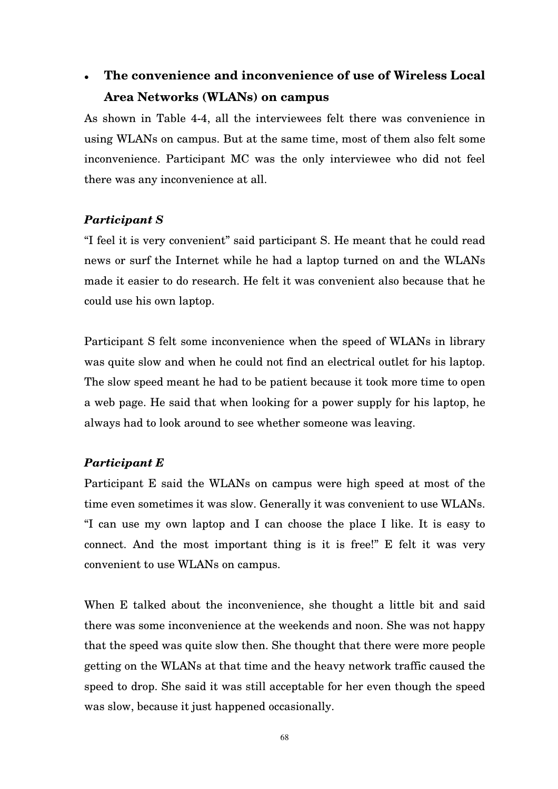# **The convenience and inconvenience of use of Wireless Local Area Networks (WLANs) on campus**

As shown in Table 4-4, all the interviewees felt there was convenience in using WLANs on campus. But at the same time, most of them also felt some inconvenience. Participant MC was the only interviewee who did not feel there was any inconvenience at all.

# *Participant S*

"I feel it is very convenient" said participant S. He meant that he could read news or surf the Internet while he had a laptop turned on and the WLANs made it easier to do research. He felt it was convenient also because that he could use his own laptop.

Participant S felt some inconvenience when the speed of WLANs in library was quite slow and when he could not find an electrical outlet for his laptop. The slow speed meant he had to be patient because it took more time to open a web page. He said that when looking for a power supply for his laptop, he always had to look around to see whether someone was leaving.

# *Participant E*

Participant E said the WLANs on campus were high speed at most of the time even sometimes it was slow. Generally it was convenient to use WLANs. "I can use my own laptop and I can choose the place I like. It is easy to connect. And the most important thing is it is free!" E felt it was very convenient to use WLANs on campus.

When E talked about the inconvenience, she thought a little bit and said there was some inconvenience at the weekends and noon. She was not happy that the speed was quite slow then. She thought that there were more people getting on the WLANs at that time and the heavy network traffic caused the speed to drop. She said it was still acceptable for her even though the speed was slow, because it just happened occasionally.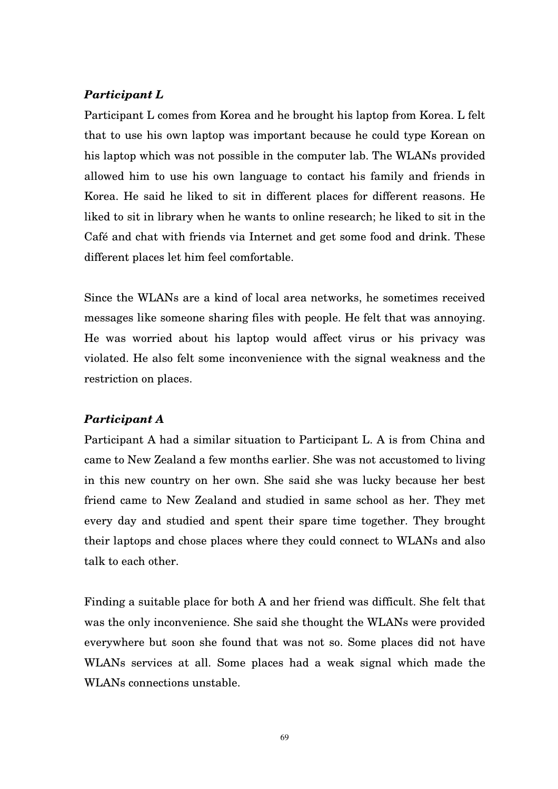## *Participant L*

Participant L comes from Korea and he brought his laptop from Korea. L felt that to use his own laptop was important because he could type Korean on his laptop which was not possible in the computer lab. The WLANs provided allowed him to use his own language to contact his family and friends in Korea. He said he liked to sit in different places for different reasons. He liked to sit in library when he wants to online research; he liked to sit in the Café and chat with friends via Internet and get some food and drink. These different places let him feel comfortable.

Since the WLANs are a kind of local area networks, he sometimes received messages like someone sharing files with people. He felt that was annoying. He was worried about his laptop would affect virus or his privacy was violated. He also felt some inconvenience with the signal weakness and the restriction on places.

#### *Participant A*

Participant A had a similar situation to Participant L. A is from China and came to New Zealand a few months earlier. She was not accustomed to living in this new country on her own. She said she was lucky because her best friend came to New Zealand and studied in same school as her. They met every day and studied and spent their spare time together. They brought their laptops and chose places where they could connect to WLANs and also talk to each other.

Finding a suitable place for both A and her friend was difficult. She felt that was the only inconvenience. She said she thought the WLANs were provided everywhere but soon she found that was not so. Some places did not have WLANs services at all. Some places had a weak signal which made the WLANs connections unstable.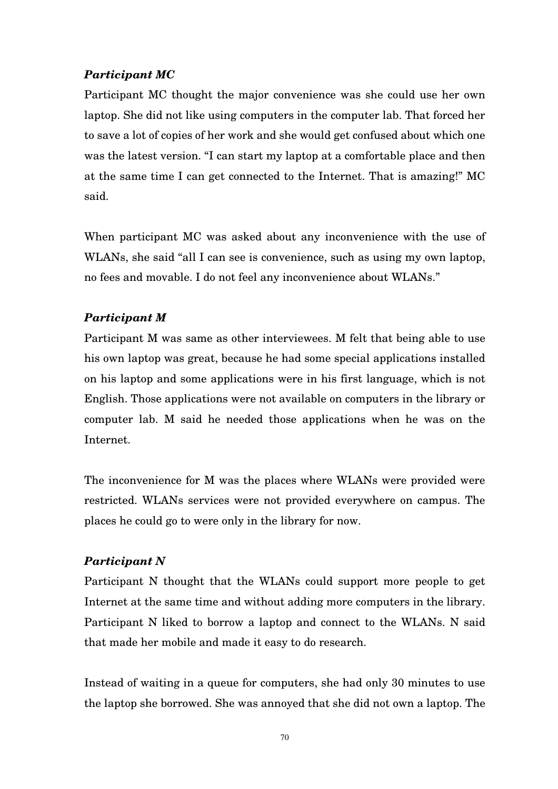# *Participant MC*

Participant MC thought the major convenience was she could use her own laptop. She did not like using computers in the computer lab. That forced her to save a lot of copies of her work and she would get confused about which one was the latest version. "I can start my laptop at a comfortable place and then at the same time I can get connected to the Internet. That is amazing!" MC said.

When participant MC was asked about any inconvenience with the use of WLANs, she said "all I can see is convenience, such as using my own laptop, no fees and movable. I do not feel any inconvenience about WLANs."

# *Participant M*

Participant M was same as other interviewees. M felt that being able to use his own laptop was great, because he had some special applications installed on his laptop and some applications were in his first language, which is not English. Those applications were not available on computers in the library or computer lab. M said he needed those applications when he was on the Internet.

The inconvenience for M was the places where WLANs were provided were restricted. WLANs services were not provided everywhere on campus. The places he could go to were only in the library for now.

# *Participant N*

Participant N thought that the WLANs could support more people to get Internet at the same time and without adding more computers in the library. Participant N liked to borrow a laptop and connect to the WLANs. N said that made her mobile and made it easy to do research.

Instead of waiting in a queue for computers, she had only 30 minutes to use the laptop she borrowed. She was annoyed that she did not own a laptop. The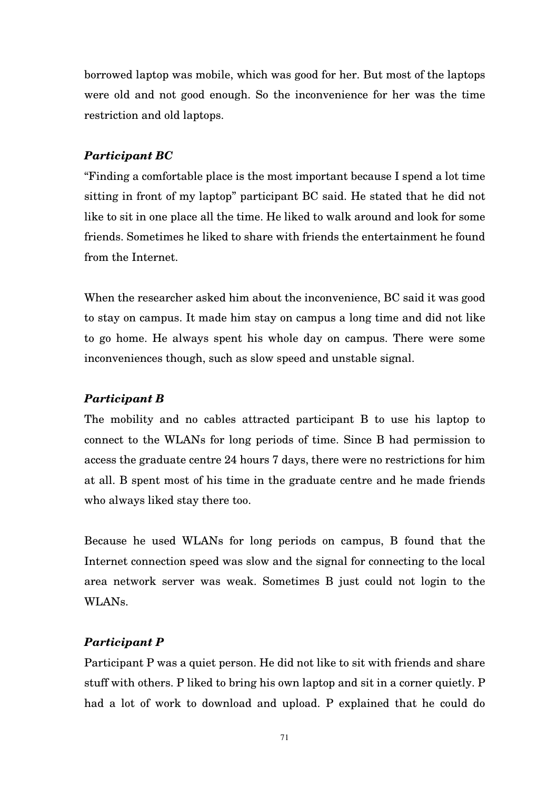borrowed laptop was mobile, which was good for her. But most of the laptops were old and not good enough. So the inconvenience for her was the time restriction and old laptops.

#### *Participant BC*

"Finding a comfortable place is the most important because I spend a lot time sitting in front of my laptop" participant BC said. He stated that he did not like to sit in one place all the time. He liked to walk around and look for some friends. Sometimes he liked to share with friends the entertainment he found from the Internet.

When the researcher asked him about the inconvenience, BC said it was good to stay on campus. It made him stay on campus a long time and did not like to go home. He always spent his whole day on campus. There were some inconveniences though, such as slow speed and unstable signal.

#### *Participant B*

The mobility and no cables attracted participant B to use his laptop to connect to the WLANs for long periods of time. Since B had permission to access the graduate centre 24 hours 7 days, there were no restrictions for him at all. B spent most of his time in the graduate centre and he made friends who always liked stay there too.

Because he used WLANs for long periods on campus, B found that the Internet connection speed was slow and the signal for connecting to the local area network server was weak. Sometimes B just could not login to the WLANs.

#### *Participant P*

Participant P was a quiet person. He did not like to sit with friends and share stuff with others. P liked to bring his own laptop and sit in a corner quietly. P had a lot of work to download and upload. P explained that he could do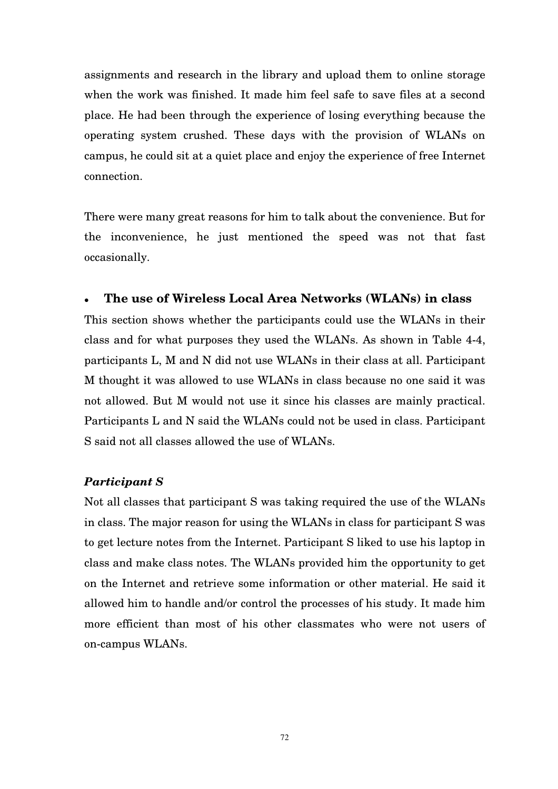assignments and research in the library and upload them to online storage when the work was finished. It made him feel safe to save files at a second place. He had been through the experience of losing everything because the operating system crushed. These days with the provision of WLANs on campus, he could sit at a quiet place and enjoy the experience of free Internet connection.

There were many great reasons for him to talk about the convenience. But for the inconvenience, he just mentioned the speed was not that fast occasionally.

## **The use of Wireless Local Area Networks (WLANs) in class**

This section shows whether the participants could use the WLANs in their class and for what purposes they used the WLANs. As shown in Table 4-4, participants L, M and N did not use WLANs in their class at all. Participant M thought it was allowed to use WLANs in class because no one said it was not allowed. But M would not use it since his classes are mainly practical. Participants L and N said the WLANs could not be used in class. Participant S said not all classes allowed the use of WLANs.

#### *Participant S*

Not all classes that participant S was taking required the use of the WLANs in class. The major reason for using the WLANs in class for participant S was to get lecture notes from the Internet. Participant S liked to use his laptop in class and make class notes. The WLANs provided him the opportunity to get on the Internet and retrieve some information or other material. He said it allowed him to handle and/or control the processes of his study. It made him more efficient than most of his other classmates who were not users of on-campus WLANs.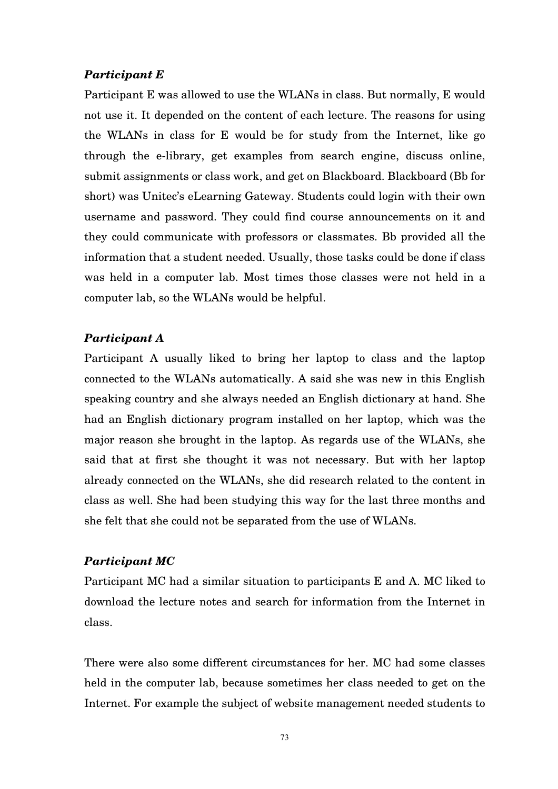# *Participant E*

Participant E was allowed to use the WLANs in class. But normally, E would not use it. It depended on the content of each lecture. The reasons for using the WLANs in class for E would be for study from the Internet, like go through the e-library, get examples from search engine, discuss online, submit assignments or class work, and get on Blackboard. Blackboard (Bb for short) was Unitec's eLearning Gateway. Students could login with their own username and password. They could find course announcements on it and they could communicate with professors or classmates. Bb provided all the information that a student needed. Usually, those tasks could be done if class was held in a computer lab. Most times those classes were not held in a computer lab, so the WLANs would be helpful.

### *Participant A*

Participant A usually liked to bring her laptop to class and the laptop connected to the WLANs automatically. A said she was new in this English speaking country and she always needed an English dictionary at hand. She had an English dictionary program installed on her laptop, which was the major reason she brought in the laptop. As regards use of the WLANs, she said that at first she thought it was not necessary. But with her laptop already connected on the WLANs, she did research related to the content in class as well. She had been studying this way for the last three months and she felt that she could not be separated from the use of WLANs.

## *Participant MC*

Participant MC had a similar situation to participants E and A. MC liked to download the lecture notes and search for information from the Internet in class.

There were also some different circumstances for her. MC had some classes held in the computer lab, because sometimes her class needed to get on the Internet. For example the subject of website management needed students to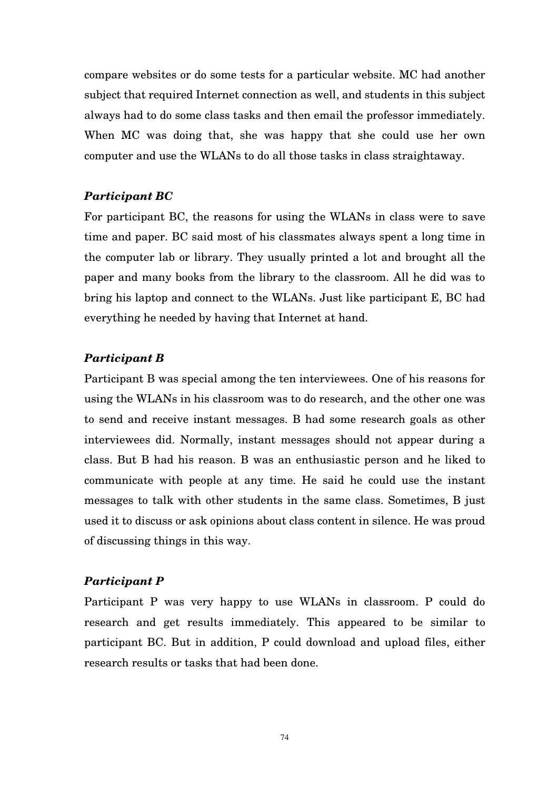compare websites or do some tests for a particular website. MC had another subject that required Internet connection as well, and students in this subject always had to do some class tasks and then email the professor immediately. When MC was doing that, she was happy that she could use her own computer and use the WLANs to do all those tasks in class straightaway.

# *Participant BC*

For participant BC, the reasons for using the WLANs in class were to save time and paper. BC said most of his classmates always spent a long time in the computer lab or library. They usually printed a lot and brought all the paper and many books from the library to the classroom. All he did was to bring his laptop and connect to the WLANs. Just like participant E, BC had everything he needed by having that Internet at hand.

#### *Participant B*

Participant B was special among the ten interviewees. One of his reasons for using the WLANs in his classroom was to do research, and the other one was to send and receive instant messages. B had some research goals as other interviewees did. Normally, instant messages should not appear during a class. But B had his reason. B was an enthusiastic person and he liked to communicate with people at any time. He said he could use the instant messages to talk with other students in the same class. Sometimes, B just used it to discuss or ask opinions about class content in silence. He was proud of discussing things in this way.

# *Participant P*

Participant P was very happy to use WLANs in classroom. P could do research and get results immediately. This appeared to be similar to participant BC. But in addition, P could download and upload files, either research results or tasks that had been done.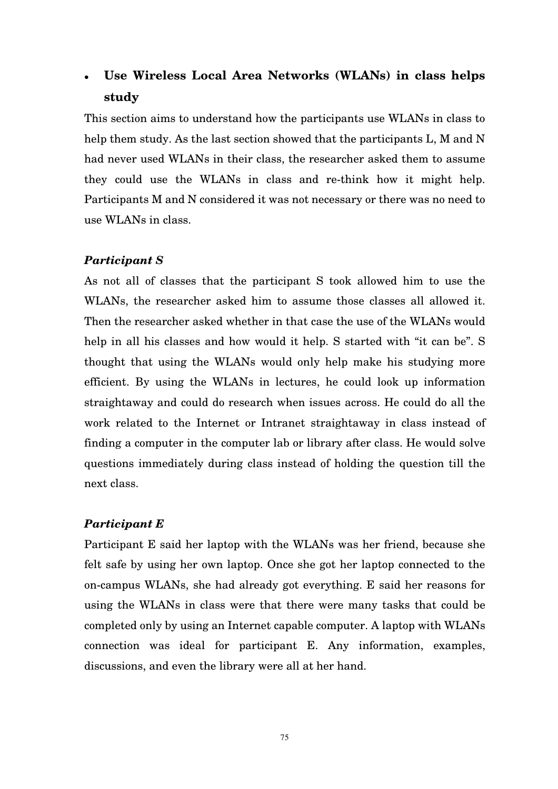# **Use Wireless Local Area Networks (WLANs) in class helps study**

This section aims to understand how the participants use WLANs in class to help them study. As the last section showed that the participants L, M and N had never used WLANs in their class, the researcher asked them to assume they could use the WLANs in class and re-think how it might help. Participants M and N considered it was not necessary or there was no need to use WLANs in class.

### *Participant S*

As not all of classes that the participant S took allowed him to use the WLANs, the researcher asked him to assume those classes all allowed it. Then the researcher asked whether in that case the use of the WLANs would help in all his classes and how would it help. S started with "it can be". S thought that using the WLANs would only help make his studying more efficient. By using the WLANs in lectures, he could look up information straightaway and could do research when issues across. He could do all the work related to the Internet or Intranet straightaway in class instead of finding a computer in the computer lab or library after class. He would solve questions immediately during class instead of holding the question till the next class.

#### *Participant E*

Participant E said her laptop with the WLANs was her friend, because she felt safe by using her own laptop. Once she got her laptop connected to the on-campus WLANs, she had already got everything. E said her reasons for using the WLANs in class were that there were many tasks that could be completed only by using an Internet capable computer. A laptop with WLANs connection was ideal for participant E. Any information, examples, discussions, and even the library were all at her hand.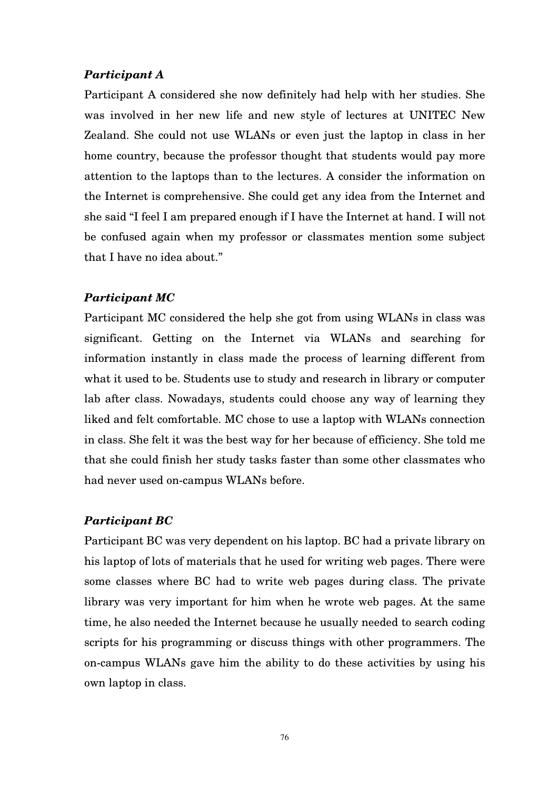# *Participant A*

Participant A considered she now definitely had help with her studies. She was involved in her new life and new style of lectures at UNITEC New Zealand. She could not use WLANs or even just the laptop in class in her home country, because the professor thought that students would pay more attention to the laptops than to the lectures. A consider the information on the Internet is comprehensive. She could get any idea from the Internet and she said "I feel I am prepared enough if I have the Internet at hand. I will not be confused again when my professor or classmates mention some subject that I have no idea about."

#### *Participant MC*

Participant MC considered the help she got from using WLANs in class was significant. Getting on the Internet via WLANs and searching for information instantly in class made the process of learning different from what it used to be. Students use to study and research in library or computer lab after class. Nowadays, students could choose any way of learning they liked and felt comfortable. MC chose to use a laptop with WLANs connection in class. She felt it was the best way for her because of efficiency. She told me that she could finish her study tasks faster than some other classmates who had never used on-campus WLANs before.

#### *Participant BC*

Participant BC was very dependent on his laptop. BC had a private library on his laptop of lots of materials that he used for writing web pages. There were some classes where BC had to write web pages during class. The private library was very important for him when he wrote web pages. At the same time, he also needed the Internet because he usually needed to search coding scripts for his programming or discuss things with other programmers. The on-campus WLANs gave him the ability to do these activities by using his own laptop in class.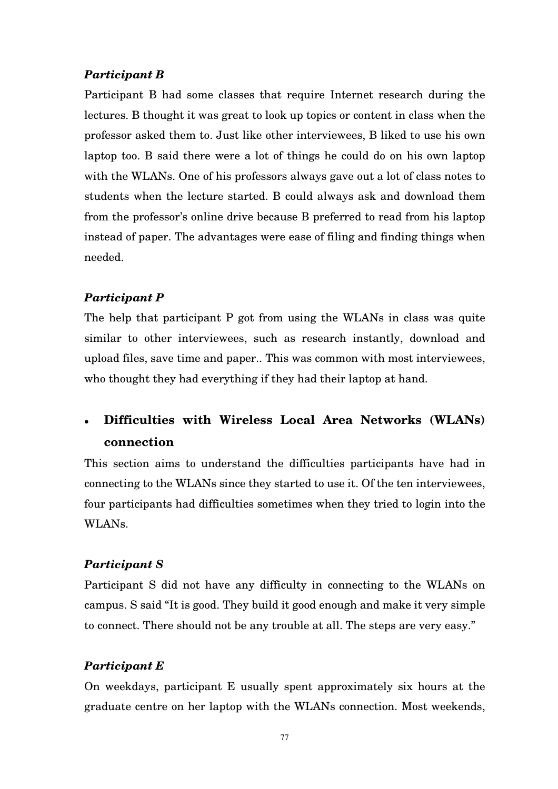# *Participant B*

Participant B had some classes that require Internet research during the lectures. B thought it was great to look up topics or content in class when the professor asked them to. Just like other interviewees, B liked to use his own laptop too. B said there were a lot of things he could do on his own laptop with the WLANs. One of his professors always gave out a lot of class notes to students when the lecture started. B could always ask and download them from the professor's online drive because B preferred to read from his laptop instead of paper. The advantages were ease of filing and finding things when needed.

# *Participant P*

The help that participant P got from using the WLANs in class was quite similar to other interviewees, such as research instantly, download and upload files, save time and paper.. This was common with most interviewees, who thought they had everything if they had their laptop at hand.

# **Difficulties with Wireless Local Area Networks (WLANs) connection**

This section aims to understand the difficulties participants have had in connecting to the WLANs since they started to use it. Of the ten interviewees, four participants had difficulties sometimes when they tried to login into the WLANs.

# *Participant S*

Participant S did not have any difficulty in connecting to the WLANs on campus. S said "It is good. They build it good enough and make it very simple to connect. There should not be any trouble at all. The steps are very easy."

# *Participant E*

On weekdays, participant E usually spent approximately six hours at the graduate centre on her laptop with the WLANs connection. Most weekends,

77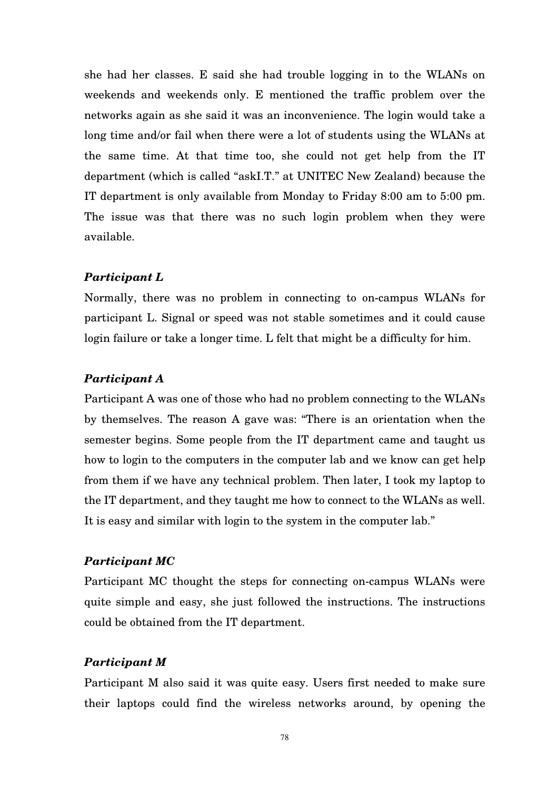she had her classes. E said she had trouble logging in to the WLANs on weekends and weekends only. E mentioned the traffic problem over the networks again as she said it was an inconvenience. The login would take a long time and/or fail when there were a lot of students using the WLANs at the same time. At that time too, she could not get help from the IT department (which is called "askI.T." at UNITEC New Zealand) because the IT department is only available from Monday to Friday 8:00 am to 5:00 pm. The issue was that there was no such login problem when they were available.

#### *Participant L*

Normally, there was no problem in connecting to on-campus WLANs for participant L. Signal or speed was not stable sometimes and it could cause login failure or take a longer time. L felt that might be a difficulty for him.

#### *Participant A*

Participant A was one of those who had no problem connecting to the WLANs by themselves. The reason A gave was: "There is an orientation when the semester begins. Some people from the IT department came and taught us how to login to the computers in the computer lab and we know can get help from them if we have any technical problem. Then later, I took my laptop to the IT department, and they taught me how to connect to the WLANs as well. It is easy and similar with login to the system in the computer lab."

## *Participant MC*

Participant MC thought the steps for connecting on-campus WLANs were quite simple and easy, she just followed the instructions. The instructions could be obtained from the IT department.

#### *Participant M*

Participant M also said it was quite easy. Users first needed to make sure their laptops could find the wireless networks around, by opening the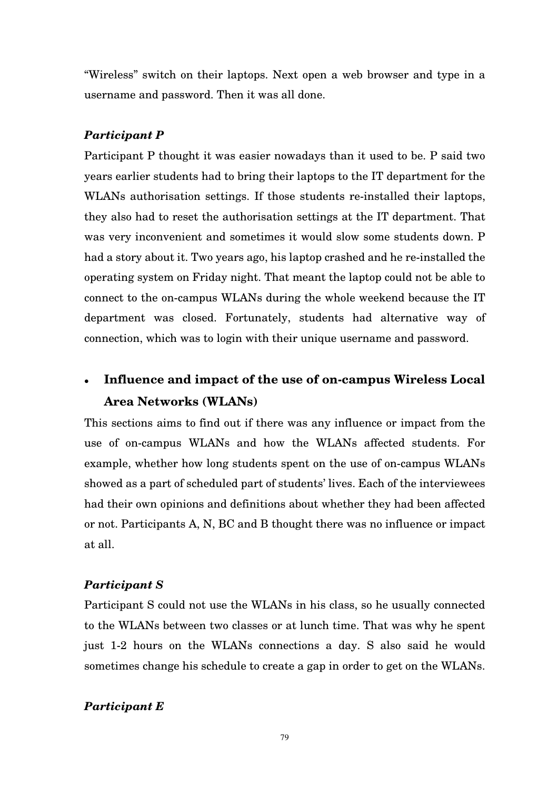"Wireless" switch on their laptops. Next open a web browser and type in a username and password. Then it was all done.

## *Participant P*

Participant P thought it was easier nowadays than it used to be. P said two years earlier students had to bring their laptops to the IT department for the WLANs authorisation settings. If those students re-installed their laptops, they also had to reset the authorisation settings at the IT department. That was very inconvenient and sometimes it would slow some students down. P had a story about it. Two years ago, his laptop crashed and he re-installed the operating system on Friday night. That meant the laptop could not be able to connect to the on-campus WLANs during the whole weekend because the IT department was closed. Fortunately, students had alternative way of connection, which was to login with their unique username and password.

# **Influence and impact of the use of on-campus Wireless Local Area Networks (WLANs)**

This sections aims to find out if there was any influence or impact from the use of on-campus WLANs and how the WLANs affected students. For example, whether how long students spent on the use of on-campus WLANs showed as a part of scheduled part of students' lives. Each of the interviewees had their own opinions and definitions about whether they had been affected or not. Participants A, N, BC and B thought there was no influence or impact at all.

#### *Participant S*

Participant S could not use the WLANs in his class, so he usually connected to the WLANs between two classes or at lunch time. That was why he spent just 1-2 hours on the WLANs connections a day. S also said he would sometimes change his schedule to create a gap in order to get on the WLANs.

#### *Participant E*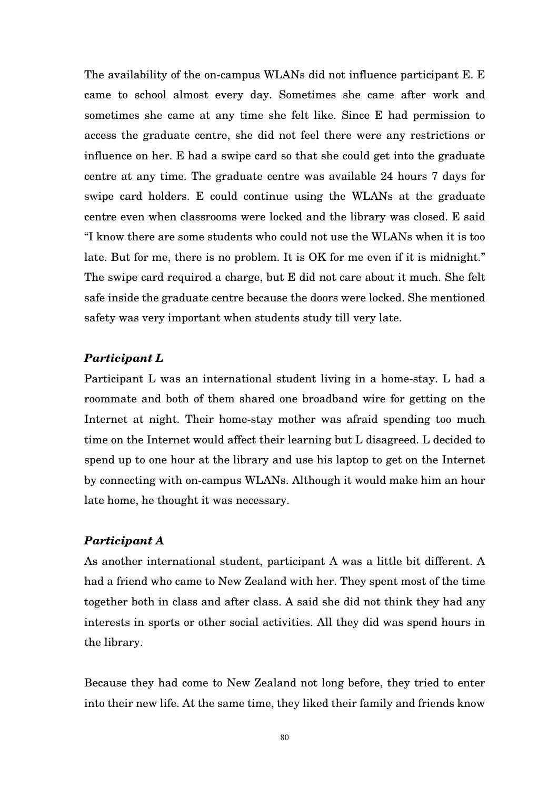The availability of the on-campus WLANs did not influence participant E. E came to school almost every day. Sometimes she came after work and sometimes she came at any time she felt like. Since E had permission to access the graduate centre, she did not feel there were any restrictions or influence on her. E had a swipe card so that she could get into the graduate centre at any time. The graduate centre was available 24 hours 7 days for swipe card holders. E could continue using the WLANs at the graduate centre even when classrooms were locked and the library was closed. E said "I know there are some students who could not use the WLANs when it is too late. But for me, there is no problem. It is OK for me even if it is midnight." The swipe card required a charge, but E did not care about it much. She felt safe inside the graduate centre because the doors were locked. She mentioned safety was very important when students study till very late.

#### *Participant L*

Participant L was an international student living in a home-stay. L had a roommate and both of them shared one broadband wire for getting on the Internet at night. Their home-stay mother was afraid spending too much time on the Internet would affect their learning but L disagreed. L decided to spend up to one hour at the library and use his laptop to get on the Internet by connecting with on-campus WLANs. Although it would make him an hour late home, he thought it was necessary.

#### *Participant A*

As another international student, participant A was a little bit different. A had a friend who came to New Zealand with her. They spent most of the time together both in class and after class. A said she did not think they had any interests in sports or other social activities. All they did was spend hours in the library.

Because they had come to New Zealand not long before, they tried to enter into their new life. At the same time, they liked their family and friends know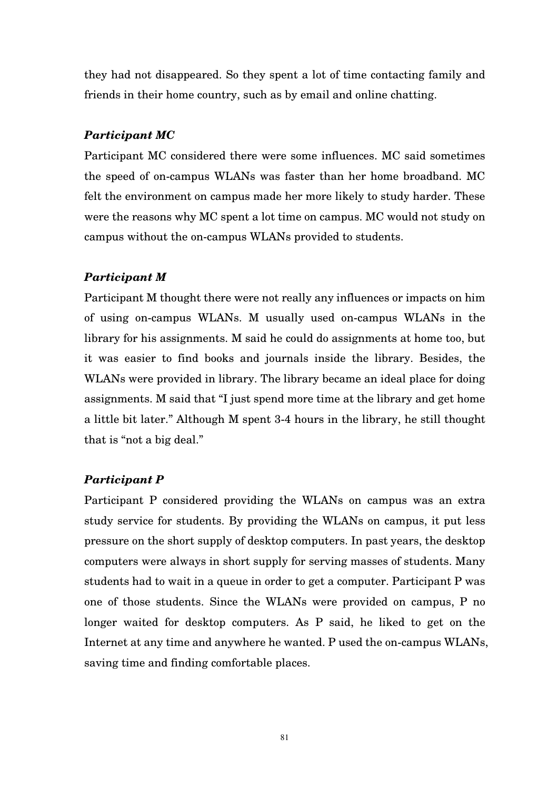they had not disappeared. So they spent a lot of time contacting family and friends in their home country, such as by email and online chatting.

## *Participant MC*

Participant MC considered there were some influences. MC said sometimes the speed of on-campus WLANs was faster than her home broadband. MC felt the environment on campus made her more likely to study harder. These were the reasons why MC spent a lot time on campus. MC would not study on campus without the on-campus WLANs provided to students.

### *Participant M*

Participant M thought there were not really any influences or impacts on him of using on-campus WLANs. M usually used on-campus WLANs in the library for his assignments. M said he could do assignments at home too, but it was easier to find books and journals inside the library. Besides, the WLANs were provided in library. The library became an ideal place for doing assignments. M said that "I just spend more time at the library and get home a little bit later." Although M spent 3-4 hours in the library, he still thought that is "not a big deal."

### *Participant P*

Participant P considered providing the WLANs on campus was an extra study service for students. By providing the WLANs on campus, it put less pressure on the short supply of desktop computers. In past years, the desktop computers were always in short supply for serving masses of students. Many students had to wait in a queue in order to get a computer. Participant P was one of those students. Since the WLANs were provided on campus, P no longer waited for desktop computers. As P said, he liked to get on the Internet at any time and anywhere he wanted. P used the on-campus WLANs, saving time and finding comfortable places.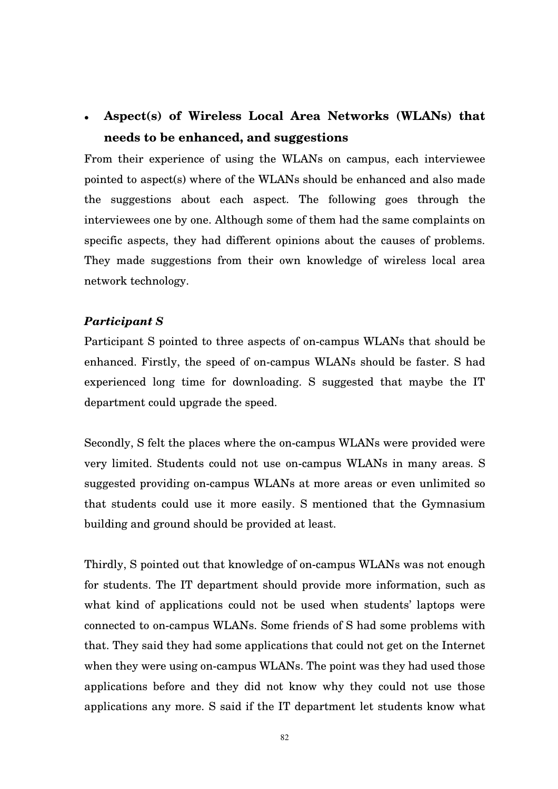# **Aspect(s) of Wireless Local Area Networks (WLANs) that needs to be enhanced, and suggestions**

From their experience of using the WLANs on campus, each interviewee pointed to aspect(s) where of the WLANs should be enhanced and also made the suggestions about each aspect. The following goes through the interviewees one by one. Although some of them had the same complaints on specific aspects, they had different opinions about the causes of problems. They made suggestions from their own knowledge of wireless local area network technology.

#### *Participant S*

Participant S pointed to three aspects of on-campus WLANs that should be enhanced. Firstly, the speed of on-campus WLANs should be faster. S had experienced long time for downloading. S suggested that maybe the IT department could upgrade the speed.

Secondly, S felt the places where the on-campus WLANs were provided were very limited. Students could not use on-campus WLANs in many areas. S suggested providing on-campus WLANs at more areas or even unlimited so that students could use it more easily. S mentioned that the Gymnasium building and ground should be provided at least.

Thirdly, S pointed out that knowledge of on-campus WLANs was not enough for students. The IT department should provide more information, such as what kind of applications could not be used when students' laptops were connected to on-campus WLANs. Some friends of S had some problems with that. They said they had some applications that could not get on the Internet when they were using on-campus WLANs. The point was they had used those applications before and they did not know why they could not use those applications any more. S said if the IT department let students know what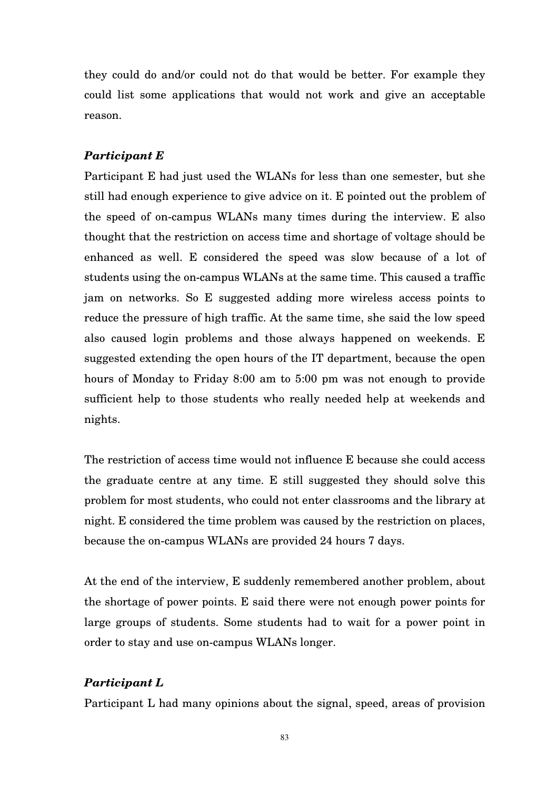they could do and/or could not do that would be better. For example they could list some applications that would not work and give an acceptable reason.

#### *Participant E*

Participant E had just used the WLANs for less than one semester, but she still had enough experience to give advice on it. E pointed out the problem of the speed of on-campus WLANs many times during the interview. E also thought that the restriction on access time and shortage of voltage should be enhanced as well. E considered the speed was slow because of a lot of students using the on-campus WLANs at the same time. This caused a traffic jam on networks. So E suggested adding more wireless access points to reduce the pressure of high traffic. At the same time, she said the low speed also caused login problems and those always happened on weekends. E suggested extending the open hours of the IT department, because the open hours of Monday to Friday 8:00 am to 5:00 pm was not enough to provide sufficient help to those students who really needed help at weekends and nights.

The restriction of access time would not influence E because she could access the graduate centre at any time. E still suggested they should solve this problem for most students, who could not enter classrooms and the library at night. E considered the time problem was caused by the restriction on places, because the on-campus WLANs are provided 24 hours 7 days.

At the end of the interview, E suddenly remembered another problem, about the shortage of power points. E said there were not enough power points for large groups of students. Some students had to wait for a power point in order to stay and use on-campus WLANs longer.

#### *Participant L*

Participant L had many opinions about the signal, speed, areas of provision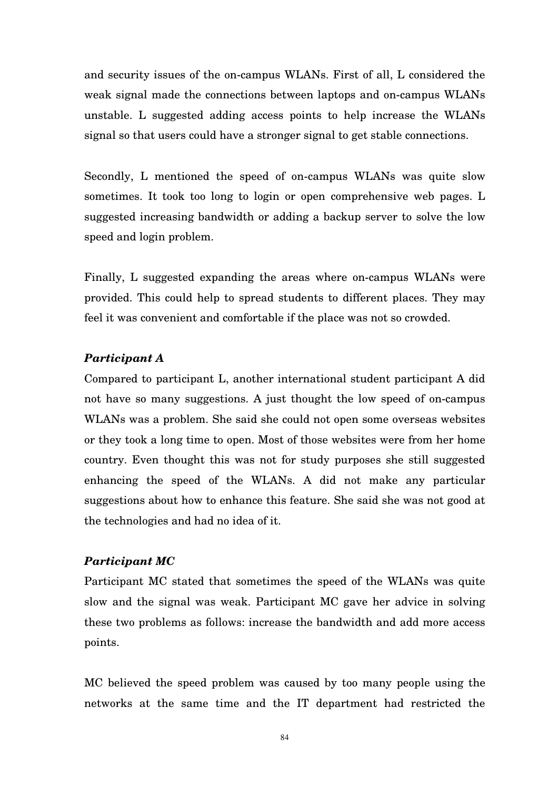and security issues of the on-campus WLANs. First of all, L considered the weak signal made the connections between laptops and on-campus WLANs unstable. L suggested adding access points to help increase the WLANs signal so that users could have a stronger signal to get stable connections.

Secondly, L mentioned the speed of on-campus WLANs was quite slow sometimes. It took too long to login or open comprehensive web pages. L suggested increasing bandwidth or adding a backup server to solve the low speed and login problem.

Finally, L suggested expanding the areas where on-campus WLANs were provided. This could help to spread students to different places. They may feel it was convenient and comfortable if the place was not so crowded.

### *Participant A*

Compared to participant L, another international student participant A did not have so many suggestions. A just thought the low speed of on-campus WLANs was a problem. She said she could not open some overseas websites or they took a long time to open. Most of those websites were from her home country. Even thought this was not for study purposes she still suggested enhancing the speed of the WLANs. A did not make any particular suggestions about how to enhance this feature. She said she was not good at the technologies and had no idea of it.

## *Participant MC*

Participant MC stated that sometimes the speed of the WLANs was quite slow and the signal was weak. Participant MC gave her advice in solving these two problems as follows: increase the bandwidth and add more access points.

MC believed the speed problem was caused by too many people using the networks at the same time and the IT department had restricted the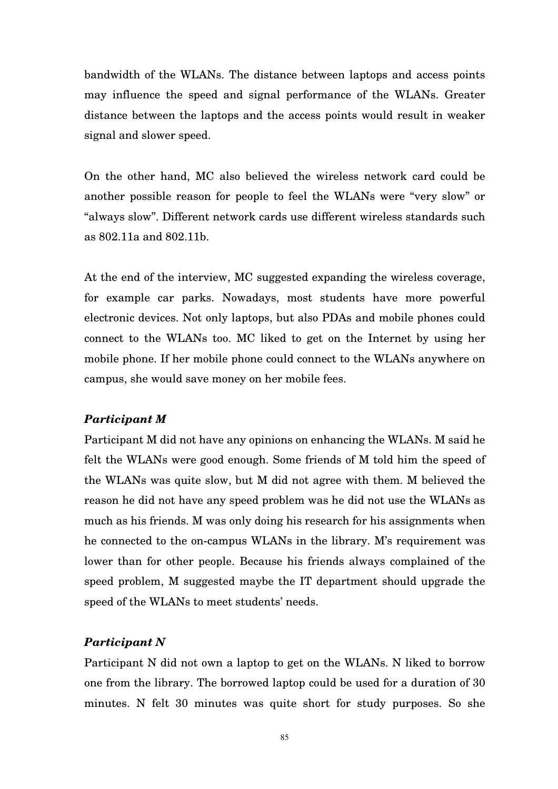bandwidth of the WLANs. The distance between laptops and access points may influence the speed and signal performance of the WLANs. Greater distance between the laptops and the access points would result in weaker signal and slower speed.

On the other hand, MC also believed the wireless network card could be another possible reason for people to feel the WLANs were "very slow" or "always slow". Different network cards use different wireless standards such as 802.11a and 802.11b.

At the end of the interview, MC suggested expanding the wireless coverage, for example car parks. Nowadays, most students have more powerful electronic devices. Not only laptops, but also PDAs and mobile phones could connect to the WLANs too. MC liked to get on the Internet by using her mobile phone. If her mobile phone could connect to the WLANs anywhere on campus, she would save money on her mobile fees.

#### *Participant M*

Participant M did not have any opinions on enhancing the WLANs. M said he felt the WLANs were good enough. Some friends of M told him the speed of the WLANs was quite slow, but M did not agree with them. M believed the reason he did not have any speed problem was he did not use the WLANs as much as his friends. M was only doing his research for his assignments when he connected to the on-campus WLANs in the library. M's requirement was lower than for other people. Because his friends always complained of the speed problem, M suggested maybe the IT department should upgrade the speed of the WLANs to meet students' needs.

# *Participant N*

Participant N did not own a laptop to get on the WLANs. N liked to borrow one from the library. The borrowed laptop could be used for a duration of 30 minutes. N felt 30 minutes was quite short for study purposes. So she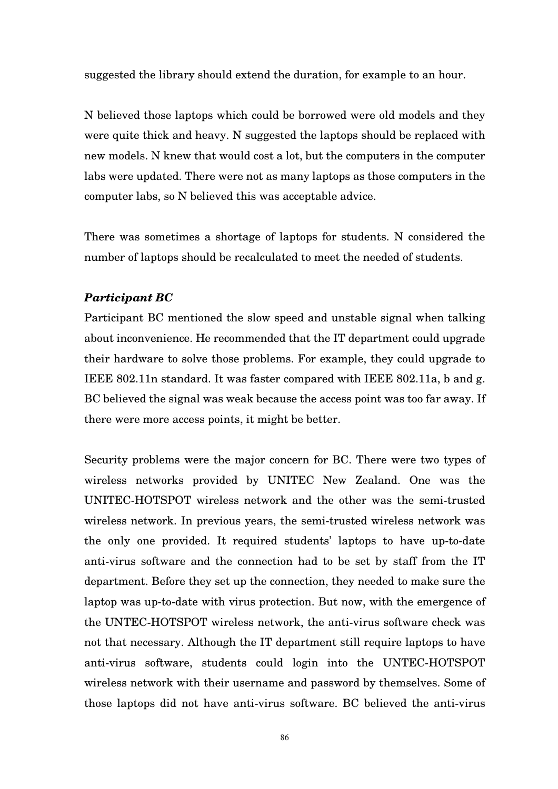suggested the library should extend the duration, for example to an hour.

N believed those laptops which could be borrowed were old models and they were quite thick and heavy. N suggested the laptops should be replaced with new models. N knew that would cost a lot, but the computers in the computer labs were updated. There were not as many laptops as those computers in the computer labs, so N believed this was acceptable advice.

There was sometimes a shortage of laptops for students. N considered the number of laptops should be recalculated to meet the needed of students.

#### *Participant BC*

Participant BC mentioned the slow speed and unstable signal when talking about inconvenience. He recommended that the IT department could upgrade their hardware to solve those problems. For example, they could upgrade to IEEE 802.11n standard. It was faster compared with IEEE 802.11a, b and g. BC believed the signal was weak because the access point was too far away. If there were more access points, it might be better.

Security problems were the major concern for BC. There were two types of wireless networks provided by UNITEC New Zealand. One was the UNITEC-HOTSPOT wireless network and the other was the semi-trusted wireless network. In previous years, the semi-trusted wireless network was the only one provided. It required students' laptops to have up-to-date anti-virus software and the connection had to be set by staff from the IT department. Before they set up the connection, they needed to make sure the laptop was up-to-date with virus protection. But now, with the emergence of the UNTEC-HOTSPOT wireless network, the anti-virus software check was not that necessary. Although the IT department still require laptops to have anti-virus software, students could login into the UNTEC-HOTSPOT wireless network with their username and password by themselves. Some of those laptops did not have anti-virus software. BC believed the anti-virus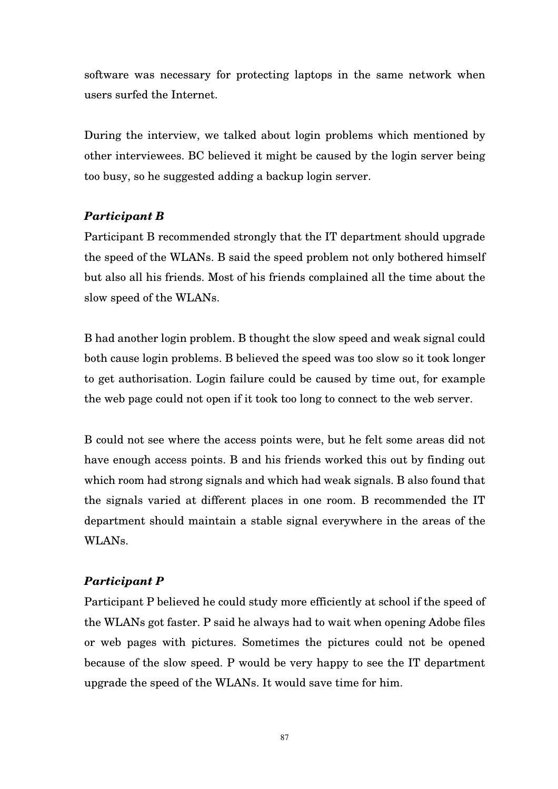software was necessary for protecting laptops in the same network when users surfed the Internet.

During the interview, we talked about login problems which mentioned by other interviewees. BC believed it might be caused by the login server being too busy, so he suggested adding a backup login server.

# *Participant B*

Participant B recommended strongly that the IT department should upgrade the speed of the WLANs. B said the speed problem not only bothered himself but also all his friends. Most of his friends complained all the time about the slow speed of the WLANs.

B had another login problem. B thought the slow speed and weak signal could both cause login problems. B believed the speed was too slow so it took longer to get authorisation. Login failure could be caused by time out, for example the web page could not open if it took too long to connect to the web server.

B could not see where the access points were, but he felt some areas did not have enough access points. B and his friends worked this out by finding out which room had strong signals and which had weak signals. B also found that the signals varied at different places in one room. B recommended the IT department should maintain a stable signal everywhere in the areas of the WLANs.

# *Participant P*

Participant P believed he could study more efficiently at school if the speed of the WLANs got faster. P said he always had to wait when opening Adobe files or web pages with pictures. Sometimes the pictures could not be opened because of the slow speed. P would be very happy to see the IT department upgrade the speed of the WLANs. It would save time for him.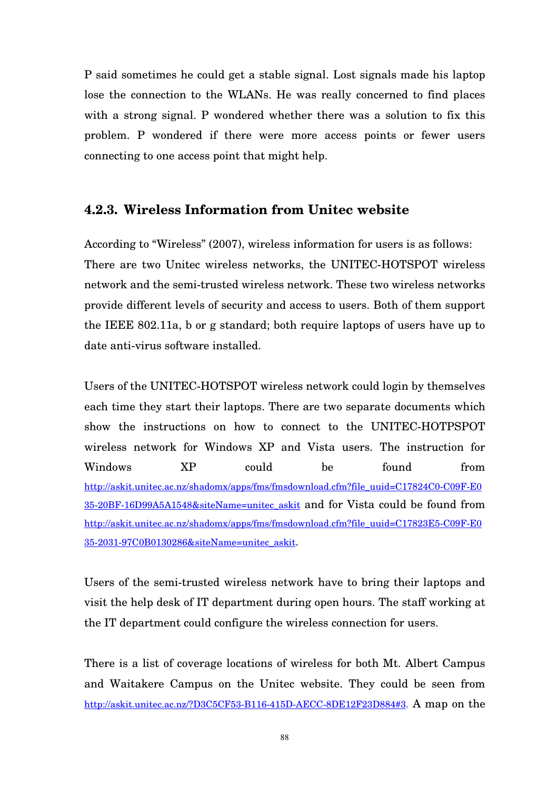P said sometimes he could get a stable signal. Lost signals made his laptop lose the connection to the WLANs. He was really concerned to find places with a strong signal. P wondered whether there was a solution to fix this problem. P wondered if there were more access points or fewer users connecting to one access point that might help.

# **4.2.3. Wireless Information from Unitec website**

According to "Wireless" (2007), wireless information for users is as follows: There are two Unitec wireless networks, the UNITEC-HOTSPOT wireless network and the semi-trusted wireless network. These two wireless networks provide different levels of security and access to users. Both of them support the IEEE 802.11a, b or g standard; both require laptops of users have up to date anti-virus software installed.

Users of the UNITEC-HOTSPOT wireless network could login by themselves each time they start their laptops. There are two separate documents which show the instructions on how to connect to the UNITEC-HOTPSPOT wireless network for Windows XP and Vista users. The instruction for Windows XP could be found from http://askit.unitec.ac.nz/shadomx/apps/fms/fmsdownload.cfm?file\_uuid=C17824C0-C09F-E0 35-20BF-16D99A5A1548&siteName=unitec\_askit and for Vista could be found from http://askit.unitec.ac.nz/shadomx/apps/fms/fmsdownload.cfm?file\_uuid=C17823E5-C09F-E0 35-2031-97C0B0130286&siteName=unitec\_askit.

Users of the semi-trusted wireless network have to bring their laptops and visit the help desk of IT department during open hours. The staff working at the IT department could configure the wireless connection for users.

There is a list of coverage locations of wireless for both Mt. Albert Campus and Waitakere Campus on the Unitec website. They could be seen from http://askit.unitec.ac.nz/?D3C5CF53-B116-415D-AECC-8DE12F23D884#3. A map on the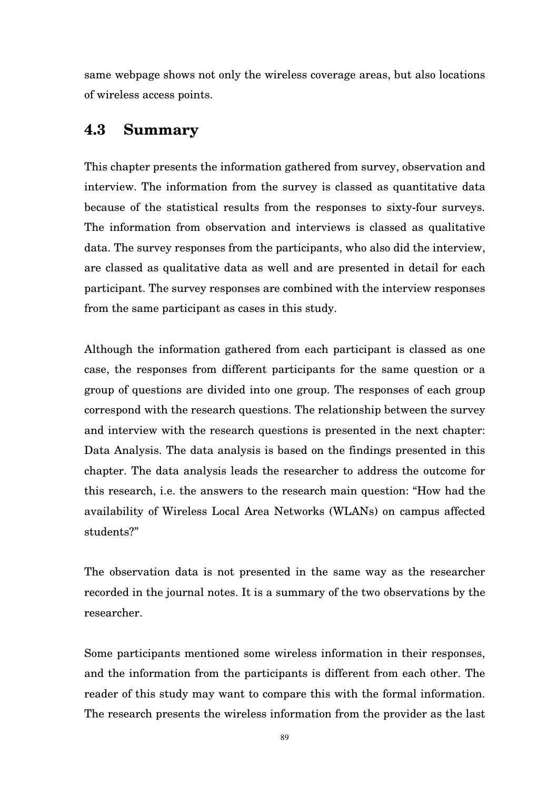same webpage shows not only the wireless coverage areas, but also locations of wireless access points.

# **4.3 Summary**

This chapter presents the information gathered from survey, observation and interview. The information from the survey is classed as quantitative data because of the statistical results from the responses to sixty-four surveys. The information from observation and interviews is classed as qualitative data. The survey responses from the participants, who also did the interview, are classed as qualitative data as well and are presented in detail for each participant. The survey responses are combined with the interview responses from the same participant as cases in this study.

Although the information gathered from each participant is classed as one case, the responses from different participants for the same question or a group of questions are divided into one group. The responses of each group correspond with the research questions. The relationship between the survey and interview with the research questions is presented in the next chapter: Data Analysis. The data analysis is based on the findings presented in this chapter. The data analysis leads the researcher to address the outcome for this research, i.e. the answers to the research main question: "How had the availability of Wireless Local Area Networks (WLANs) on campus affected students?"

The observation data is not presented in the same way as the researcher recorded in the journal notes. It is a summary of the two observations by the researcher.

Some participants mentioned some wireless information in their responses, and the information from the participants is different from each other. The reader of this study may want to compare this with the formal information. The research presents the wireless information from the provider as the last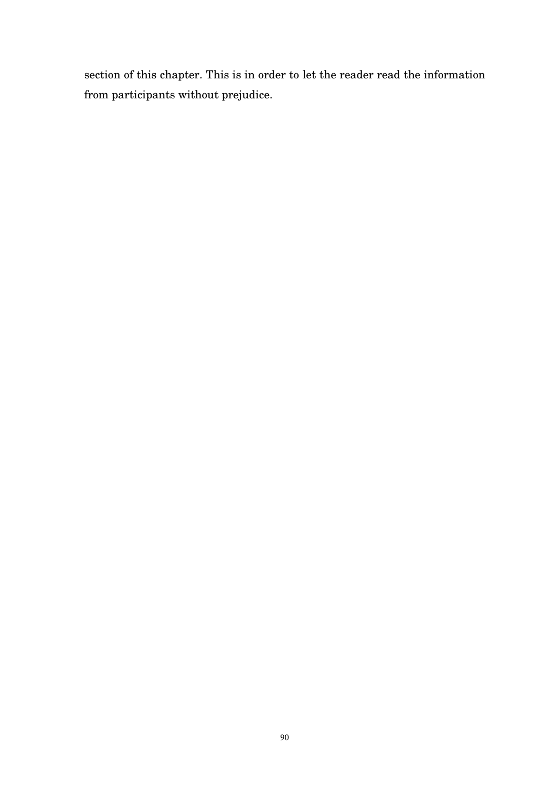section of this chapter. This is in order to let the reader read the information from participants without prejudice.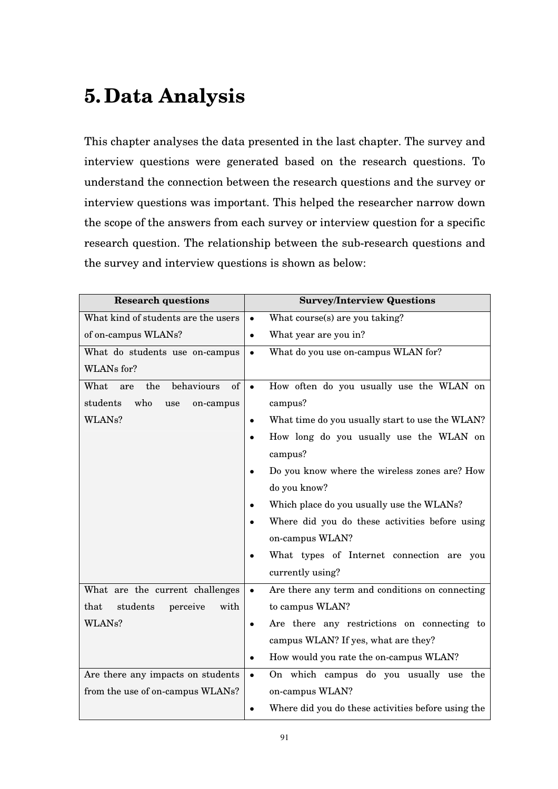# **5. Data Analysis**

This chapter analyses the data presented in the last chapter. The survey and interview questions were generated based on the research questions. To understand the connection between the research questions and the survey or interview questions was important. This helped the researcher narrow down the scope of the answers from each survey or interview question for a specific research question. The relationship between the sub-research questions and the survey and interview questions is shown as below:

| <b>Research questions</b>              | <b>Survey/Interview Questions</b>                               |  |  |  |  |  |
|----------------------------------------|-----------------------------------------------------------------|--|--|--|--|--|
| What kind of students are the users    | What course(s) are you taking?<br>$\bullet$                     |  |  |  |  |  |
| of on-campus WLANs?                    | What year are you in?<br>$\bullet$                              |  |  |  |  |  |
| What do students use on-campus         | What do you use on-campus WLAN for?<br>$\bullet$                |  |  |  |  |  |
| WLANs for?                             |                                                                 |  |  |  |  |  |
| behaviours<br>of<br>What<br>the<br>are | How often do you usually use the WLAN on<br>$\bullet$           |  |  |  |  |  |
| who<br>students<br>use<br>on-campus    | campus?                                                         |  |  |  |  |  |
| WLAN <sub>s?</sub>                     | What time do you usually start to use the WLAN?<br>$\bullet$    |  |  |  |  |  |
|                                        | How long do you usually use the WLAN on                         |  |  |  |  |  |
|                                        | campus?                                                         |  |  |  |  |  |
|                                        | Do you know where the wireless zones are? How<br>$\bullet$      |  |  |  |  |  |
|                                        | do you know?                                                    |  |  |  |  |  |
|                                        | Which place do you usually use the WLANs?<br>$\bullet$          |  |  |  |  |  |
|                                        | Where did you do these activities before using                  |  |  |  |  |  |
|                                        | on-campus WLAN?                                                 |  |  |  |  |  |
|                                        | What types of Internet connection are you                       |  |  |  |  |  |
|                                        | currently using?                                                |  |  |  |  |  |
| What are the current challenges        | Are there any term and conditions on connecting<br>$\bullet$    |  |  |  |  |  |
| that<br>students<br>perceive<br>with   | to campus WLAN?                                                 |  |  |  |  |  |
| WLAN <sub>s?</sub>                     | Are there any restrictions on connecting to<br>$\bullet$        |  |  |  |  |  |
|                                        | campus WLAN? If yes, what are they?                             |  |  |  |  |  |
|                                        | How would you rate the on-campus WLAN?<br>$\bullet$             |  |  |  |  |  |
| Are there any impacts on students      | On which campus do you usually use the<br>$\bullet$             |  |  |  |  |  |
| from the use of on-campus WLANs?       | on-campus WLAN?                                                 |  |  |  |  |  |
|                                        | Where did you do these activities before using the<br>$\bullet$ |  |  |  |  |  |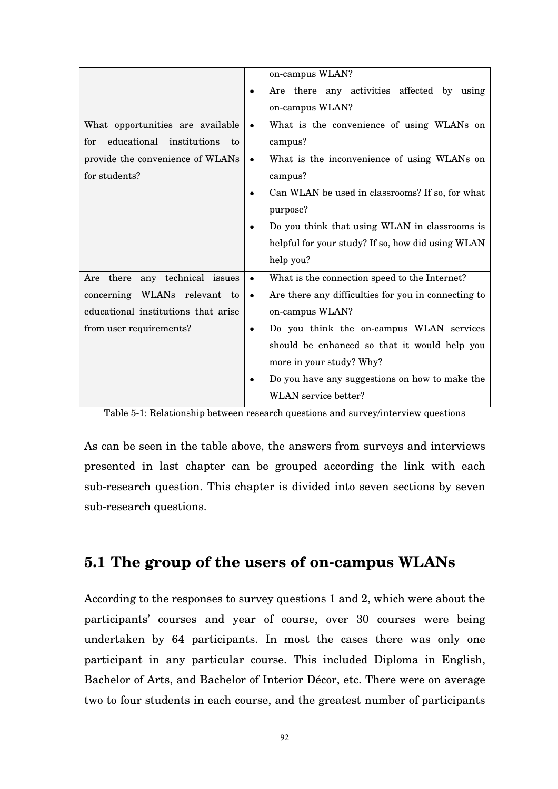|                                       |           | on-campus WLAN?                                     |  |  |  |  |
|---------------------------------------|-----------|-----------------------------------------------------|--|--|--|--|
|                                       | $\bullet$ | Are there any activities affected by using          |  |  |  |  |
|                                       |           | on-campus WLAN?                                     |  |  |  |  |
| What opportunities are available      | $\bullet$ | What is the convenience of using WLANs on           |  |  |  |  |
| educational institutions<br>for<br>to |           | campus?                                             |  |  |  |  |
| provide the convenience of WLANs      | $\bullet$ | What is the inconvenience of using WLANs on         |  |  |  |  |
| for students?                         |           | campus?                                             |  |  |  |  |
|                                       |           | Can WLAN be used in classrooms? If so, for what     |  |  |  |  |
|                                       |           | purpose?                                            |  |  |  |  |
|                                       | $\bullet$ | Do you think that using WLAN in classrooms is       |  |  |  |  |
|                                       |           | helpful for your study? If so, how did using WLAN   |  |  |  |  |
|                                       |           | help you?                                           |  |  |  |  |
| Are there any technical issues        | $\bullet$ | What is the connection speed to the Internet?       |  |  |  |  |
| concerning WLANs relevant to          | $\bullet$ | Are there any difficulties for you in connecting to |  |  |  |  |
| educational institutions that arise   |           | on-campus WLAN?                                     |  |  |  |  |
| from user requirements?               | $\bullet$ | Do you think the on-campus WLAN services            |  |  |  |  |
|                                       |           | should be enhanced so that it would help you        |  |  |  |  |
|                                       |           | more in your study? Why?                            |  |  |  |  |
|                                       |           | Do you have any suggestions on how to make the      |  |  |  |  |
|                                       |           | WLAN service better?                                |  |  |  |  |

Table 5-1: Relationship between research questions and survey/interview questions

As can be seen in the table above, the answers from surveys and interviews presented in last chapter can be grouped according the link with each sub-research question. This chapter is divided into seven sections by seven sub-research questions.

# **5.1 The group of the users of on-campus WLANs**

According to the responses to survey questions 1 and 2, which were about the participants' courses and year of course, over 30 courses were being undertaken by 64 participants. In most the cases there was only one participant in any particular course. This included Diploma in English, Bachelor of Arts, and Bachelor of Interior Décor, etc. There were on average two to four students in each course, and the greatest number of participants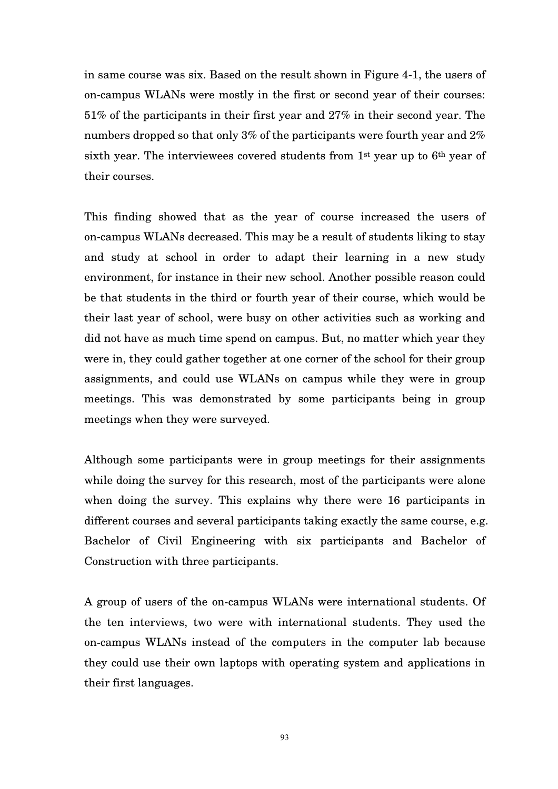in same course was six. Based on the result shown in Figure 4-1, the users of on-campus WLANs were mostly in the first or second year of their courses: 51% of the participants in their first year and 27% in their second year. The numbers dropped so that only 3% of the participants were fourth year and 2% sixth year. The interviewees covered students from 1st year up to 6th year of their courses.

This finding showed that as the year of course increased the users of on-campus WLANs decreased. This may be a result of students liking to stay and study at school in order to adapt their learning in a new study environment, for instance in their new school. Another possible reason could be that students in the third or fourth year of their course, which would be their last year of school, were busy on other activities such as working and did not have as much time spend on campus. But, no matter which year they were in, they could gather together at one corner of the school for their group assignments, and could use WLANs on campus while they were in group meetings. This was demonstrated by some participants being in group meetings when they were surveyed.

Although some participants were in group meetings for their assignments while doing the survey for this research, most of the participants were alone when doing the survey. This explains why there were 16 participants in different courses and several participants taking exactly the same course, e.g. Bachelor of Civil Engineering with six participants and Bachelor of Construction with three participants.

A group of users of the on-campus WLANs were international students. Of the ten interviews, two were with international students. They used the on-campus WLANs instead of the computers in the computer lab because they could use their own laptops with operating system and applications in their first languages.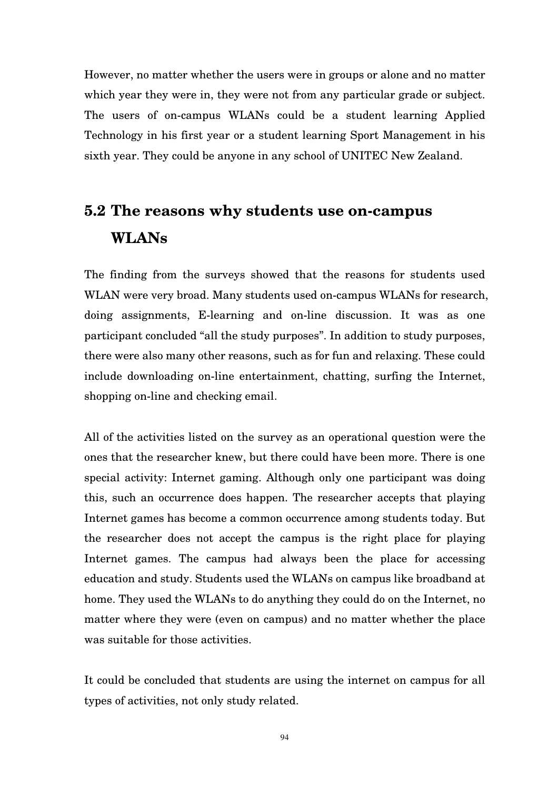However, no matter whether the users were in groups or alone and no matter which year they were in, they were not from any particular grade or subject. The users of on-campus WLANs could be a student learning Applied Technology in his first year or a student learning Sport Management in his sixth year. They could be anyone in any school of UNITEC New Zealand.

# **5.2 The reasons why students use on-campus WLANs**

The finding from the surveys showed that the reasons for students used WLAN were very broad. Many students used on-campus WLANs for research, doing assignments, E-learning and on-line discussion. It was as one participant concluded "all the study purposes". In addition to study purposes, there were also many other reasons, such as for fun and relaxing. These could include downloading on-line entertainment, chatting, surfing the Internet, shopping on-line and checking email.

All of the activities listed on the survey as an operational question were the ones that the researcher knew, but there could have been more. There is one special activity: Internet gaming. Although only one participant was doing this, such an occurrence does happen. The researcher accepts that playing Internet games has become a common occurrence among students today. But the researcher does not accept the campus is the right place for playing Internet games. The campus had always been the place for accessing education and study. Students used the WLANs on campus like broadband at home. They used the WLANs to do anything they could do on the Internet, no matter where they were (even on campus) and no matter whether the place was suitable for those activities.

It could be concluded that students are using the internet on campus for all types of activities, not only study related.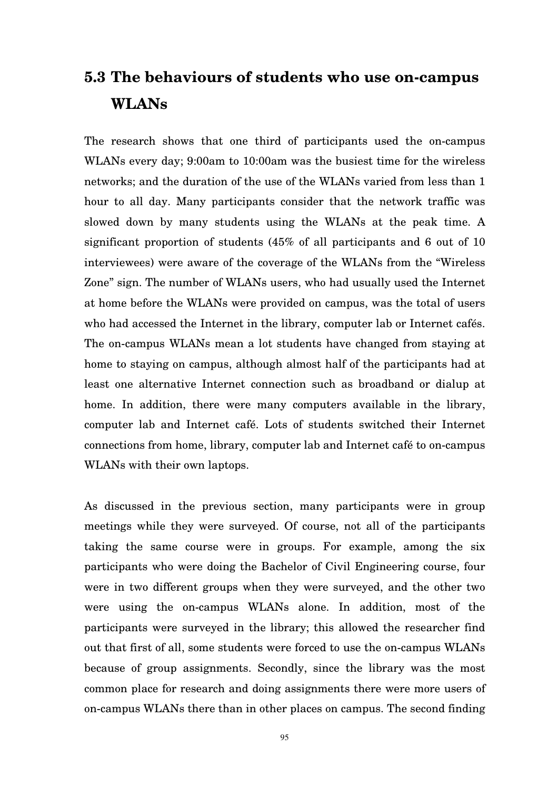# **5.3 The behaviours of students who use on-campus WLANs**

The research shows that one third of participants used the on-campus WLANs every day; 9:00am to 10:00am was the busiest time for the wireless networks; and the duration of the use of the WLANs varied from less than 1 hour to all day. Many participants consider that the network traffic was slowed down by many students using the WLANs at the peak time. A significant proportion of students (45% of all participants and 6 out of 10 interviewees) were aware of the coverage of the WLANs from the "Wireless Zone" sign. The number of WLANs users, who had usually used the Internet at home before the WLANs were provided on campus, was the total of users who had accessed the Internet in the library, computer lab or Internet cafés. The on-campus WLANs mean a lot students have changed from staying at home to staying on campus, although almost half of the participants had at least one alternative Internet connection such as broadband or dialup at home. In addition, there were many computers available in the library, computer lab and Internet café. Lots of students switched their Internet connections from home, library, computer lab and Internet café to on-campus WLANs with their own laptops.

As discussed in the previous section, many participants were in group meetings while they were surveyed. Of course, not all of the participants taking the same course were in groups. For example, among the six participants who were doing the Bachelor of Civil Engineering course, four were in two different groups when they were surveyed, and the other two were using the on-campus WLANs alone. In addition, most of the participants were surveyed in the library; this allowed the researcher find out that first of all, some students were forced to use the on-campus WLANs because of group assignments. Secondly, since the library was the most common place for research and doing assignments there were more users of on-campus WLANs there than in other places on campus. The second finding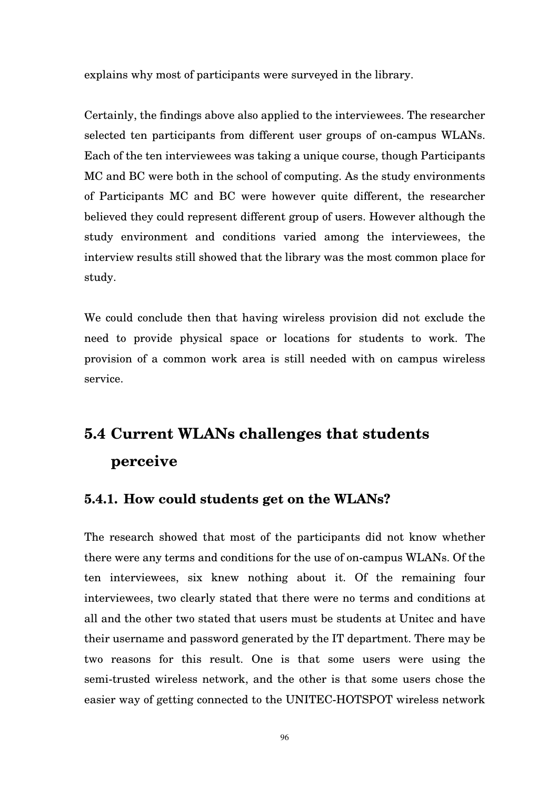explains why most of participants were surveyed in the library.

Certainly, the findings above also applied to the interviewees. The researcher selected ten participants from different user groups of on-campus WLANs. Each of the ten interviewees was taking a unique course, though Participants MC and BC were both in the school of computing. As the study environments of Participants MC and BC were however quite different, the researcher believed they could represent different group of users. However although the study environment and conditions varied among the interviewees, the interview results still showed that the library was the most common place for study.

We could conclude then that having wireless provision did not exclude the need to provide physical space or locations for students to work. The provision of a common work area is still needed with on campus wireless service.

# **5.4 Current WLANs challenges that students perceive**

# **5.4.1. How could students get on the WLANs?**

The research showed that most of the participants did not know whether there were any terms and conditions for the use of on-campus WLANs. Of the ten interviewees, six knew nothing about it. Of the remaining four interviewees, two clearly stated that there were no terms and conditions at all and the other two stated that users must be students at Unitec and have their username and password generated by the IT department. There may be two reasons for this result. One is that some users were using the semi-trusted wireless network, and the other is that some users chose the easier way of getting connected to the UNITEC-HOTSPOT wireless network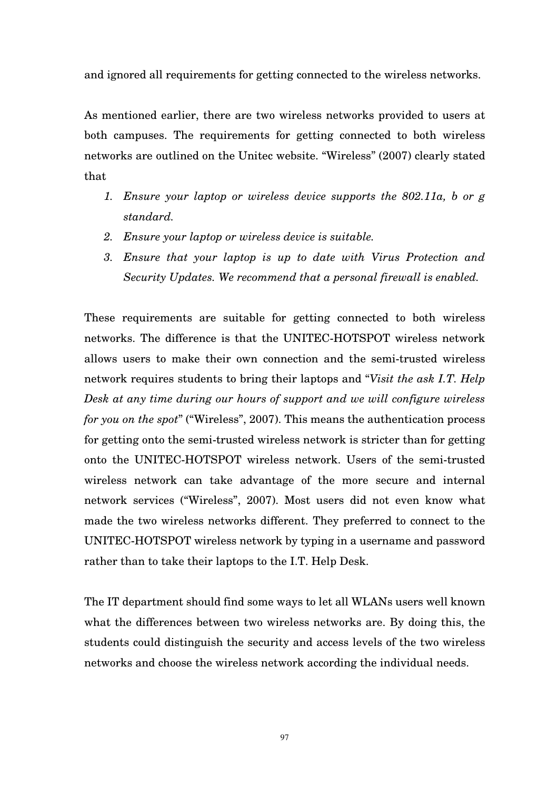and ignored all requirements for getting connected to the wireless networks.

As mentioned earlier, there are two wireless networks provided to users at both campuses. The requirements for getting connected to both wireless networks are outlined on the Unitec website. "Wireless" (2007) clearly stated that

- *1. Ensure your laptop or wireless device supports the 802.11a, b or g standard.*
- *2. Ensure your laptop or wireless device is suitable.*
- *3. Ensure that your laptop is up to date with Virus Protection and Security Updates. We recommend that a personal firewall is enabled.*

These requirements are suitable for getting connected to both wireless networks. The difference is that the UNITEC-HOTSPOT wireless network allows users to make their own connection and the semi-trusted wireless network requires students to bring their laptops and "*Visit the ask I.T. Help Desk at any time during our hours of support and we will configure wireless for you on the spot*" ("Wireless", 2007). This means the authentication process for getting onto the semi-trusted wireless network is stricter than for getting onto the UNITEC-HOTSPOT wireless network. Users of the semi-trusted wireless network can take advantage of the more secure and internal network services ("Wireless", 2007). Most users did not even know what made the two wireless networks different. They preferred to connect to the UNITEC-HOTSPOT wireless network by typing in a username and password rather than to take their laptops to the I.T. Help Desk.

The IT department should find some ways to let all WLANs users well known what the differences between two wireless networks are. By doing this, the students could distinguish the security and access levels of the two wireless networks and choose the wireless network according the individual needs.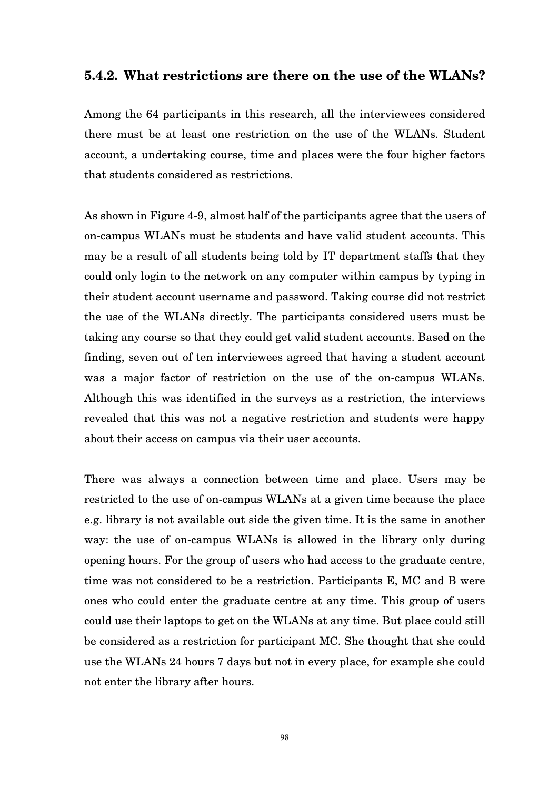# **5.4.2. What restrictions are there on the use of the WLANs?**

Among the 64 participants in this research, all the interviewees considered there must be at least one restriction on the use of the WLANs. Student account, a undertaking course, time and places were the four higher factors that students considered as restrictions.

As shown in Figure 4-9, almost half of the participants agree that the users of on-campus WLANs must be students and have valid student accounts. This may be a result of all students being told by IT department staffs that they could only login to the network on any computer within campus by typing in their student account username and password. Taking course did not restrict the use of the WLANs directly. The participants considered users must be taking any course so that they could get valid student accounts. Based on the finding, seven out of ten interviewees agreed that having a student account was a major factor of restriction on the use of the on-campus WLANs. Although this was identified in the surveys as a restriction, the interviews revealed that this was not a negative restriction and students were happy about their access on campus via their user accounts.

There was always a connection between time and place. Users may be restricted to the use of on-campus WLANs at a given time because the place e.g. library is not available out side the given time. It is the same in another way: the use of on-campus WLANs is allowed in the library only during opening hours. For the group of users who had access to the graduate centre, time was not considered to be a restriction. Participants E, MC and B were ones who could enter the graduate centre at any time. This group of users could use their laptops to get on the WLANs at any time. But place could still be considered as a restriction for participant MC. She thought that she could use the WLANs 24 hours 7 days but not in every place, for example she could not enter the library after hours.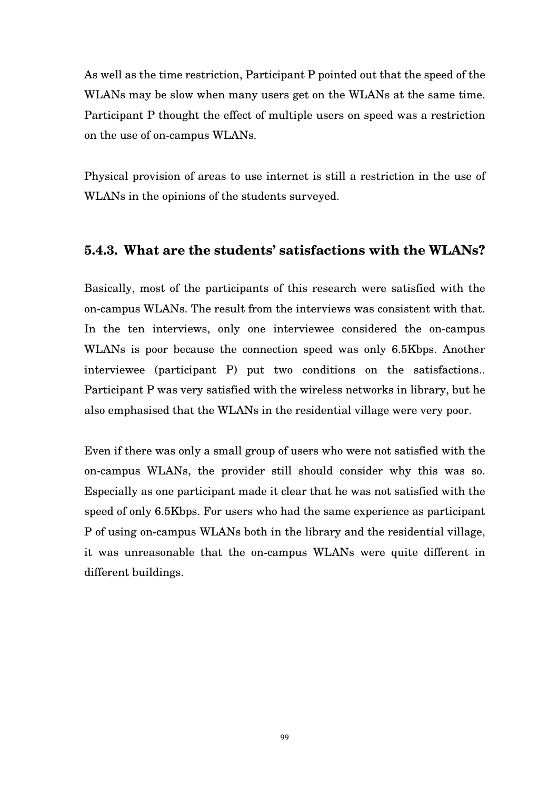As well as the time restriction, Participant P pointed out that the speed of the WLANs may be slow when many users get on the WLANs at the same time. Participant P thought the effect of multiple users on speed was a restriction on the use of on-campus WLANs.

Physical provision of areas to use internet is still a restriction in the use of WLANs in the opinions of the students surveyed.

# **5.4.3. What are the students' satisfactions with the WLANs?**

Basically, most of the participants of this research were satisfied with the on-campus WLANs. The result from the interviews was consistent with that. In the ten interviews, only one interviewee considered the on-campus WLANs is poor because the connection speed was only 6.5Kbps. Another interviewee (participant P) put two conditions on the satisfactions.. Participant P was very satisfied with the wireless networks in library, but he also emphasised that the WLANs in the residential village were very poor.

Even if there was only a small group of users who were not satisfied with the on-campus WLANs, the provider still should consider why this was so. Especially as one participant made it clear that he was not satisfied with the speed of only 6.5Kbps. For users who had the same experience as participant P of using on-campus WLANs both in the library and the residential village, it was unreasonable that the on-campus WLANs were quite different in different buildings.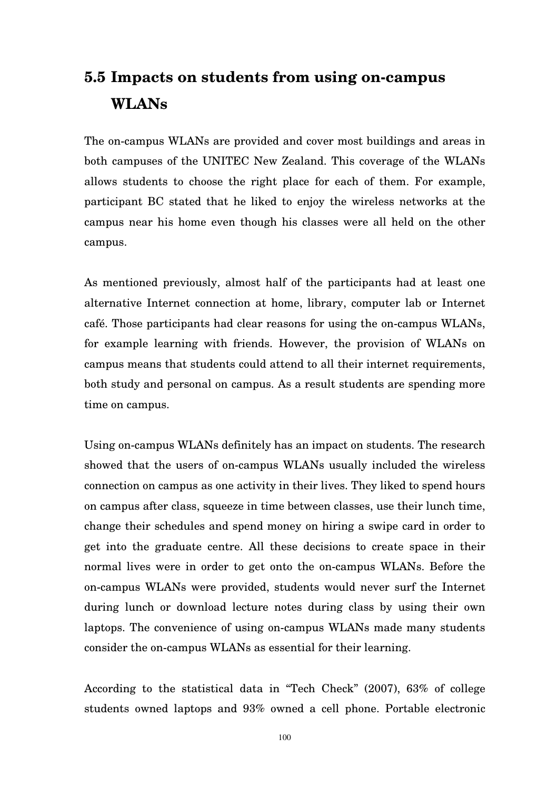# **5.5 Impacts on students from using on-campus WLANs**

The on-campus WLANs are provided and cover most buildings and areas in both campuses of the UNITEC New Zealand. This coverage of the WLANs allows students to choose the right place for each of them. For example, participant BC stated that he liked to enjoy the wireless networks at the campus near his home even though his classes were all held on the other campus.

As mentioned previously, almost half of the participants had at least one alternative Internet connection at home, library, computer lab or Internet café. Those participants had clear reasons for using the on-campus WLANs, for example learning with friends. However, the provision of WLANs on campus means that students could attend to all their internet requirements, both study and personal on campus. As a result students are spending more time on campus.

Using on-campus WLANs definitely has an impact on students. The research showed that the users of on-campus WLANs usually included the wireless connection on campus as one activity in their lives. They liked to spend hours on campus after class, squeeze in time between classes, use their lunch time, change their schedules and spend money on hiring a swipe card in order to get into the graduate centre. All these decisions to create space in their normal lives were in order to get onto the on-campus WLANs. Before the on-campus WLANs were provided, students would never surf the Internet during lunch or download lecture notes during class by using their own laptops. The convenience of using on-campus WLANs made many students consider the on-campus WLANs as essential for their learning.

According to the statistical data in "Tech Check" (2007), 63% of college students owned laptops and 93% owned a cell phone. Portable electronic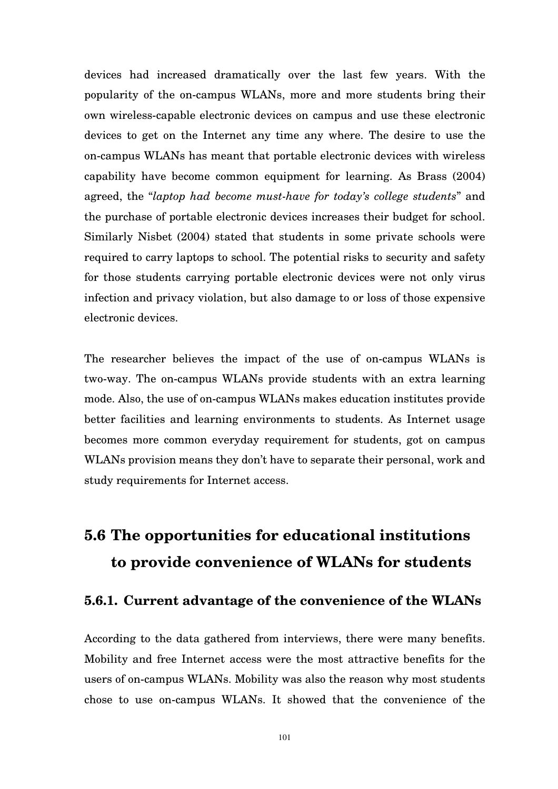devices had increased dramatically over the last few years. With the popularity of the on-campus WLANs, more and more students bring their own wireless-capable electronic devices on campus and use these electronic devices to get on the Internet any time any where. The desire to use the on-campus WLANs has meant that portable electronic devices with wireless capability have become common equipment for learning. As Brass (2004) agreed, the "*laptop had become must-have for today's college students*" and the purchase of portable electronic devices increases their budget for school. Similarly Nisbet (2004) stated that students in some private schools were required to carry laptops to school. The potential risks to security and safety for those students carrying portable electronic devices were not only virus infection and privacy violation, but also damage to or loss of those expensive electronic devices.

The researcher believes the impact of the use of on-campus WLANs is two-way. The on-campus WLANs provide students with an extra learning mode. Also, the use of on-campus WLANs makes education institutes provide better facilities and learning environments to students. As Internet usage becomes more common everyday requirement for students, got on campus WLANs provision means they don't have to separate their personal, work and study requirements for Internet access.

# **5.6 The opportunities for educational institutions to provide convenience of WLANs for students**

# **5.6.1. Current advantage of the convenience of the WLANs**

According to the data gathered from interviews, there were many benefits. Mobility and free Internet access were the most attractive benefits for the users of on-campus WLANs. Mobility was also the reason why most students chose to use on-campus WLANs. It showed that the convenience of the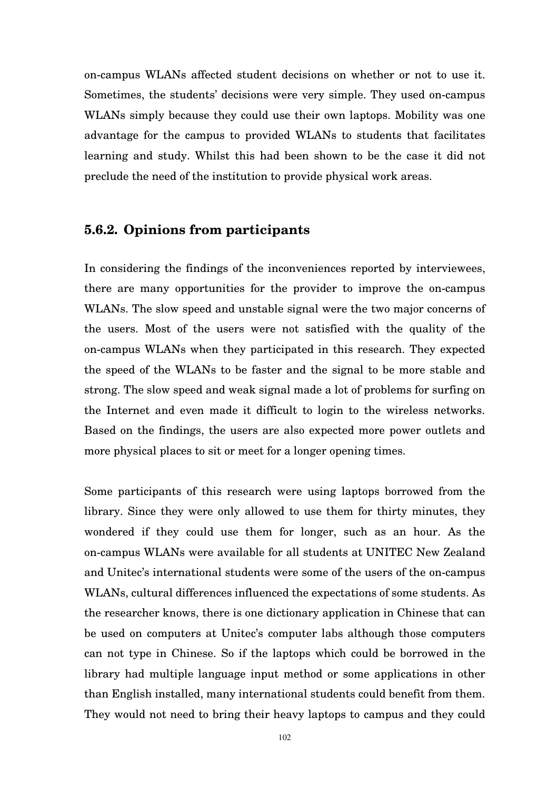on-campus WLANs affected student decisions on whether or not to use it. Sometimes, the students' decisions were very simple. They used on-campus WLANs simply because they could use their own laptops. Mobility was one advantage for the campus to provided WLANs to students that facilitates learning and study. Whilst this had been shown to be the case it did not preclude the need of the institution to provide physical work areas.

## **5.6.2. Opinions from participants**

In considering the findings of the inconveniences reported by interviewees, there are many opportunities for the provider to improve the on-campus WLANs. The slow speed and unstable signal were the two major concerns of the users. Most of the users were not satisfied with the quality of the on-campus WLANs when they participated in this research. They expected the speed of the WLANs to be faster and the signal to be more stable and strong. The slow speed and weak signal made a lot of problems for surfing on the Internet and even made it difficult to login to the wireless networks. Based on the findings, the users are also expected more power outlets and more physical places to sit or meet for a longer opening times.

Some participants of this research were using laptops borrowed from the library. Since they were only allowed to use them for thirty minutes, they wondered if they could use them for longer, such as an hour. As the on-campus WLANs were available for all students at UNITEC New Zealand and Unitec's international students were some of the users of the on-campus WLANs, cultural differences influenced the expectations of some students. As the researcher knows, there is one dictionary application in Chinese that can be used on computers at Unitec's computer labs although those computers can not type in Chinese. So if the laptops which could be borrowed in the library had multiple language input method or some applications in other than English installed, many international students could benefit from them. They would not need to bring their heavy laptops to campus and they could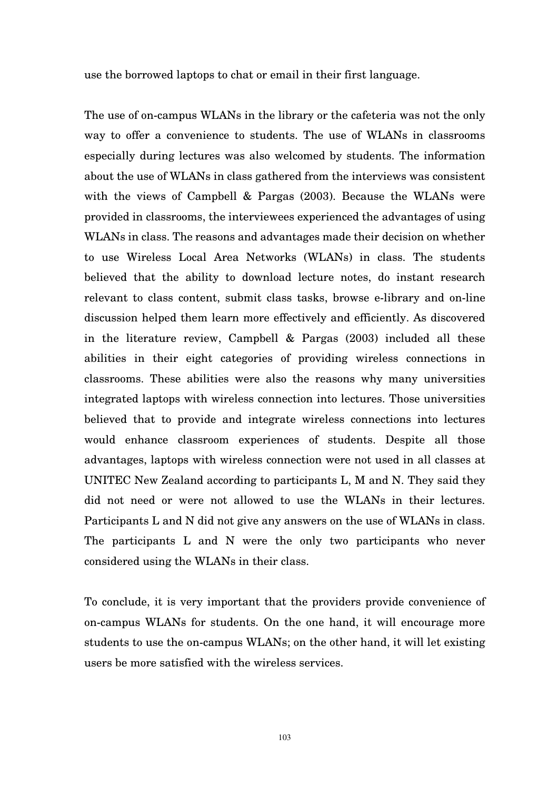use the borrowed laptops to chat or email in their first language.

The use of on-campus WLANs in the library or the cafeteria was not the only way to offer a convenience to students. The use of WLANs in classrooms especially during lectures was also welcomed by students. The information about the use of WLANs in class gathered from the interviews was consistent with the views of Campbell & Pargas (2003). Because the WLANs were provided in classrooms, the interviewees experienced the advantages of using WLANs in class. The reasons and advantages made their decision on whether to use Wireless Local Area Networks (WLANs) in class. The students believed that the ability to download lecture notes, do instant research relevant to class content, submit class tasks, browse e-library and on-line discussion helped them learn more effectively and efficiently. As discovered in the literature review, Campbell & Pargas (2003) included all these abilities in their eight categories of providing wireless connections in classrooms. These abilities were also the reasons why many universities integrated laptops with wireless connection into lectures. Those universities believed that to provide and integrate wireless connections into lectures would enhance classroom experiences of students. Despite all those advantages, laptops with wireless connection were not used in all classes at UNITEC New Zealand according to participants L, M and N. They said they did not need or were not allowed to use the WLANs in their lectures. Participants L and N did not give any answers on the use of WLANs in class. The participants L and N were the only two participants who never considered using the WLANs in their class.

To conclude, it is very important that the providers provide convenience of on-campus WLANs for students. On the one hand, it will encourage more students to use the on-campus WLANs; on the other hand, it will let existing users be more satisfied with the wireless services.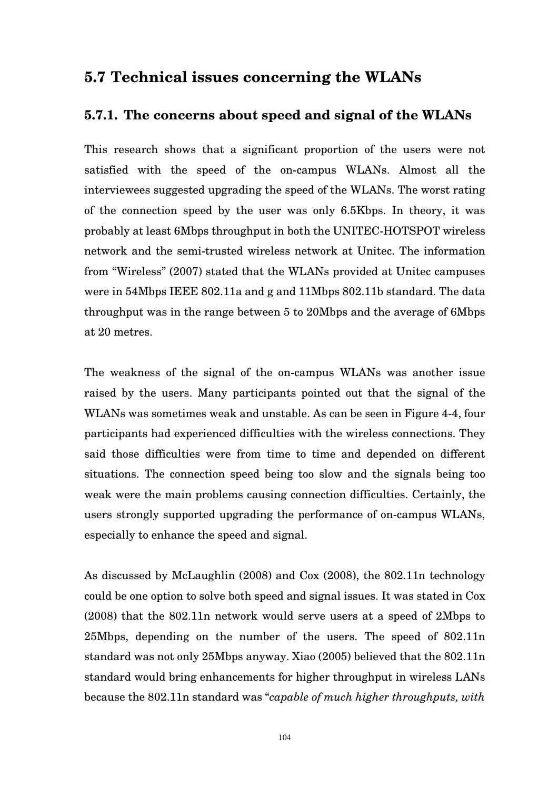## **5.7 Technical issues concerning the WLANs**

## **5.7.1. The concerns about speed and signal of the WLANs**

This research shows that a significant proportion of the users were not satisfied with the speed of the on-campus WLANs. Almost all the interviewees suggested upgrading the speed of the WLANs. The worst rating of the connection speed by the user was only 6.5Kbps. In theory, it was probably at least 6Mbps throughput in both the UNITEC-HOTSPOT wireless network and the semi-trusted wireless network at Unitec. The information from "Wireless" (2007) stated that the WLANs provided at Unitec campuses were in 54Mbps IEEE 802.11a and g and 11Mbps 802.11b standard. The data throughput was in the range between 5 to 20Mbps and the average of 6Mbps at 20 metres.

The weakness of the signal of the on-campus WLANs was another issue raised by the users. Many participants pointed out that the signal of the WLANs was sometimes weak and unstable. As can be seen in Figure 4-4, four participants had experienced difficulties with the wireless connections. They said those difficulties were from time to time and depended on different situations. The connection speed being too slow and the signals being too weak were the main problems causing connection difficulties. Certainly, the users strongly supported upgrading the performance of on-campus WLANs, especially to enhance the speed and signal.

As discussed by McLaughlin (2008) and Cox (2008), the 802.11n technology could be one option to solve both speed and signal issues. It was stated in Cox (2008) that the 802.11n network would serve users at a speed of 2Mbps to 25Mbps, depending on the number of the users. The speed of 802.11n standard was not only 25Mbps anyway. Xiao (2005) believed that the 802.11n standard would bring enhancements for higher throughput in wireless LANs because the 802.11n standard was "*capable of much higher throughputs, with*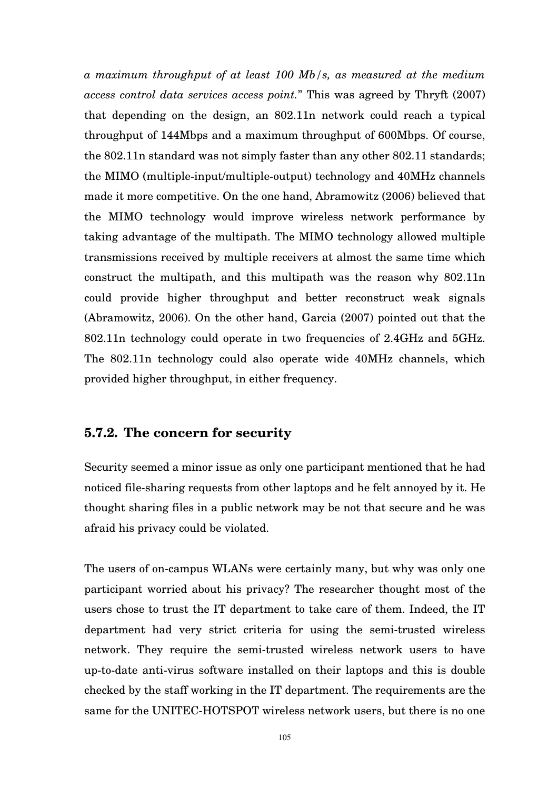*a maximum throughput of at least 100 Mb/s, as measured at the medium access control data services access point.*" This was agreed by Thryft (2007) that depending on the design, an 802.11n network could reach a typical throughput of 144Mbps and a maximum throughput of 600Mbps. Of course, the 802.11n standard was not simply faster than any other 802.11 standards; the MIMO (multiple-input/multiple-output) technology and 40MHz channels made it more competitive. On the one hand, Abramowitz (2006) believed that the MIMO technology would improve wireless network performance by taking advantage of the multipath. The MIMO technology allowed multiple transmissions received by multiple receivers at almost the same time which construct the multipath, and this multipath was the reason why 802.11n could provide higher throughput and better reconstruct weak signals (Abramowitz, 2006). On the other hand, Garcia (2007) pointed out that the 802.11n technology could operate in two frequencies of 2.4GHz and 5GHz. The 802.11n technology could also operate wide 40MHz channels, which provided higher throughput, in either frequency.

## **5.7.2. The concern for security**

Security seemed a minor issue as only one participant mentioned that he had noticed file-sharing requests from other laptops and he felt annoyed by it. He thought sharing files in a public network may be not that secure and he was afraid his privacy could be violated.

The users of on-campus WLANs were certainly many, but why was only one participant worried about his privacy? The researcher thought most of the users chose to trust the IT department to take care of them. Indeed, the IT department had very strict criteria for using the semi-trusted wireless network. They require the semi-trusted wireless network users to have up-to-date anti-virus software installed on their laptops and this is double checked by the staff working in the IT department. The requirements are the same for the UNITEC-HOTSPOT wireless network users, but there is no one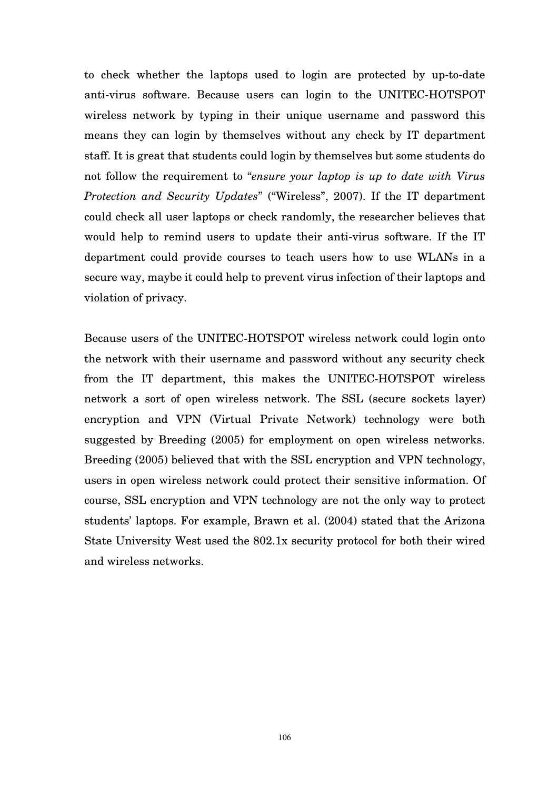to check whether the laptops used to login are protected by up-to-date anti-virus software. Because users can login to the UNITEC-HOTSPOT wireless network by typing in their unique username and password this means they can login by themselves without any check by IT department staff. It is great that students could login by themselves but some students do not follow the requirement to "*ensure your laptop is up to date with Virus Protection and Security Updates*" ("Wireless", 2007). If the IT department could check all user laptops or check randomly, the researcher believes that would help to remind users to update their anti-virus software. If the IT department could provide courses to teach users how to use WLANs in a secure way, maybe it could help to prevent virus infection of their laptops and violation of privacy.

Because users of the UNITEC-HOTSPOT wireless network could login onto the network with their username and password without any security check from the IT department, this makes the UNITEC-HOTSPOT wireless network a sort of open wireless network. The SSL (secure sockets layer) encryption and VPN (Virtual Private Network) technology were both suggested by Breeding (2005) for employment on open wireless networks. Breeding (2005) believed that with the SSL encryption and VPN technology, users in open wireless network could protect their sensitive information. Of course, SSL encryption and VPN technology are not the only way to protect students' laptops. For example, Brawn et al. (2004) stated that the Arizona State University West used the 802.1x security protocol for both their wired and wireless networks.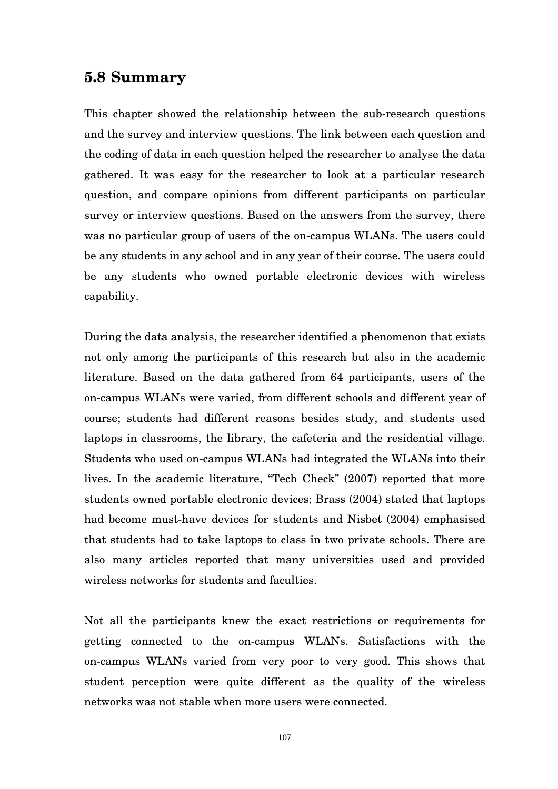## **5.8 Summary**

This chapter showed the relationship between the sub-research questions and the survey and interview questions. The link between each question and the coding of data in each question helped the researcher to analyse the data gathered. It was easy for the researcher to look at a particular research question, and compare opinions from different participants on particular survey or interview questions. Based on the answers from the survey, there was no particular group of users of the on-campus WLANs. The users could be any students in any school and in any year of their course. The users could be any students who owned portable electronic devices with wireless capability.

During the data analysis, the researcher identified a phenomenon that exists not only among the participants of this research but also in the academic literature. Based on the data gathered from 64 participants, users of the on-campus WLANs were varied, from different schools and different year of course; students had different reasons besides study, and students used laptops in classrooms, the library, the cafeteria and the residential village. Students who used on-campus WLANs had integrated the WLANs into their lives. In the academic literature, "Tech Check" (2007) reported that more students owned portable electronic devices; Brass (2004) stated that laptops had become must-have devices for students and Nisbet (2004) emphasised that students had to take laptops to class in two private schools. There are also many articles reported that many universities used and provided wireless networks for students and faculties.

Not all the participants knew the exact restrictions or requirements for getting connected to the on-campus WLANs. Satisfactions with the on-campus WLANs varied from very poor to very good. This shows that student perception were quite different as the quality of the wireless networks was not stable when more users were connected.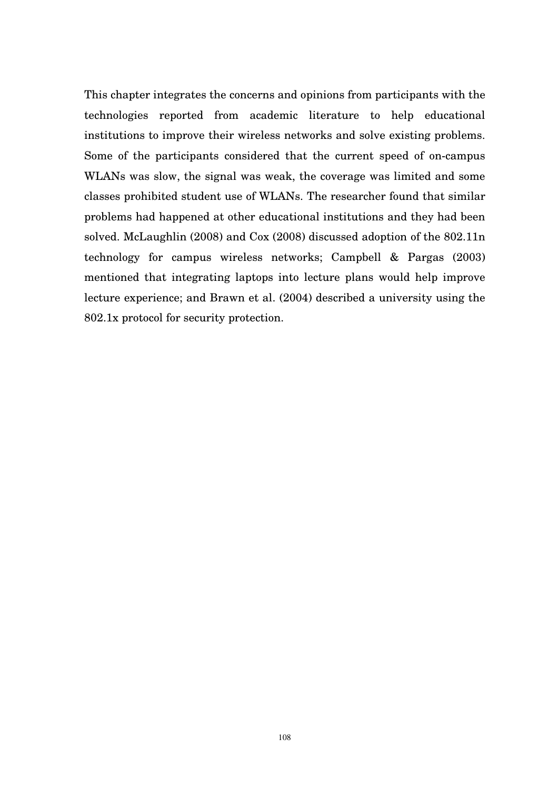This chapter integrates the concerns and opinions from participants with the technologies reported from academic literature to help educational institutions to improve their wireless networks and solve existing problems. Some of the participants considered that the current speed of on-campus WLANs was slow, the signal was weak, the coverage was limited and some classes prohibited student use of WLANs. The researcher found that similar problems had happened at other educational institutions and they had been solved. McLaughlin (2008) and Cox (2008) discussed adoption of the 802.11n technology for campus wireless networks; Campbell & Pargas (2003) mentioned that integrating laptops into lecture plans would help improve lecture experience; and Brawn et al. (2004) described a university using the 802.1x protocol for security protection.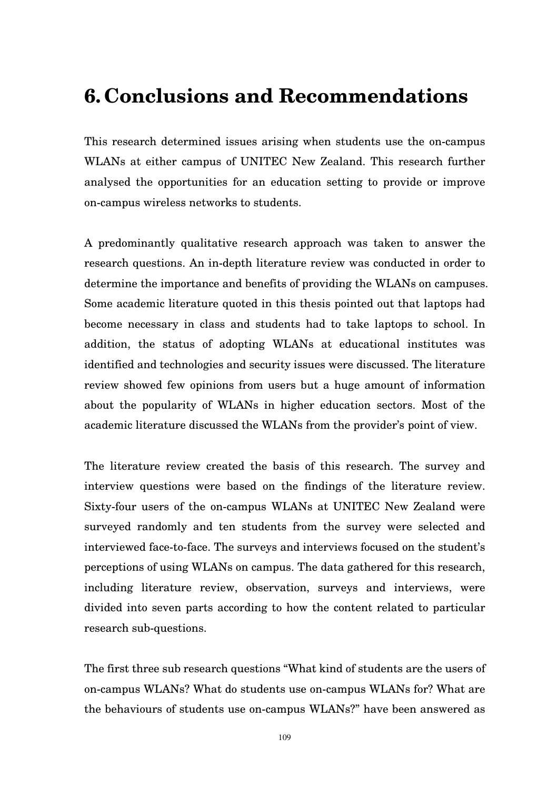## **6. Conclusions and Recommendations**

This research determined issues arising when students use the on-campus WLANs at either campus of UNITEC New Zealand. This research further analysed the opportunities for an education setting to provide or improve on-campus wireless networks to students.

A predominantly qualitative research approach was taken to answer the research questions. An in-depth literature review was conducted in order to determine the importance and benefits of providing the WLANs on campuses. Some academic literature quoted in this thesis pointed out that laptops had become necessary in class and students had to take laptops to school. In addition, the status of adopting WLANs at educational institutes was identified and technologies and security issues were discussed. The literature review showed few opinions from users but a huge amount of information about the popularity of WLANs in higher education sectors. Most of the academic literature discussed the WLANs from the provider's point of view.

The literature review created the basis of this research. The survey and interview questions were based on the findings of the literature review. Sixty-four users of the on-campus WLANs at UNITEC New Zealand were surveyed randomly and ten students from the survey were selected and interviewed face-to-face. The surveys and interviews focused on the student's perceptions of using WLANs on campus. The data gathered for this research, including literature review, observation, surveys and interviews, were divided into seven parts according to how the content related to particular research sub-questions.

The first three sub research questions "What kind of students are the users of on-campus WLANs? What do students use on-campus WLANs for? What are the behaviours of students use on-campus WLANs?" have been answered as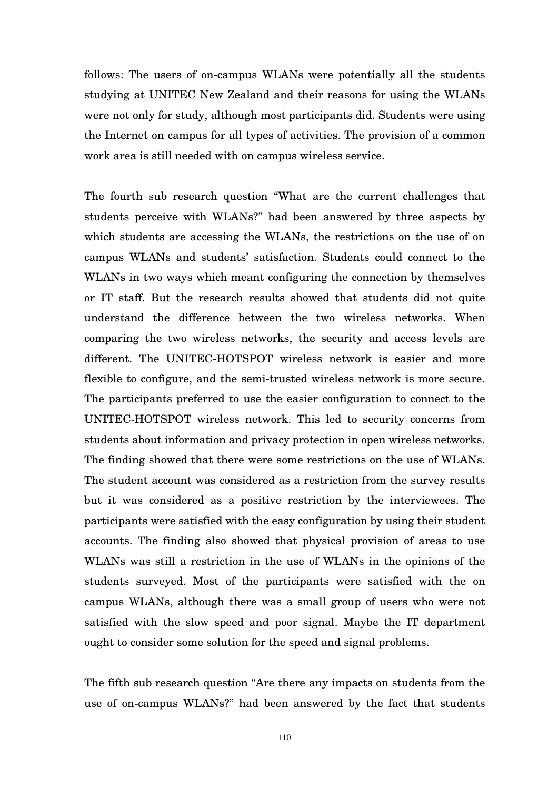follows: The users of on-campus WLANs were potentially all the students studying at UNITEC New Zealand and their reasons for using the WLANs were not only for study, although most participants did. Students were using the Internet on campus for all types of activities. The provision of a common work area is still needed with on campus wireless service.

The fourth sub research question "What are the current challenges that students perceive with WLANs?" had been answered by three aspects by which students are accessing the WLANs, the restrictions on the use of on campus WLANs and students' satisfaction. Students could connect to the WLANs in two ways which meant configuring the connection by themselves or IT staff. But the research results showed that students did not quite understand the difference between the two wireless networks. When comparing the two wireless networks, the security and access levels are different. The UNITEC-HOTSPOT wireless network is easier and more flexible to configure, and the semi-trusted wireless network is more secure. The participants preferred to use the easier configuration to connect to the UNITEC-HOTSPOT wireless network. This led to security concerns from students about information and privacy protection in open wireless networks. The finding showed that there were some restrictions on the use of WLANs. The student account was considered as a restriction from the survey results but it was considered as a positive restriction by the interviewees. The participants were satisfied with the easy configuration by using their student accounts. The finding also showed that physical provision of areas to use WLANs was still a restriction in the use of WLANs in the opinions of the students surveyed. Most of the participants were satisfied with the on campus WLANs, although there was a small group of users who were not satisfied with the slow speed and poor signal. Maybe the IT department ought to consider some solution for the speed and signal problems.

The fifth sub research question "Are there any impacts on students from the use of on-campus WLANs?" had been answered by the fact that students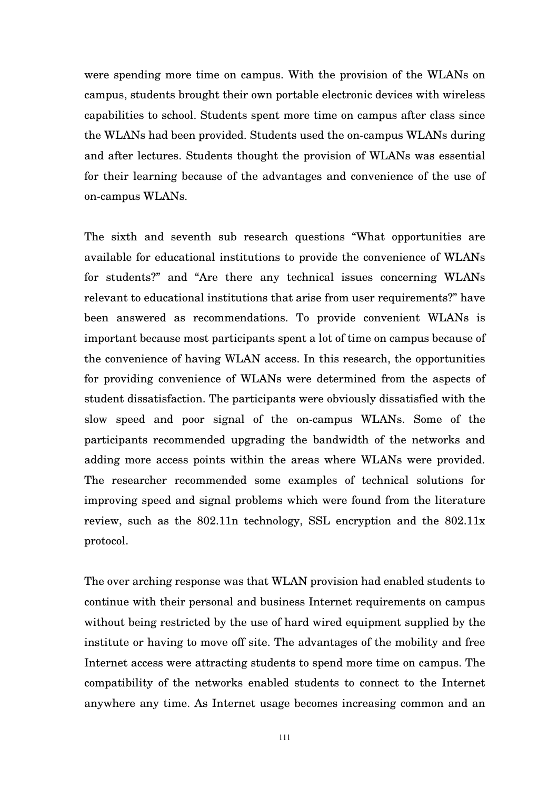were spending more time on campus. With the provision of the WLANs on campus, students brought their own portable electronic devices with wireless capabilities to school. Students spent more time on campus after class since the WLANs had been provided. Students used the on-campus WLANs during and after lectures. Students thought the provision of WLANs was essential for their learning because of the advantages and convenience of the use of on-campus WLANs.

The sixth and seventh sub research questions "What opportunities are available for educational institutions to provide the convenience of WLANs for students?" and "Are there any technical issues concerning WLANs relevant to educational institutions that arise from user requirements?" have been answered as recommendations. To provide convenient WLANs is important because most participants spent a lot of time on campus because of the convenience of having WLAN access. In this research, the opportunities for providing convenience of WLANs were determined from the aspects of student dissatisfaction. The participants were obviously dissatisfied with the slow speed and poor signal of the on-campus WLANs. Some of the participants recommended upgrading the bandwidth of the networks and adding more access points within the areas where WLANs were provided. The researcher recommended some examples of technical solutions for improving speed and signal problems which were found from the literature review, such as the 802.11n technology, SSL encryption and the 802.11x protocol.

The over arching response was that WLAN provision had enabled students to continue with their personal and business Internet requirements on campus without being restricted by the use of hard wired equipment supplied by the institute or having to move off site. The advantages of the mobility and free Internet access were attracting students to spend more time on campus. The compatibility of the networks enabled students to connect to the Internet anywhere any time. As Internet usage becomes increasing common and an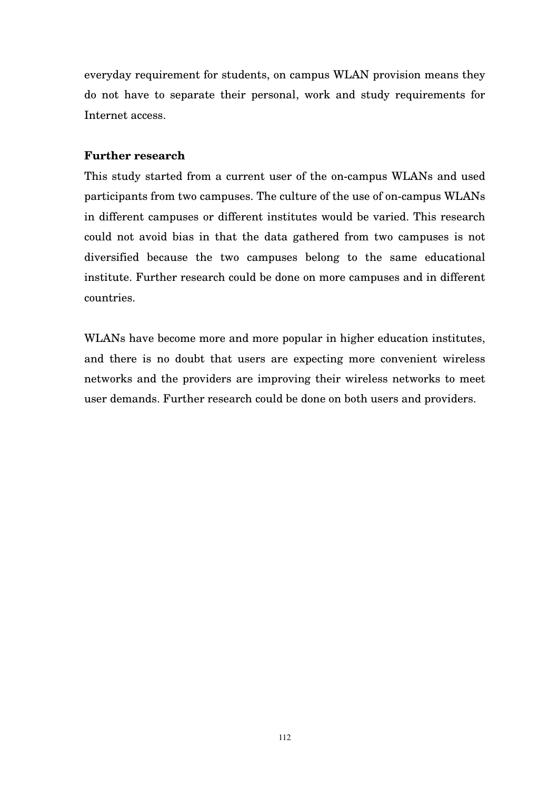everyday requirement for students, on campus WLAN provision means they do not have to separate their personal, work and study requirements for Internet access.

#### **Further research**

This study started from a current user of the on-campus WLANs and used participants from two campuses. The culture of the use of on-campus WLANs in different campuses or different institutes would be varied. This research could not avoid bias in that the data gathered from two campuses is not diversified because the two campuses belong to the same educational institute. Further research could be done on more campuses and in different countries.

WLANs have become more and more popular in higher education institutes, and there is no doubt that users are expecting more convenient wireless networks and the providers are improving their wireless networks to meet user demands. Further research could be done on both users and providers.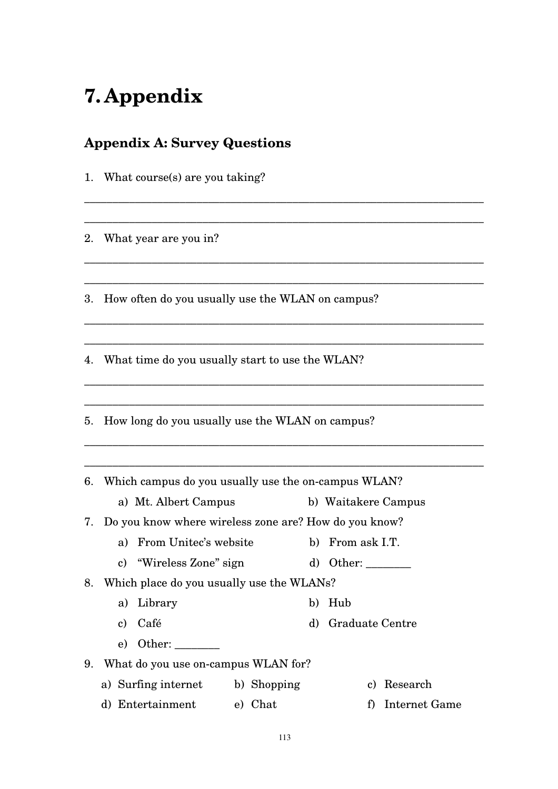# **7. Appendix**

## **Appendix A: Survey Questions**

1. What course(s) are you taking?

2. What year are you in?

3. How often do you usually use the WLAN on campus?

\_\_\_\_\_\_\_\_\_\_\_\_\_\_\_\_\_\_\_\_\_\_\_\_\_\_\_\_\_\_\_\_\_\_\_\_\_\_\_\_\_\_\_\_\_\_\_\_\_\_\_\_\_\_\_\_\_\_\_\_\_\_\_\_\_\_\_\_\_\_\_

\_\_\_\_\_\_\_\_\_\_\_\_\_\_\_\_\_\_\_\_\_\_\_\_\_\_\_\_\_\_\_\_\_\_\_\_\_\_\_\_\_\_\_\_\_\_\_\_\_\_\_\_\_\_\_\_\_\_\_\_\_\_\_\_\_\_\_\_\_\_\_

\_\_\_\_\_\_\_\_\_\_\_\_\_\_\_\_\_\_\_\_\_\_\_\_\_\_\_\_\_\_\_\_\_\_\_\_\_\_\_\_\_\_\_\_\_\_\_\_\_\_\_\_\_\_\_\_\_\_\_\_\_\_\_\_\_\_\_\_\_\_\_

\_\_\_\_\_\_\_\_\_\_\_\_\_\_\_\_\_\_\_\_\_\_\_\_\_\_\_\_\_\_\_\_\_\_\_\_\_\_\_\_\_\_\_\_\_\_\_\_\_\_\_\_\_\_\_\_\_\_\_\_\_\_\_\_\_\_\_\_\_\_\_

\_\_\_\_\_\_\_\_\_\_\_\_\_\_\_\_\_\_\_\_\_\_\_\_\_\_\_\_\_\_\_\_\_\_\_\_\_\_\_\_\_\_\_\_\_\_\_\_\_\_\_\_\_\_\_\_\_\_\_\_\_\_\_\_\_\_\_\_\_\_\_

\_\_\_\_\_\_\_\_\_\_\_\_\_\_\_\_\_\_\_\_\_\_\_\_\_\_\_\_\_\_\_\_\_\_\_\_\_\_\_\_\_\_\_\_\_\_\_\_\_\_\_\_\_\_\_\_\_\_\_\_\_\_\_\_\_\_\_\_\_\_\_

\_\_\_\_\_\_\_\_\_\_\_\_\_\_\_\_\_\_\_\_\_\_\_\_\_\_\_\_\_\_\_\_\_\_\_\_\_\_\_\_\_\_\_\_\_\_\_\_\_\_\_\_\_\_\_\_\_\_\_\_\_\_\_\_\_\_\_\_\_\_\_

\_\_\_\_\_\_\_\_\_\_\_\_\_\_\_\_\_\_\_\_\_\_\_\_\_\_\_\_\_\_\_\_\_\_\_\_\_\_\_\_\_\_\_\_\_\_\_\_\_\_\_\_\_\_\_\_\_\_\_\_\_\_\_\_\_\_\_\_\_\_\_

\_\_\_\_\_\_\_\_\_\_\_\_\_\_\_\_\_\_\_\_\_\_\_\_\_\_\_\_\_\_\_\_\_\_\_\_\_\_\_\_\_\_\_\_\_\_\_\_\_\_\_\_\_\_\_\_\_\_\_\_\_\_\_\_\_\_\_\_\_\_\_

\_\_\_\_\_\_\_\_\_\_\_\_\_\_\_\_\_\_\_\_\_\_\_\_\_\_\_\_\_\_\_\_\_\_\_\_\_\_\_\_\_\_\_\_\_\_\_\_\_\_\_\_\_\_\_\_\_\_\_\_\_\_\_\_\_\_\_\_\_\_\_

4. What time do you usually start to use the WLAN?

5. How long do you usually use the WLAN on campus?

6. Which campus do you usually use the on-campus WLAN?

a) Mt. Albert Campus b) Waitakere Campus

### 7. Do you know where wireless zone are? How do you know?

- a) From Unitec's website b) From ask I.T.
- c) "Wireless Zone" sign d) Other:

8. Which place do you usually use the WLANs?

- a) Library b) Hub
- c) Café d) Graduate Centre
- e) Other: \_\_\_\_\_\_\_\_
- 9. What do you use on-campus WLAN for?
	- a) Surfing internet b) Shopping c) Research
	- d) Entertainment e) Chat f) Internet Game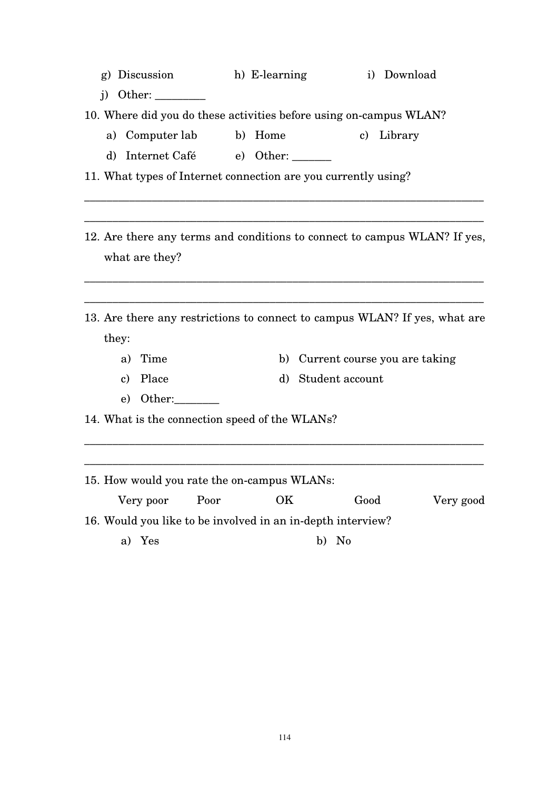| g) Discussion | h) E-learning | i) Download |
|---------------|---------------|-------------|
|---------------|---------------|-------------|

- j) Other:  $\frac{\ }{\ }$
- 10. Where did you do these activities before using on-campus WLAN?
	- a) Computer lab b) Home c) Library
	- d) Internet Café e) Other: \_\_\_\_\_\_\_
- 11. What types of Internet connection are you currently using?
- 12. Are there any terms and conditions to connect to campus WLAN? If yes, what are they?

\_\_\_\_\_\_\_\_\_\_\_\_\_\_\_\_\_\_\_\_\_\_\_\_\_\_\_\_\_\_\_\_\_\_\_\_\_\_\_\_\_\_\_\_\_\_\_\_\_\_\_\_\_\_\_\_\_\_\_\_\_\_\_\_\_\_\_\_\_\_\_

\_\_\_\_\_\_\_\_\_\_\_\_\_\_\_\_\_\_\_\_\_\_\_\_\_\_\_\_\_\_\_\_\_\_\_\_\_\_\_\_\_\_\_\_\_\_\_\_\_\_\_\_\_\_\_\_\_\_\_\_\_\_\_\_\_\_\_\_\_\_\_

\_\_\_\_\_\_\_\_\_\_\_\_\_\_\_\_\_\_\_\_\_\_\_\_\_\_\_\_\_\_\_\_\_\_\_\_\_\_\_\_\_\_\_\_\_\_\_\_\_\_\_\_\_\_\_\_\_\_\_\_\_\_\_\_\_\_\_\_\_\_\_

\_\_\_\_\_\_\_\_\_\_\_\_\_\_\_\_\_\_\_\_\_\_\_\_\_\_\_\_\_\_\_\_\_\_\_\_\_\_\_\_\_\_\_\_\_\_\_\_\_\_\_\_\_\_\_\_\_\_\_\_\_\_\_\_\_\_\_\_\_\_\_

- 13. Are there any restrictions to connect to campus WLAN? If yes, what are they:
	- a) Time b) Current course you are taking
	- c) Place d) Student account
	- e) Other:

14. What is the connection speed of the WLANs?

15. How would you rate the on-campus WLANs: Very poor Poor OK Good Very good 16. Would you like to be involved in an in-depth interview? a) Yes b) No

\_\_\_\_\_\_\_\_\_\_\_\_\_\_\_\_\_\_\_\_\_\_\_\_\_\_\_\_\_\_\_\_\_\_\_\_\_\_\_\_\_\_\_\_\_\_\_\_\_\_\_\_\_\_\_\_\_\_\_\_\_\_\_\_\_\_\_\_\_\_\_

\_\_\_\_\_\_\_\_\_\_\_\_\_\_\_\_\_\_\_\_\_\_\_\_\_\_\_\_\_\_\_\_\_\_\_\_\_\_\_\_\_\_\_\_\_\_\_\_\_\_\_\_\_\_\_\_\_\_\_\_\_\_\_\_\_\_\_\_\_\_\_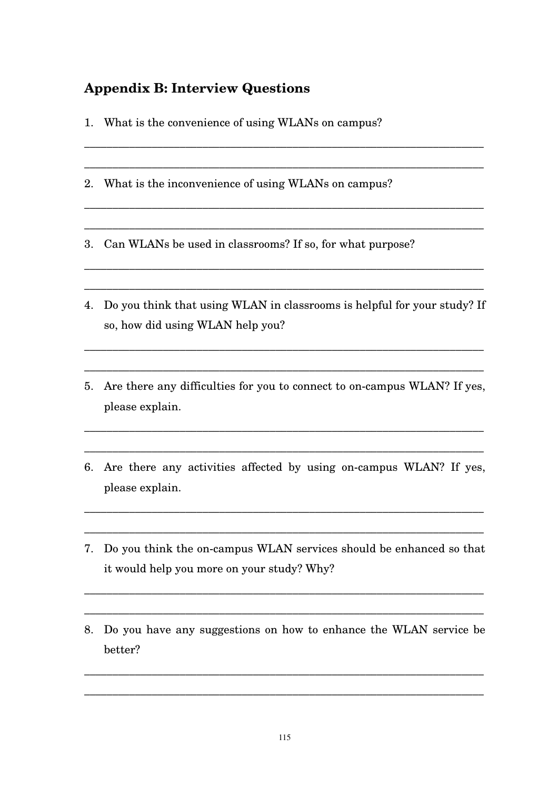## **Appendix B: Interview Questions**

- 1. What is the convenience of using WLANs on campus?
- 2. What is the inconvenience of using WLANs on campus?

3. Can WLANs be used in classrooms? If so, for what purpose?

4. Do you think that using WLAN in classrooms is helpful for your study? If so, how did using WLAN help you?

\_\_\_\_\_\_\_\_\_\_\_\_\_\_\_\_\_\_\_\_\_\_\_\_\_\_\_\_\_\_\_\_\_\_\_\_\_\_\_\_\_\_\_\_\_\_\_\_\_\_\_\_\_\_\_\_\_\_\_\_\_\_\_\_\_\_\_\_\_\_\_

\_\_\_\_\_\_\_\_\_\_\_\_\_\_\_\_\_\_\_\_\_\_\_\_\_\_\_\_\_\_\_\_\_\_\_\_\_\_\_\_\_\_\_\_\_\_\_\_\_\_\_\_\_\_\_\_\_\_\_\_\_\_\_\_\_\_\_\_\_\_\_

\_\_\_\_\_\_\_\_\_\_\_\_\_\_\_\_\_\_\_\_\_\_\_\_\_\_\_\_\_\_\_\_\_\_\_\_\_\_\_\_\_\_\_\_\_\_\_\_\_\_\_\_\_\_\_\_\_\_\_\_\_\_\_\_\_\_\_\_\_\_\_

\_\_\_\_\_\_\_\_\_\_\_\_\_\_\_\_\_\_\_\_\_\_\_\_\_\_\_\_\_\_\_\_\_\_\_\_\_\_\_\_\_\_\_\_\_\_\_\_\_\_\_\_\_\_\_\_\_\_\_\_\_\_\_\_\_\_\_\_\_\_\_

\_\_\_\_\_\_\_\_\_\_\_\_\_\_\_\_\_\_\_\_\_\_\_\_\_\_\_\_\_\_\_\_\_\_\_\_\_\_\_\_\_\_\_\_\_\_\_\_\_\_\_\_\_\_\_\_\_\_\_\_\_\_\_\_\_\_\_\_\_\_\_

\_\_\_\_\_\_\_\_\_\_\_\_\_\_\_\_\_\_\_\_\_\_\_\_\_\_\_\_\_\_\_\_\_\_\_\_\_\_\_\_\_\_\_\_\_\_\_\_\_\_\_\_\_\_\_\_\_\_\_\_\_\_\_\_\_\_\_\_\_\_\_

\_\_\_\_\_\_\_\_\_\_\_\_\_\_\_\_\_\_\_\_\_\_\_\_\_\_\_\_\_\_\_\_\_\_\_\_\_\_\_\_\_\_\_\_\_\_\_\_\_\_\_\_\_\_\_\_\_\_\_\_\_\_\_\_\_\_\_\_\_\_\_

5. Are there any difficulties for you to connect to on-campus WLAN? If yes, please explain.

\_\_\_\_\_\_\_\_\_\_\_\_\_\_\_\_\_\_\_\_\_\_\_\_\_\_\_\_\_\_\_\_\_\_\_\_\_\_\_\_\_\_\_\_\_\_\_\_\_\_\_\_\_\_\_\_\_\_\_\_\_\_\_\_\_\_\_\_\_\_\_

\_\_\_\_\_\_\_\_\_\_\_\_\_\_\_\_\_\_\_\_\_\_\_\_\_\_\_\_\_\_\_\_\_\_\_\_\_\_\_\_\_\_\_\_\_\_\_\_\_\_\_\_\_\_\_\_\_\_\_\_\_\_\_\_\_\_\_\_\_\_\_

6. Are there any activities affected by using on-campus WLAN? If yes, please explain.

\_\_\_\_\_\_\_\_\_\_\_\_\_\_\_\_\_\_\_\_\_\_\_\_\_\_\_\_\_\_\_\_\_\_\_\_\_\_\_\_\_\_\_\_\_\_\_\_\_\_\_\_\_\_\_\_\_\_\_\_\_\_\_\_\_\_\_\_\_\_\_

\_\_\_\_\_\_\_\_\_\_\_\_\_\_\_\_\_\_\_\_\_\_\_\_\_\_\_\_\_\_\_\_\_\_\_\_\_\_\_\_\_\_\_\_\_\_\_\_\_\_\_\_\_\_\_\_\_\_\_\_\_\_\_\_\_\_\_\_\_\_\_

7. Do you think the on-campus WLAN services should be enhanced so that it would help you more on your study? Why?

\_\_\_\_\_\_\_\_\_\_\_\_\_\_\_\_\_\_\_\_\_\_\_\_\_\_\_\_\_\_\_\_\_\_\_\_\_\_\_\_\_\_\_\_\_\_\_\_\_\_\_\_\_\_\_\_\_\_\_\_\_\_\_\_\_\_\_\_\_\_\_

\_\_\_\_\_\_\_\_\_\_\_\_\_\_\_\_\_\_\_\_\_\_\_\_\_\_\_\_\_\_\_\_\_\_\_\_\_\_\_\_\_\_\_\_\_\_\_\_\_\_\_\_\_\_\_\_\_\_\_\_\_\_\_\_\_\_\_\_\_\_\_

8. Do you have any suggestions on how to enhance the WLAN service be better?

\_\_\_\_\_\_\_\_\_\_\_\_\_\_\_\_\_\_\_\_\_\_\_\_\_\_\_\_\_\_\_\_\_\_\_\_\_\_\_\_\_\_\_\_\_\_\_\_\_\_\_\_\_\_\_\_\_\_\_\_\_\_\_\_\_\_\_\_\_\_\_

\_\_\_\_\_\_\_\_\_\_\_\_\_\_\_\_\_\_\_\_\_\_\_\_\_\_\_\_\_\_\_\_\_\_\_\_\_\_\_\_\_\_\_\_\_\_\_\_\_\_\_\_\_\_\_\_\_\_\_\_\_\_\_\_\_\_\_\_\_\_\_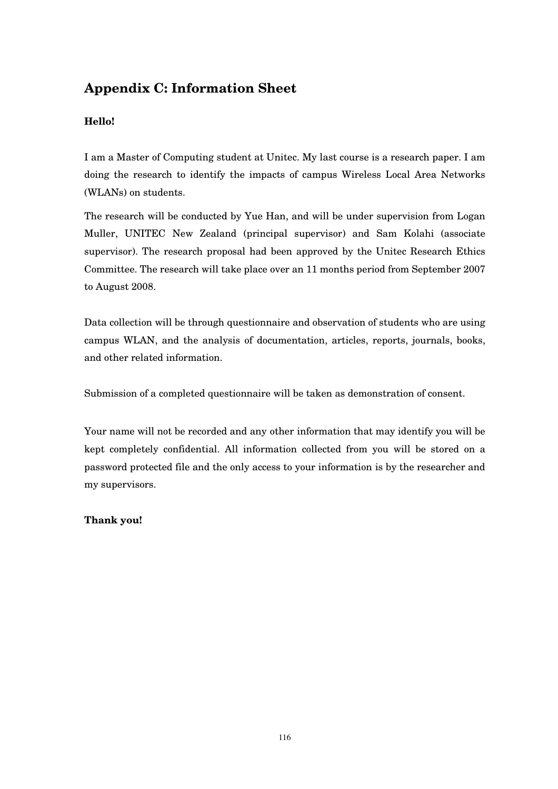## **Appendix C: Information Sheet**

## **Hello!**

I am a Master of Computing student at Unitec. My last course is a research paper. I am doing the research to identify the impacts of campus Wireless Local Area Networks (WLANs) on students.

The research will be conducted by Yue Han, and will be under supervision from Logan Muller, UNITEC New Zealand (principal supervisor) and Sam Kolahi (associate supervisor). The research proposal had been approved by the Unitec Research Ethics Committee. The research will take place over an 11 months period from September 2007 to August 2008.

Data collection will be through questionnaire and observation of students who are using campus WLAN, and the analysis of documentation, articles, reports, journals, books, and other related information.

Submission of a completed questionnaire will be taken as demonstration of consent.

Your name will not be recorded and any other information that may identify you will be kept completely confidential. All information collected from you will be stored on a password protected file and the only access to your information is by the researcher and my supervisors.

### **Thank you!**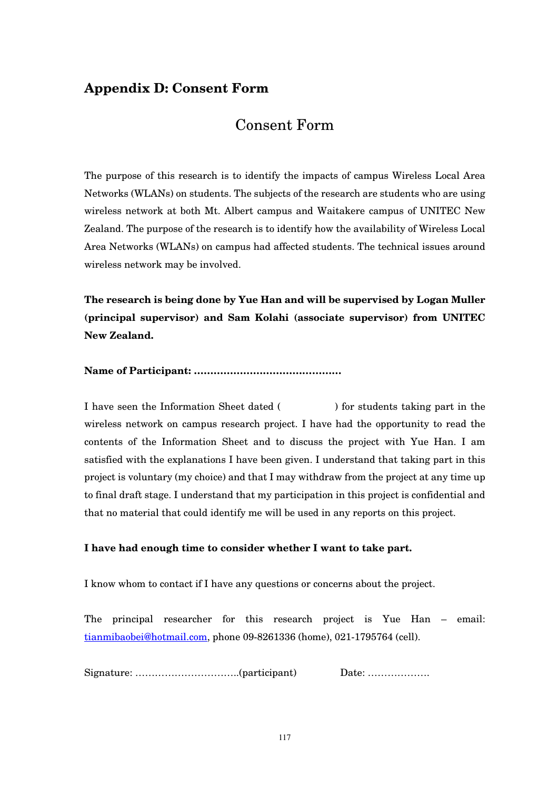## **Appendix D: Consent Form**

## Consent Form

The purpose of this research is to identify the impacts of campus Wireless Local Area Networks (WLANs) on students. The subjects of the research are students who are using wireless network at both Mt. Albert campus and Waitakere campus of UNITEC New Zealand. The purpose of the research is to identify how the availability of Wireless Local Area Networks (WLANs) on campus had affected students. The technical issues around wireless network may be involved.

**The research is being done by Yue Han and will be supervised by Logan Muller (principal supervisor) and Sam Kolahi (associate supervisor) from UNITEC New Zealand.** 

#### **Name of Participant: ………………………………………**

I have seen the Information Sheet dated ( ) for students taking part in the wireless network on campus research project. I have had the opportunity to read the contents of the Information Sheet and to discuss the project with Yue Han. I am satisfied with the explanations I have been given. I understand that taking part in this project is voluntary (my choice) and that I may withdraw from the project at any time up to final draft stage. I understand that my participation in this project is confidential and that no material that could identify me will be used in any reports on this project.

#### **I have had enough time to consider whether I want to take part.**

I know whom to contact if I have any questions or concerns about the project.

The principal researcher for this research project is Yue Han – email: tianmibaobei@hotmail.com, phone 09-8261336 (home), 021-1795764 (cell).

Signature: …………………………..(participant) Date: ……………….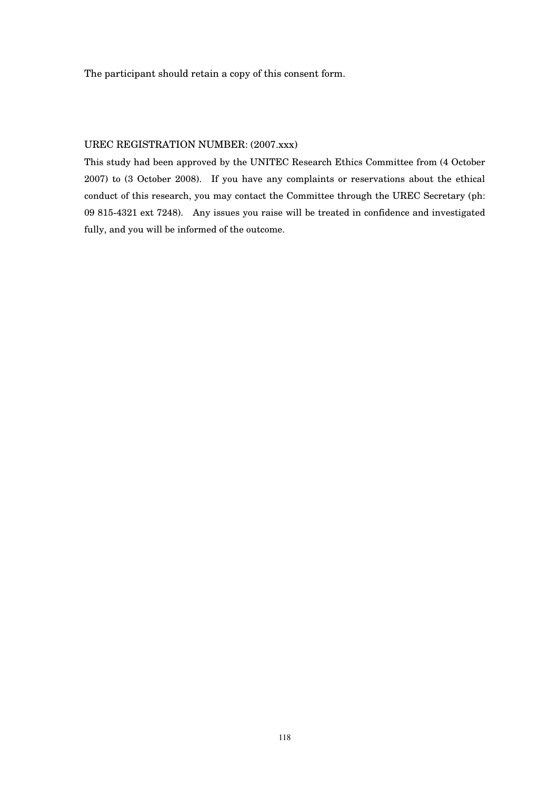The participant should retain a copy of this consent form.

#### UREC REGISTRATION NUMBER: (2007.xxx)

This study had been approved by the UNITEC Research Ethics Committee from (4 October 2007) to (3 October 2008). If you have any complaints or reservations about the ethical conduct of this research, you may contact the Committee through the UREC Secretary (ph: 09 815-4321 ext 7248). Any issues you raise will be treated in confidence and investigated fully, and you will be informed of the outcome.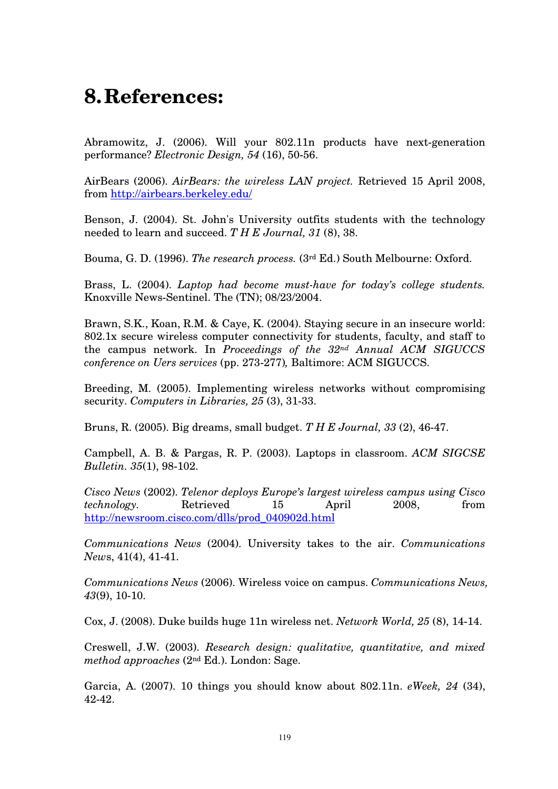# **8.References:**

Abramowitz, J. (2006). Will your 802.11n products have next-generation performance? *Electronic Design, 54* (16), 50-56.

AirBears (2006). *AirBears: the wireless LAN project.* Retrieved 15 April 2008, from http://airbears.berkeley.edu/

Benson, J. (2004). St. John's University outfits students with the technology needed to learn and succeed. *T H E Journal, 31* (8), 38.

Bouma, G. D. (1996). *The research process.* (3rd Ed.) South Melbourne: Oxford.

Brass, L. (2004). *Laptop had become must-have for today's college students.* Knoxville News-Sentinel. The (TN); 08/23/2004.

Brawn, S.K., Koan, R.M. & Caye, K. (2004). Staying secure in an insecure world: 802.1x secure wireless computer connectivity for students, faculty, and staff to the campus network. In *Proceedings of the 32nd Annual ACM SIGUCCS conference on Uers services* (pp. 273-277)*,* Baltimore: ACM SIGUCCS.

Breeding, M. (2005). Implementing wireless networks without compromising security. *Computers in Libraries, 25* (3), 31-33.

Bruns, R. (2005). Big dreams, small budget. *T H E Journal, 33* (2), 46-47.

Campbell, A. B. & Pargas, R. P. (2003). Laptops in classroom. *ACM SIGCSE Bulletin. 35*(1), 98-102.

*Cisco News* (2002). *Telenor deploys Europe's largest wireless campus using Cisco technology.* Retrieved 15 April 2008, from http://newsroom.cisco.com/dlls/prod\_040902d.html

*Communications News* (2004). University takes to the air. *Communications New*s, 41(4), 41-41.

*Communications News* (2006). Wireless voice on campus. *Communications News, 43*(9), 10-10.

Cox, J. (2008). Duke builds huge 11n wireless net. *Network World, 25* (8), 14-14.

Creswell, J.W. (2003). *Research design: qualitative, quantitative, and mixed method approaches* (2nd Ed.). London: Sage.

Garcia, A. (2007). 10 things you should know about 802.11n. *eWeek, 24* (34), 42-42.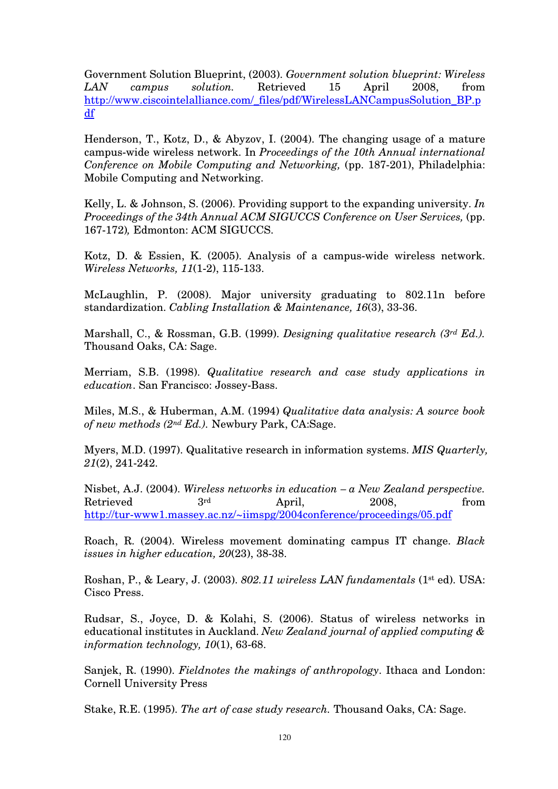Government Solution Blueprint, (2003). *Government solution blueprint: Wireless LAN campus solution.* Retrieved 15 April 2008, from http://www.ciscointelalliance.com/\_files/pdf/WirelessLANCampusSolution\_BP.p df

Henderson, T., Kotz, D., & Abyzov, I. (2004). The changing usage of a mature campus-wide wireless network. In *Proceedings of the 10th Annual international Conference on Mobile Computing and Networking,* (pp. 187-201), Philadelphia: Mobile Computing and Networking.

Kelly, L. & Johnson, S. (2006). Providing support to the expanding university. *In Proceedings of the 34th Annual ACM SIGUCCS Conference on User Services, (pp.* 167-172)*,* Edmonton: ACM SIGUCCS.

Kotz, D. & Essien, K. (2005). Analysis of a campus-wide wireless network. *Wireless Networks, 11*(1-2), 115-133.

McLaughlin, P. (2008). Major university graduating to 802.11n before standardization. *Cabling Installation & Maintenance, 16*(3), 33-36.

Marshall, C., & Rossman, G.B. (1999). *Designing qualitative research (3rd Ed.).* Thousand Oaks, CA: Sage.

Merriam, S.B. (1998). *Qualitative research and case study applications in education*. San Francisco: Jossey-Bass.

Miles, M.S., & Huberman, A.M. (1994) *Qualitative data analysis: A source book of new methods (2nd Ed.).* Newbury Park, CA:Sage.

Myers, M.D. (1997). Qualitative research in information systems. *MIS Quarterly, 21*(2), 241-242.

Nisbet, A.J. (2004). *Wireless networks in education – a New Zealand perspective.*   $Retrieved$   $3<sup>rd</sup>$  April,  $2008$ , from http://tur-www1.massey.ac.nz/~iimspg/2004conference/proceedings/05.pdf

Roach, R. (2004). Wireless movement dominating campus IT change. *Black issues in higher education, 20*(23), 38-38.

Roshan, P., & Leary, J. (2003). *802.11 wireless LAN fundamentals* (1st ed). USA: Cisco Press.

Rudsar, S., Joyce, D. & Kolahi, S. (2006). Status of wireless networks in educational institutes in Auckland. *New Zealand journal of applied computing & information technology, 10*(1), 63-68.

Sanjek, R. (1990). *Fieldnotes the makings of anthropology*. Ithaca and London: Cornell University Press

Stake, R.E. (1995). *The art of case study research.* Thousand Oaks, CA: Sage.